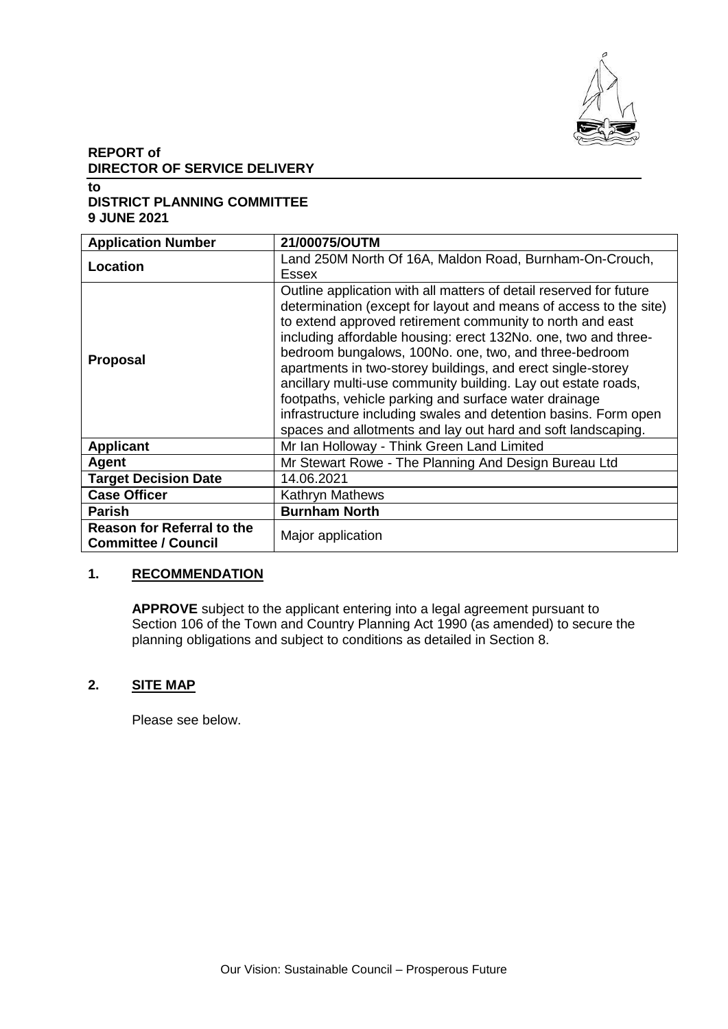

## **REPORT of DIRECTOR OF SERVICE DELIVERY**

**to**

## **DISTRICT PLANNING COMMITTEE 9 JUNE 2021**

| <b>Application Number</b>                                       | 21/00075/OUTM                                                                                                                                                                                                                                                                                                                                                                                                                                                                                                                                                                                                                                               |  |
|-----------------------------------------------------------------|-------------------------------------------------------------------------------------------------------------------------------------------------------------------------------------------------------------------------------------------------------------------------------------------------------------------------------------------------------------------------------------------------------------------------------------------------------------------------------------------------------------------------------------------------------------------------------------------------------------------------------------------------------------|--|
| Location                                                        | Land 250M North Of 16A, Maldon Road, Burnham-On-Crouch,<br>Essex                                                                                                                                                                                                                                                                                                                                                                                                                                                                                                                                                                                            |  |
| <b>Proposal</b>                                                 | Outline application with all matters of detail reserved for future<br>determination (except for layout and means of access to the site)<br>to extend approved retirement community to north and east<br>including affordable housing: erect 132No. one, two and three-<br>bedroom bungalows, 100No. one, two, and three-bedroom<br>apartments in two-storey buildings, and erect single-storey<br>ancillary multi-use community building. Lay out estate roads,<br>footpaths, vehicle parking and surface water drainage<br>infrastructure including swales and detention basins. Form open<br>spaces and allotments and lay out hard and soft landscaping. |  |
| <b>Applicant</b>                                                | Mr Ian Holloway - Think Green Land Limited                                                                                                                                                                                                                                                                                                                                                                                                                                                                                                                                                                                                                  |  |
| Agent                                                           | Mr Stewart Rowe - The Planning And Design Bureau Ltd                                                                                                                                                                                                                                                                                                                                                                                                                                                                                                                                                                                                        |  |
| <b>Target Decision Date</b>                                     | 14.06.2021                                                                                                                                                                                                                                                                                                                                                                                                                                                                                                                                                                                                                                                  |  |
| <b>Case Officer</b>                                             | <b>Kathryn Mathews</b>                                                                                                                                                                                                                                                                                                                                                                                                                                                                                                                                                                                                                                      |  |
| <b>Parish</b>                                                   | <b>Burnham North</b>                                                                                                                                                                                                                                                                                                                                                                                                                                                                                                                                                                                                                                        |  |
| <b>Reason for Referral to the</b><br><b>Committee / Council</b> | Major application                                                                                                                                                                                                                                                                                                                                                                                                                                                                                                                                                                                                                                           |  |

## **1. RECOMMENDATION**

**APPROVE** subject to the applicant entering into a legal agreement pursuant to Section 106 of the Town and Country Planning Act 1990 (as amended) to secure the planning obligations and subject to conditions as detailed in Section 8.

## **2. SITE MAP**

Please see below.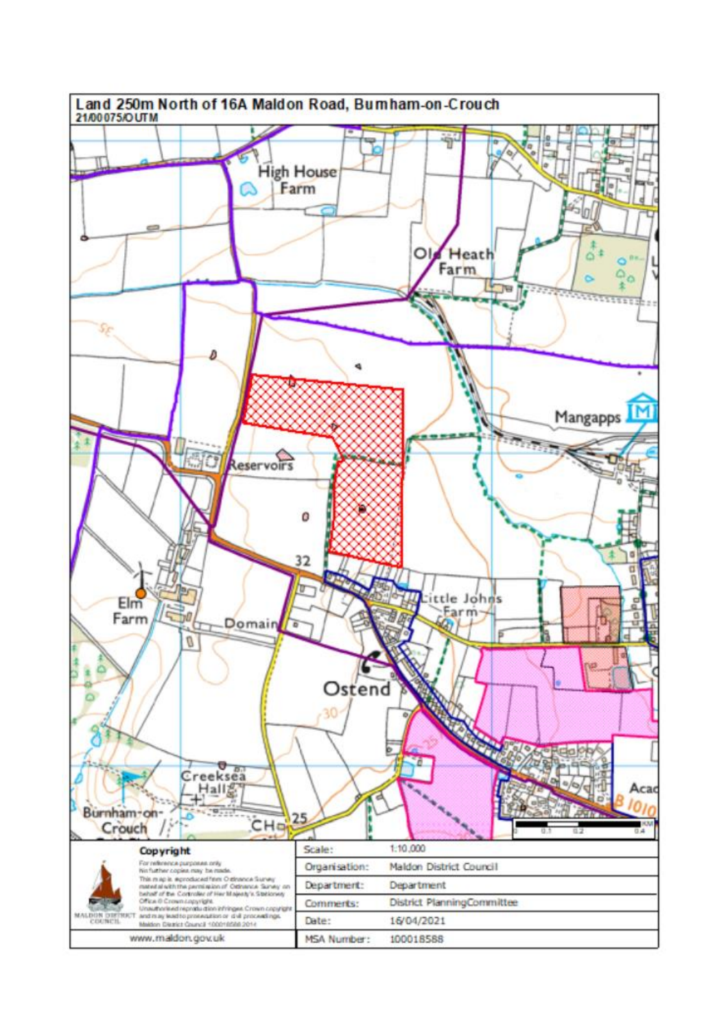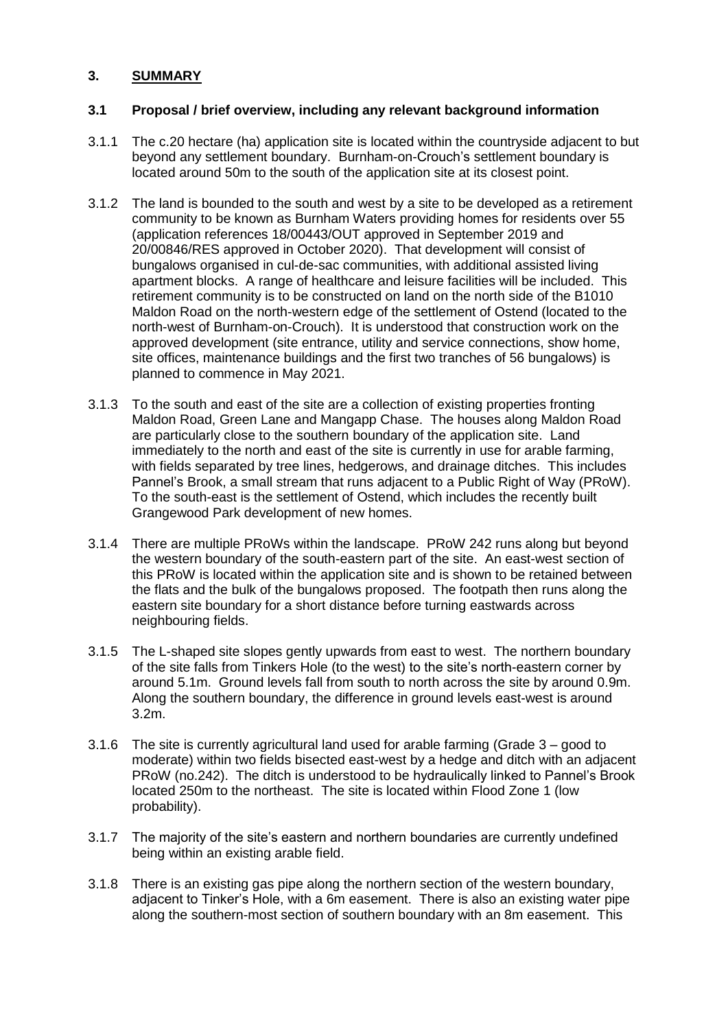## **3. SUMMARY**

## **3.1 Proposal / brief overview, including any relevant background information**

- 3.1.1 The c.20 hectare (ha) application site is located within the countryside adjacent to but beyond any settlement boundary. Burnham-on-Crouch's settlement boundary is located around 50m to the south of the application site at its closest point.
- 3.1.2 The land is bounded to the south and west by a site to be developed as a retirement community to be known as Burnham Waters providing homes for residents over 55 (application references 18/00443/OUT approved in September 2019 and 20/00846/RES approved in October 2020). That development will consist of bungalows organised in cul-de-sac communities, with additional assisted living apartment blocks. A range of healthcare and leisure facilities will be included. This retirement community is to be constructed on land on the north side of the B1010 Maldon Road on the north-western edge of the settlement of Ostend (located to the north-west of Burnham-on-Crouch). It is understood that construction work on the approved development (site entrance, utility and service connections, show home, site offices, maintenance buildings and the first two tranches of 56 bungalows) is planned to commence in May 2021.
- 3.1.3 To the south and east of the site are a collection of existing properties fronting Maldon Road, Green Lane and Mangapp Chase. The houses along Maldon Road are particularly close to the southern boundary of the application site. Land immediately to the north and east of the site is currently in use for arable farming, with fields separated by tree lines, hedgerows, and drainage ditches. This includes Pannel's Brook, a small stream that runs adjacent to a Public Right of Way (PRoW). To the south-east is the settlement of Ostend, which includes the recently built Grangewood Park development of new homes.
- 3.1.4 There are multiple PRoWs within the landscape. PRoW 242 runs along but beyond the western boundary of the south-eastern part of the site. An east-west section of this PRoW is located within the application site and is shown to be retained between the flats and the bulk of the bungalows proposed. The footpath then runs along the eastern site boundary for a short distance before turning eastwards across neighbouring fields.
- 3.1.5 The L-shaped site slopes gently upwards from east to west. The northern boundary of the site falls from Tinkers Hole (to the west) to the site's north-eastern corner by around 5.1m. Ground levels fall from south to north across the site by around 0.9m. Along the southern boundary, the difference in ground levels east-west is around 3.2m.
- 3.1.6 The site is currently agricultural land used for arable farming (Grade 3 good to moderate) within two fields bisected east-west by a hedge and ditch with an adjacent PRoW (no.242). The ditch is understood to be hydraulically linked to Pannel's Brook located 250m to the northeast. The site is located within Flood Zone 1 (low probability).
- 3.1.7 The majority of the site's eastern and northern boundaries are currently undefined being within an existing arable field.
- 3.1.8 There is an existing gas pipe along the northern section of the western boundary, adjacent to Tinker's Hole, with a 6m easement. There is also an existing water pipe along the southern-most section of southern boundary with an 8m easement. This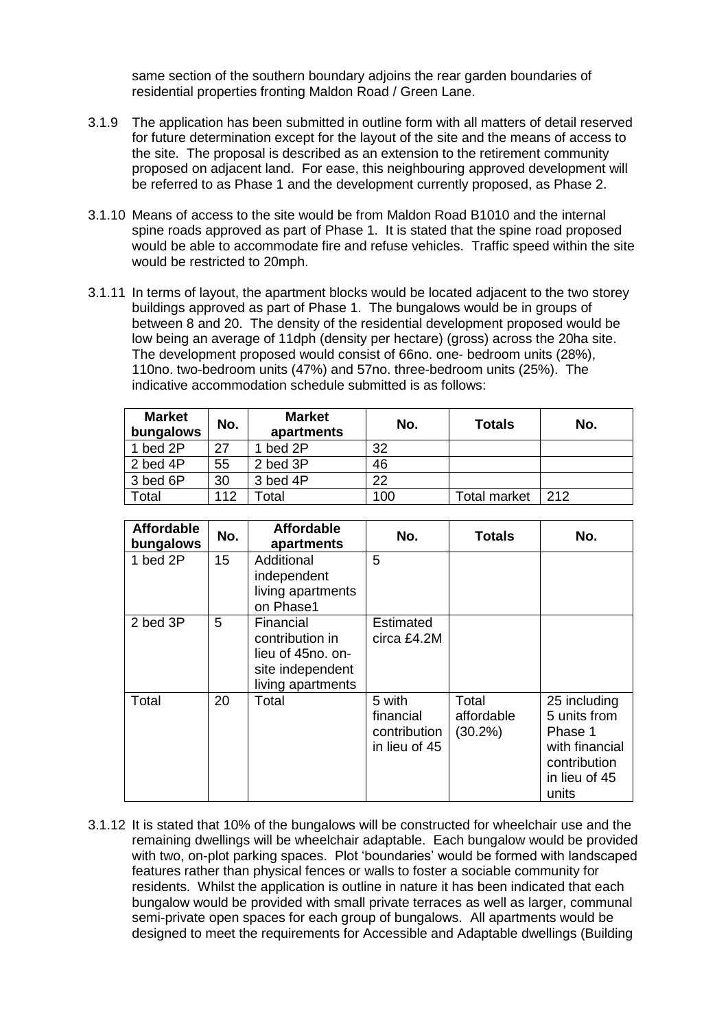same section of the southern boundary adjoins the rear garden boundaries of residential properties fronting Maldon Road / Green Lane.

- 3.1.9 The application has been submitted in outline form with all matters of detail reserved for future determination except for the layout of the site and the means of access to the site. The proposal is described as an extension to the retirement community proposed on adjacent land. For ease, this neighbouring approved development will be referred to as Phase 1 and the development currently proposed, as Phase 2.
- 3.1.10 Means of access to the site would be from Maldon Road B1010 and the internal spine roads approved as part of Phase 1. It is stated that the spine road proposed would be able to accommodate fire and refuse vehicles. Traffic speed within the site would be restricted to 20mph.
- 3.1.11 In terms of layout, the apartment blocks would be located adjacent to the two storey buildings approved as part of Phase 1. The bungalows would be in groups of between 8 and 20. The density of the residential development proposed would be low being an average of 11dph (density per hectare) (gross) across the 20ha site. The development proposed would consist of 66no. one- bedroom units (28%), 110no. two-bedroom units (47%) and 57no. three-bedroom units (25%). The indicative accommodation schedule submitted is as follows:

| <b>Market</b><br>bungalows | No. | <b>Market</b><br>apartments | No. | <b>Totals</b> | No. |
|----------------------------|-----|-----------------------------|-----|---------------|-----|
| 1 bed 2P                   | 27  | bed 2P                      | 32  |               |     |
| 2 bed 4P                   | 55  | 2 bed 3P                    | 46  |               |     |
| 3 bed 6P                   | 30  | 3 bed 4P                    | 22  |               |     |
| Total                      | 112 | cotal                       | 100 | Total market  | 212 |

| <b>Affordable</b><br>bungalows | No. | <b>Affordable</b><br>apartments                                                            | No.                                                  | <b>Totals</b>                     | No.                                                                                                 |
|--------------------------------|-----|--------------------------------------------------------------------------------------------|------------------------------------------------------|-----------------------------------|-----------------------------------------------------------------------------------------------------|
| 1 bed 2P                       | 15  | Additional<br>independent<br>living apartments<br>on Phase1                                | 5                                                    |                                   |                                                                                                     |
| 2 bed 3P                       | 5   | Financial<br>contribution in<br>lieu of 45no. on-<br>site independent<br>living apartments | <b>Estimated</b><br>circa £4.2M                      |                                   |                                                                                                     |
| Total                          | 20  | Total                                                                                      | 5 with<br>financial<br>contribution<br>in lieu of 45 | Total<br>affordable<br>$(30.2\%)$ | 25 including<br>5 units from<br>Phase 1<br>with financial<br>contribution<br>in lieu of 45<br>units |

3.1.12 It is stated that 10% of the bungalows will be constructed for wheelchair use and the remaining dwellings will be wheelchair adaptable. Each bungalow would be provided with two, on-plot parking spaces. Plot 'boundaries' would be formed with landscaped features rather than physical fences or walls to foster a sociable community for residents. Whilst the application is outline in nature it has been indicated that each bungalow would be provided with small private terraces as well as larger, communal semi-private open spaces for each group of bungalows. All apartments would be designed to meet the requirements for Accessible and Adaptable dwellings (Building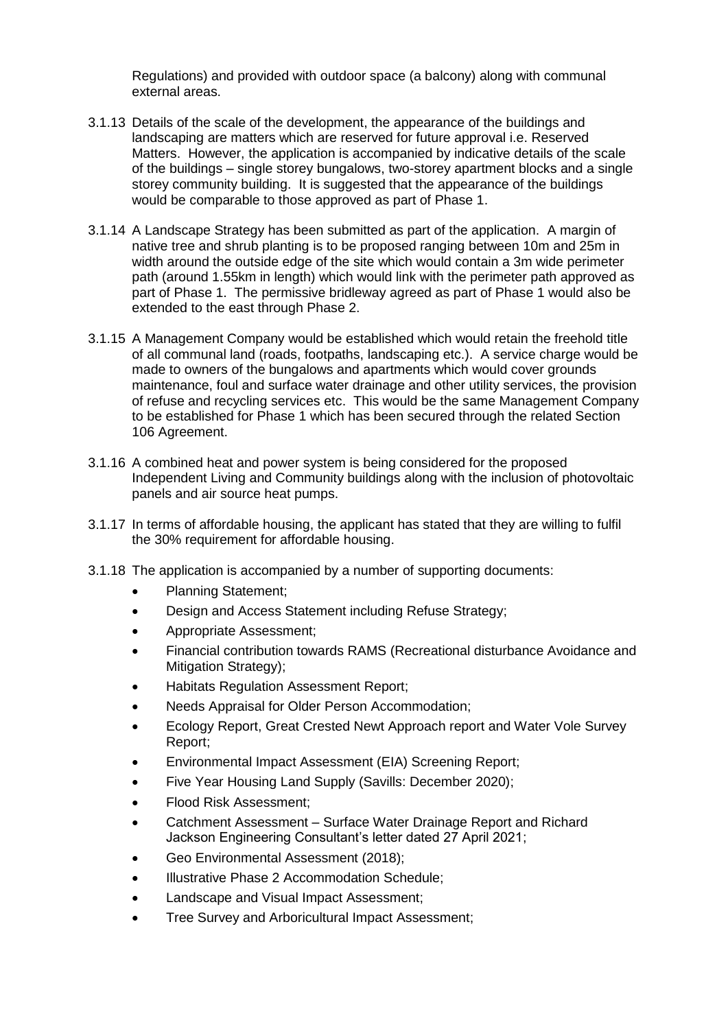Regulations) and provided with outdoor space (a balcony) along with communal external areas.

- 3.1.13 Details of the scale of the development, the appearance of the buildings and landscaping are matters which are reserved for future approval i.e. Reserved Matters. However, the application is accompanied by indicative details of the scale of the buildings – single storey bungalows, two-storey apartment blocks and a single storey community building. It is suggested that the appearance of the buildings would be comparable to those approved as part of Phase 1.
- 3.1.14 A Landscape Strategy has been submitted as part of the application. A margin of native tree and shrub planting is to be proposed ranging between 10m and 25m in width around the outside edge of the site which would contain a 3m wide perimeter path (around 1.55km in length) which would link with the perimeter path approved as part of Phase 1. The permissive bridleway agreed as part of Phase 1 would also be extended to the east through Phase 2.
- 3.1.15 A Management Company would be established which would retain the freehold title of all communal land (roads, footpaths, landscaping etc.). A service charge would be made to owners of the bungalows and apartments which would cover grounds maintenance, foul and surface water drainage and other utility services, the provision of refuse and recycling services etc. This would be the same Management Company to be established for Phase 1 which has been secured through the related Section 106 Agreement.
- 3.1.16 A combined heat and power system is being considered for the proposed Independent Living and Community buildings along with the inclusion of photovoltaic panels and air source heat pumps.
- 3.1.17 In terms of affordable housing, the applicant has stated that they are willing to fulfil the 30% requirement for affordable housing.
- 3.1.18 The application is accompanied by a number of supporting documents:
	- Planning Statement;
	- Design and Access Statement including Refuse Strategy;
	- Appropriate Assessment;
	- Financial contribution towards RAMS (Recreational disturbance Avoidance and Mitigation Strategy);
	- Habitats Regulation Assessment Report;
	- Needs Appraisal for Older Person Accommodation;
	- Ecology Report, Great Crested Newt Approach report and Water Vole Survey Report;
	- Environmental Impact Assessment (EIA) Screening Report;
	- Five Year Housing Land Supply (Savills: December 2020);
	- Flood Risk Assessment;
	- Catchment Assessment Surface Water Drainage Report and Richard Jackson Engineering Consultant's letter dated 27 April 2021;
	- Geo Environmental Assessment (2018);
	- Illustrative Phase 2 Accommodation Schedule;
	- Landscape and Visual Impact Assessment;
	- Tree Survey and Arboricultural Impact Assessment;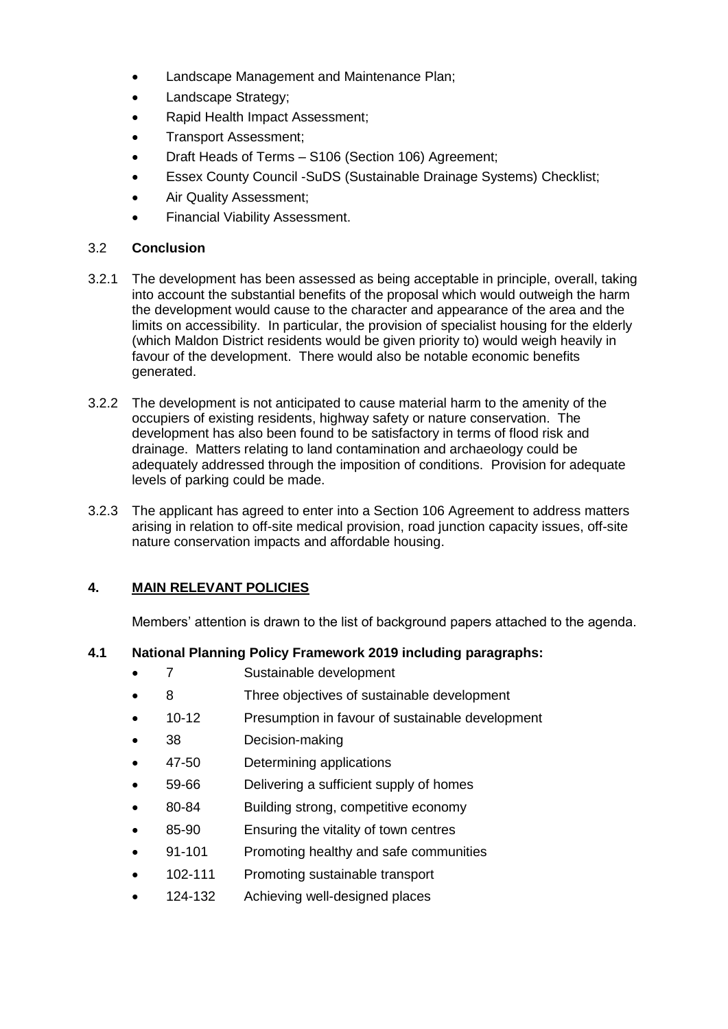- Landscape Management and Maintenance Plan;
- Landscape Strategy;
- Rapid Health Impact Assessment;
- Transport Assessment;
- Draft Heads of Terms S106 (Section 106) Agreement;
- Essex County Council -SuDS (Sustainable Drainage Systems) Checklist;
- Air Quality Assessment;
- Financial Viability Assessment.

## 3.2 **Conclusion**

- 3.2.1 The development has been assessed as being acceptable in principle, overall, taking into account the substantial benefits of the proposal which would outweigh the harm the development would cause to the character and appearance of the area and the limits on accessibility. In particular, the provision of specialist housing for the elderly (which Maldon District residents would be given priority to) would weigh heavily in favour of the development. There would also be notable economic benefits generated.
- 3.2.2 The development is not anticipated to cause material harm to the amenity of the occupiers of existing residents, highway safety or nature conservation. The development has also been found to be satisfactory in terms of flood risk and drainage. Matters relating to land contamination and archaeology could be adequately addressed through the imposition of conditions. Provision for adequate levels of parking could be made.
- 3.2.3 The applicant has agreed to enter into a Section 106 Agreement to address matters arising in relation to off-site medical provision, road junction capacity issues, off-site nature conservation impacts and affordable housing.

## **4. MAIN RELEVANT POLICIES**

Members' attention is drawn to the list of background papers attached to the agenda.

## **4.1 National Planning Policy Framework 2019 including paragraphs:**

- 7 Sustainable development
- 8 Three objectives of sustainable development
- 10-12 Presumption in favour of sustainable development
- 38 Decision-making
- 47-50 Determining applications
- 59-66 Delivering a sufficient supply of homes
- 80-84 Building strong, competitive economy
- 85-90 Ensuring the vitality of town centres
- 91-101 Promoting healthy and safe communities
- 102-111 Promoting sustainable transport
- 124-132 Achieving well-designed places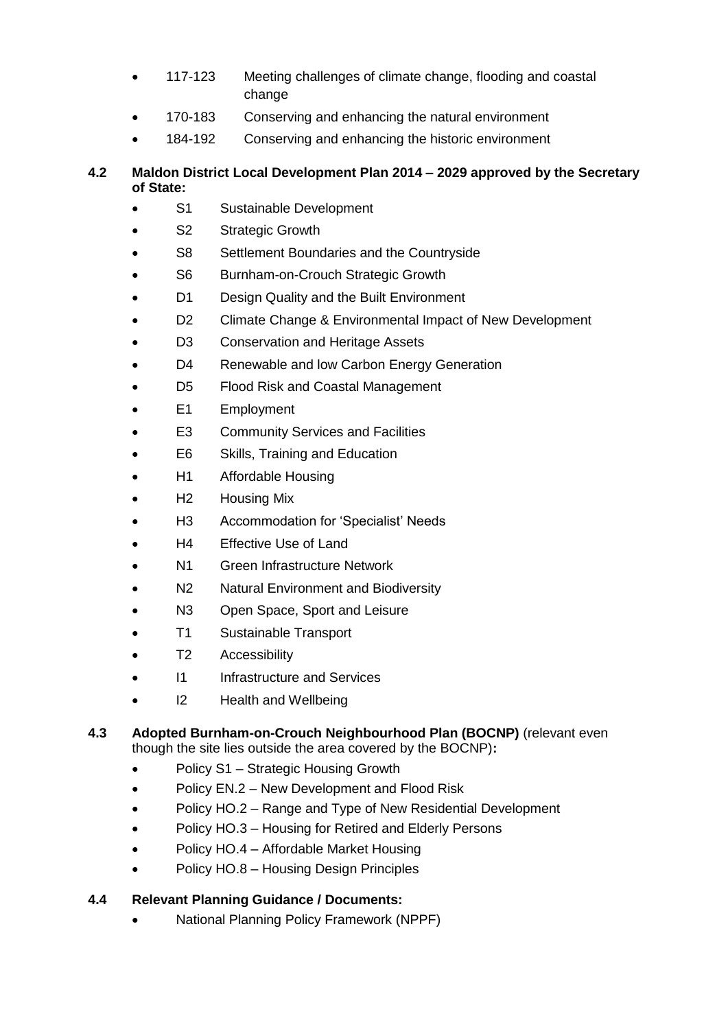- 117-123 Meeting challenges of climate change, flooding and coastal change
- 170-183 Conserving and enhancing the natural environment
- 184-192 Conserving and enhancing the historic environment

## **4.2 Maldon District Local Development Plan 2014 – 2029 approved by the Secretary of State:**

- S1 Sustainable Development
- S2 Strategic Growth
- S8 Settlement Boundaries and the Countryside
- S6 Burnham-on-Crouch Strategic Growth
- D1 Design Quality and the Built Environment
- D2 Climate Change & Environmental Impact of New Development
- D3 Conservation and Heritage Assets
- D4 Renewable and low Carbon Energy Generation
- D5 Flood Risk and Coastal Management
- E1 Employment
- E3 Community Services and Facilities
- E6 Skills, Training and Education
- H1 Affordable Housing
- H<sub>2</sub> Housing Mix
- H3 Accommodation for 'Specialist' Needs
- H4 Effective Use of Land
- N1 Green Infrastructure Network
- N2 Natural Environment and Biodiversity
- N3 Open Space, Sport and Leisure
- T1 Sustainable Transport
- T2 Accessibility
- I1 Infrastructure and Services
- I2 Health and Wellbeing

#### **4.3 Adopted Burnham-on-Crouch Neighbourhood Plan (BOCNP)** (relevant even though the site lies outside the area covered by the BOCNP)**:**

- Policy S1 Strategic Housing Growth
- Policy EN.2 New Development and Flood Risk
- Policy HO.2 Range and Type of New Residential Development
- Policy HO.3 Housing for Retired and Elderly Persons
- Policy HO.4 Affordable Market Housing
- Policy HO.8 Housing Design Principles

## **4.4 Relevant Planning Guidance / Documents:**

National Planning Policy Framework (NPPF)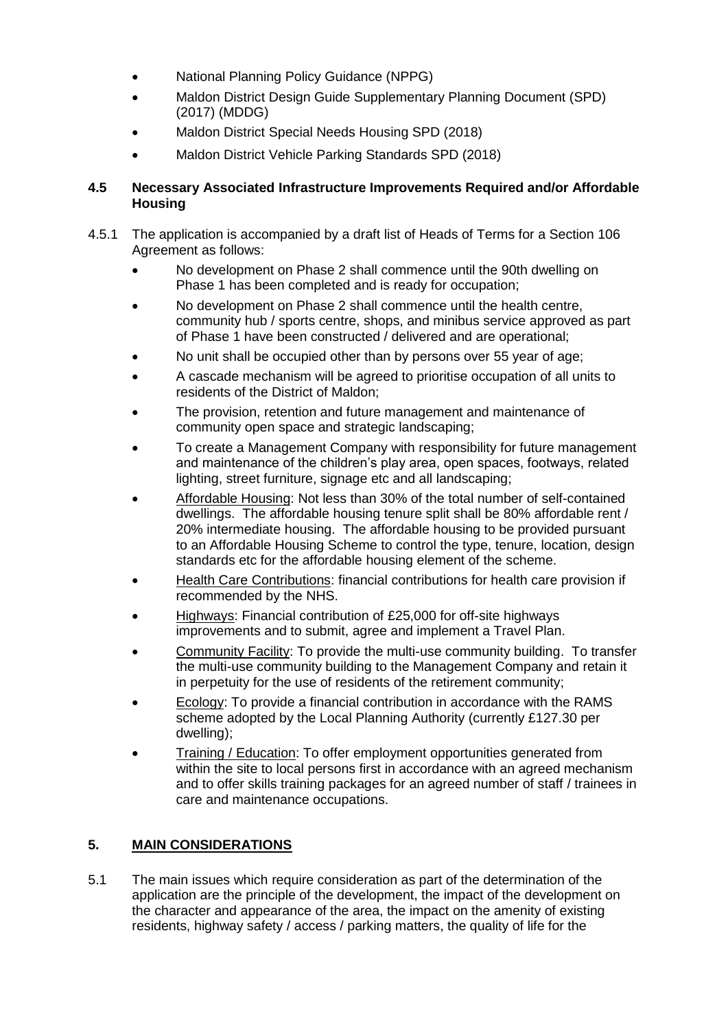- National Planning Policy Guidance (NPPG)
- Maldon District Design Guide Supplementary Planning Document (SPD) (2017) (MDDG)
- Maldon District Special Needs Housing SPD (2018)
- Maldon District Vehicle Parking Standards SPD (2018)

## **4.5 Necessary Associated Infrastructure Improvements Required and/or Affordable Housing**

- 4.5.1 The application is accompanied by a draft list of Heads of Terms for a Section 106 Agreement as follows:
	- No development on Phase 2 shall commence until the 90th dwelling on Phase 1 has been completed and is ready for occupation;
	- No development on Phase 2 shall commence until the health centre, community hub / sports centre, shops, and minibus service approved as part of Phase 1 have been constructed / delivered and are operational;
	- No unit shall be occupied other than by persons over 55 year of age;
	- A cascade mechanism will be agreed to prioritise occupation of all units to residents of the District of Maldon;
	- The provision, retention and future management and maintenance of community open space and strategic landscaping;
	- To create a Management Company with responsibility for future management and maintenance of the children's play area, open spaces, footways, related lighting, street furniture, signage etc and all landscaping;
	- Affordable Housing: Not less than 30% of the total number of self-contained dwellings. The affordable housing tenure split shall be 80% affordable rent / 20% intermediate housing. The affordable housing to be provided pursuant to an Affordable Housing Scheme to control the type, tenure, location, design standards etc for the affordable housing element of the scheme.
	- Health Care Contributions: financial contributions for health care provision if recommended by the NHS.
	- Highways: Financial contribution of £25,000 for off-site highways improvements and to submit, agree and implement a Travel Plan.
	- Community Facility: To provide the multi-use community building. To transfer the multi-use community building to the Management Company and retain it in perpetuity for the use of residents of the retirement community;
	- Ecology: To provide a financial contribution in accordance with the RAMS scheme adopted by the Local Planning Authority (currently £127.30 per dwelling);
	- Training / Education: To offer employment opportunities generated from within the site to local persons first in accordance with an agreed mechanism and to offer skills training packages for an agreed number of staff / trainees in care and maintenance occupations.

## **5. MAIN CONSIDERATIONS**

5.1 The main issues which require consideration as part of the determination of the application are the principle of the development, the impact of the development on the character and appearance of the area, the impact on the amenity of existing residents, highway safety / access / parking matters, the quality of life for the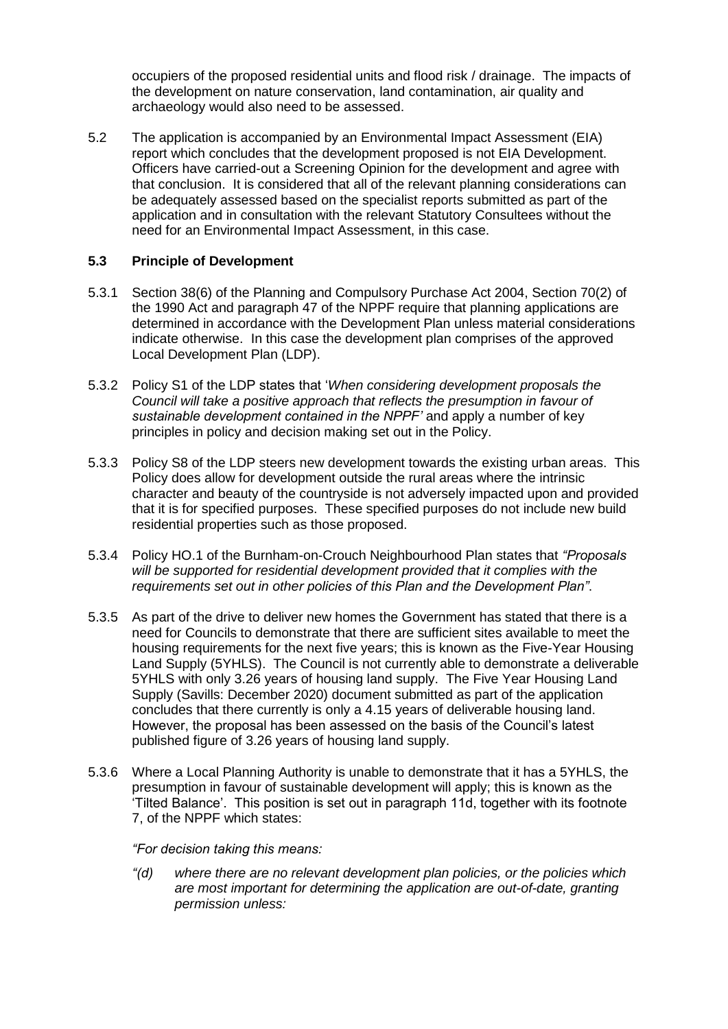occupiers of the proposed residential units and flood risk / drainage. The impacts of the development on nature conservation, land contamination, air quality and archaeology would also need to be assessed.

5.2 The application is accompanied by an Environmental Impact Assessment (EIA) report which concludes that the development proposed is not EIA Development. Officers have carried-out a Screening Opinion for the development and agree with that conclusion. It is considered that all of the relevant planning considerations can be adequately assessed based on the specialist reports submitted as part of the application and in consultation with the relevant Statutory Consultees without the need for an Environmental Impact Assessment, in this case.

## **5.3 Principle of Development**

- 5.3.1 Section 38(6) of the Planning and Compulsory Purchase Act 2004, Section 70(2) of the 1990 Act and paragraph 47 of the NPPF require that planning applications are determined in accordance with the Development Plan unless material considerations indicate otherwise. In this case the development plan comprises of the approved Local Development Plan (LDP).
- 5.3.2 Policy S1 of the LDP states that '*When considering development proposals the Council will take a positive approach that reflects the presumption in favour of sustainable development contained in the NPPF'* and apply a number of key principles in policy and decision making set out in the Policy.
- 5.3.3 Policy S8 of the LDP steers new development towards the existing urban areas. This Policy does allow for development outside the rural areas where the intrinsic character and beauty of the countryside is not adversely impacted upon and provided that it is for specified purposes. These specified purposes do not include new build residential properties such as those proposed.
- 5.3.4 Policy HO.1 of the Burnham-on-Crouch Neighbourhood Plan states that *"Proposals will be supported for residential development provided that it complies with the requirements set out in other policies of this Plan and the Development Plan"*.
- 5.3.5 As part of the drive to deliver new homes the Government has stated that there is a need for Councils to demonstrate that there are sufficient sites available to meet the housing requirements for the next five years; this is known as the Five-Year Housing Land Supply (5YHLS). The Council is not currently able to demonstrate a deliverable 5YHLS with only 3.26 years of housing land supply. The Five Year Housing Land Supply (Savills: December 2020) document submitted as part of the application concludes that there currently is only a 4.15 years of deliverable housing land. However, the proposal has been assessed on the basis of the Council's latest published figure of 3.26 years of housing land supply.
- 5.3.6 Where a Local Planning Authority is unable to demonstrate that it has a 5YHLS, the presumption in favour of sustainable development will apply; this is known as the 'Tilted Balance'. This position is set out in paragraph 11d, together with its footnote 7, of the NPPF which states:

## *"For decision taking this means:*

*"(d) where there are no relevant development plan policies, or the policies which are most important for determining the application are out-of-date, granting permission unless:*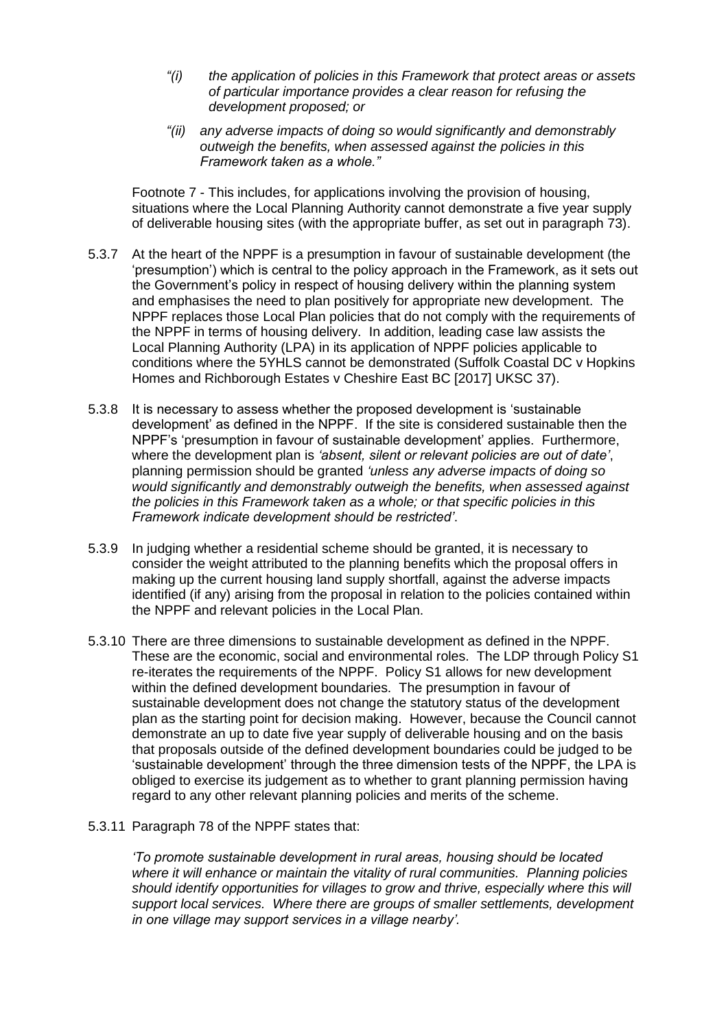- *"(i) the application of policies in this Framework that protect areas or assets of particular importance provides a clear reason for refusing the development proposed; or*
- *"(ii) any adverse impacts of doing so would significantly and demonstrably outweigh the benefits, when assessed against the policies in this Framework taken as a whole."*

Footnote 7 - This includes, for applications involving the provision of housing, situations where the Local Planning Authority cannot demonstrate a five year supply of deliverable housing sites (with the appropriate buffer, as set out in paragraph 73).

- 5.3.7 At the heart of the NPPF is a presumption in favour of sustainable development (the 'presumption') which is central to the policy approach in the Framework, as it sets out the Government's policy in respect of housing delivery within the planning system and emphasises the need to plan positively for appropriate new development. The NPPF replaces those Local Plan policies that do not comply with the requirements of the NPPF in terms of housing delivery. In addition, leading case law assists the Local Planning Authority (LPA) in its application of NPPF policies applicable to conditions where the 5YHLS cannot be demonstrated (Suffolk Coastal DC v Hopkins Homes and Richborough Estates v Cheshire East BC [2017] UKSC 37).
- 5.3.8 It is necessary to assess whether the proposed development is 'sustainable development' as defined in the NPPF. If the site is considered sustainable then the NPPF's 'presumption in favour of sustainable development' applies. Furthermore, where the development plan is *'absent, silent or relevant policies are out of date'*, planning permission should be granted *'unless any adverse impacts of doing so would significantly and demonstrably outweigh the benefits, when assessed against the policies in this Framework taken as a whole; or that specific policies in this Framework indicate development should be restricted'*.
- 5.3.9 In judging whether a residential scheme should be granted, it is necessary to consider the weight attributed to the planning benefits which the proposal offers in making up the current housing land supply shortfall, against the adverse impacts identified (if any) arising from the proposal in relation to the policies contained within the NPPF and relevant policies in the Local Plan.
- 5.3.10 There are three dimensions to sustainable development as defined in the NPPF. These are the economic, social and environmental roles. The LDP through Policy S1 re-iterates the requirements of the NPPF. Policy S1 allows for new development within the defined development boundaries. The presumption in favour of sustainable development does not change the statutory status of the development plan as the starting point for decision making. However, because the Council cannot demonstrate an up to date five year supply of deliverable housing and on the basis that proposals outside of the defined development boundaries could be judged to be 'sustainable development' through the three dimension tests of the NPPF, the LPA is obliged to exercise its judgement as to whether to grant planning permission having regard to any other relevant planning policies and merits of the scheme.
- 5.3.11 Paragraph 78 of the NPPF states that:

*'To promote sustainable development in rural areas, housing should be located where it will enhance or maintain the vitality of rural communities. Planning policies should identify opportunities for villages to grow and thrive, especially where this will support local services. Where there are groups of smaller settlements, development in one village may support services in a village nearby'.*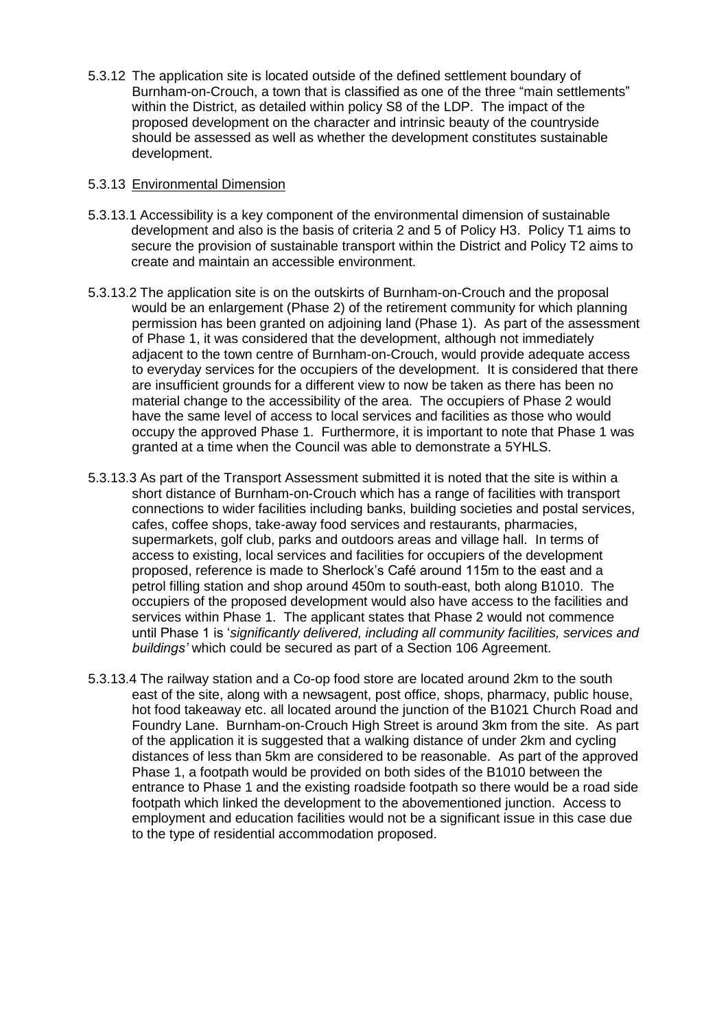5.3.12 The application site is located outside of the defined settlement boundary of Burnham-on-Crouch, a town that is classified as one of the three "main settlements" within the District, as detailed within policy S8 of the LDP. The impact of the proposed development on the character and intrinsic beauty of the countryside should be assessed as well as whether the development constitutes sustainable development.

## 5.3.13 Environmental Dimension

- 5.3.13.1 Accessibility is a key component of the environmental dimension of sustainable development and also is the basis of criteria 2 and 5 of Policy H3. Policy T1 aims to secure the provision of sustainable transport within the District and Policy T2 aims to create and maintain an accessible environment.
- 5.3.13.2 The application site is on the outskirts of Burnham-on-Crouch and the proposal would be an enlargement (Phase 2) of the retirement community for which planning permission has been granted on adjoining land (Phase 1). As part of the assessment of Phase 1, it was considered that the development, although not immediately adjacent to the town centre of Burnham-on-Crouch, would provide adequate access to everyday services for the occupiers of the development. It is considered that there are insufficient grounds for a different view to now be taken as there has been no material change to the accessibility of the area. The occupiers of Phase 2 would have the same level of access to local services and facilities as those who would occupy the approved Phase 1. Furthermore, it is important to note that Phase 1 was granted at a time when the Council was able to demonstrate a 5YHLS.
- 5.3.13.3 As part of the Transport Assessment submitted it is noted that the site is within a short distance of Burnham-on-Crouch which has a range of facilities with transport connections to wider facilities including banks, building societies and postal services, cafes, coffee shops, take-away food services and restaurants, pharmacies, supermarkets, golf club, parks and outdoors areas and village hall. In terms of access to existing, local services and facilities for occupiers of the development proposed, reference is made to Sherlock's Café around 115m to the east and a petrol filling station and shop around 450m to south-east, both along B1010. The occupiers of the proposed development would also have access to the facilities and services within Phase 1. The applicant states that Phase 2 would not commence until Phase 1 is '*significantly delivered, including all community facilities, services and buildings'* which could be secured as part of a Section 106 Agreement.
- 5.3.13.4 The railway station and a Co-op food store are located around 2km to the south east of the site, along with a newsagent, post office, shops, pharmacy, public house, hot food takeaway etc. all located around the junction of the B1021 Church Road and Foundry Lane. Burnham-on-Crouch High Street is around 3km from the site. As part of the application it is suggested that a walking distance of under 2km and cycling distances of less than 5km are considered to be reasonable. As part of the approved Phase 1, a footpath would be provided on both sides of the B1010 between the entrance to Phase 1 and the existing roadside footpath so there would be a road side footpath which linked the development to the abovementioned junction. Access to employment and education facilities would not be a significant issue in this case due to the type of residential accommodation proposed.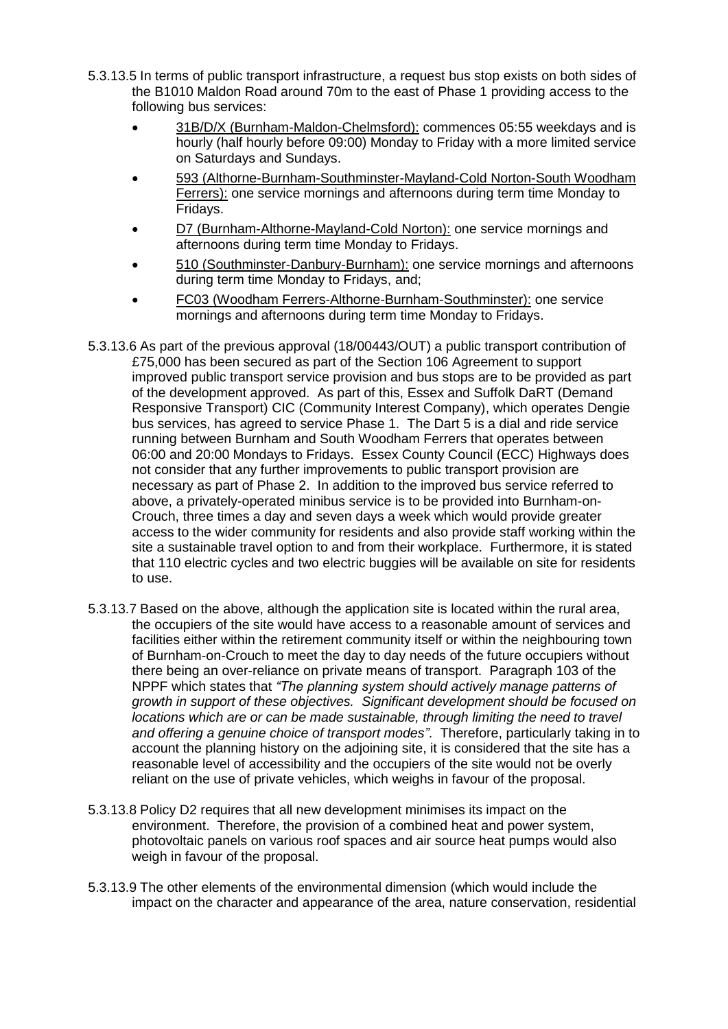- 5.3.13.5 In terms of public transport infrastructure, a request bus stop exists on both sides of the B1010 Maldon Road around 70m to the east of Phase 1 providing access to the following bus services:
	- 31B/D/X (Burnham-Maldon-Chelmsford): commences 05:55 weekdays and is hourly (half hourly before 09:00) Monday to Friday with a more limited service on Saturdays and Sundays.
	- 593 (Althorne-Burnham-Southminster-Mayland-Cold Norton-South Woodham Ferrers): one service mornings and afternoons during term time Monday to Fridays.
	- D7 (Burnham-Althorne-Mayland-Cold Norton): one service mornings and afternoons during term time Monday to Fridays.
	- 510 (Southminster-Danbury-Burnham): one service mornings and afternoons during term time Monday to Fridays, and;
	- FC03 (Woodham Ferrers-Althorne-Burnham-Southminster): one service mornings and afternoons during term time Monday to Fridays.
- 5.3.13.6 As part of the previous approval (18/00443/OUT) a public transport contribution of £75,000 has been secured as part of the Section 106 Agreement to support improved public transport service provision and bus stops are to be provided as part of the development approved. As part of this, Essex and Suffolk DaRT (Demand Responsive Transport) CIC (Community Interest Company), which operates Dengie bus services, has agreed to service Phase 1. The Dart 5 is a dial and ride service running between Burnham and South Woodham Ferrers that operates between 06:00 and 20:00 Mondays to Fridays. Essex County Council (ECC) Highways does not consider that any further improvements to public transport provision are necessary as part of Phase 2. In addition to the improved bus service referred to above, a privately-operated minibus service is to be provided into Burnham-on-Crouch, three times a day and seven days a week which would provide greater access to the wider community for residents and also provide staff working within the site a sustainable travel option to and from their workplace. Furthermore, it is stated that 110 electric cycles and two electric buggies will be available on site for residents to use.
- 5.3.13.7 Based on the above, although the application site is located within the rural area, the occupiers of the site would have access to a reasonable amount of services and facilities either within the retirement community itself or within the neighbouring town of Burnham-on-Crouch to meet the day to day needs of the future occupiers without there being an over-reliance on private means of transport. Paragraph 103 of the NPPF which states that *"The planning system should actively manage patterns of growth in support of these objectives. Significant development should be focused on locations which are or can be made sustainable, through limiting the need to travel and offering a genuine choice of transport modes"*. Therefore, particularly taking in to account the planning history on the adjoining site, it is considered that the site has a reasonable level of accessibility and the occupiers of the site would not be overly reliant on the use of private vehicles, which weighs in favour of the proposal.
- 5.3.13.8 Policy D2 requires that all new development minimises its impact on the environment. Therefore, the provision of a combined heat and power system, photovoltaic panels on various roof spaces and air source heat pumps would also weigh in favour of the proposal.
- 5.3.13.9 The other elements of the environmental dimension (which would include the impact on the character and appearance of the area, nature conservation, residential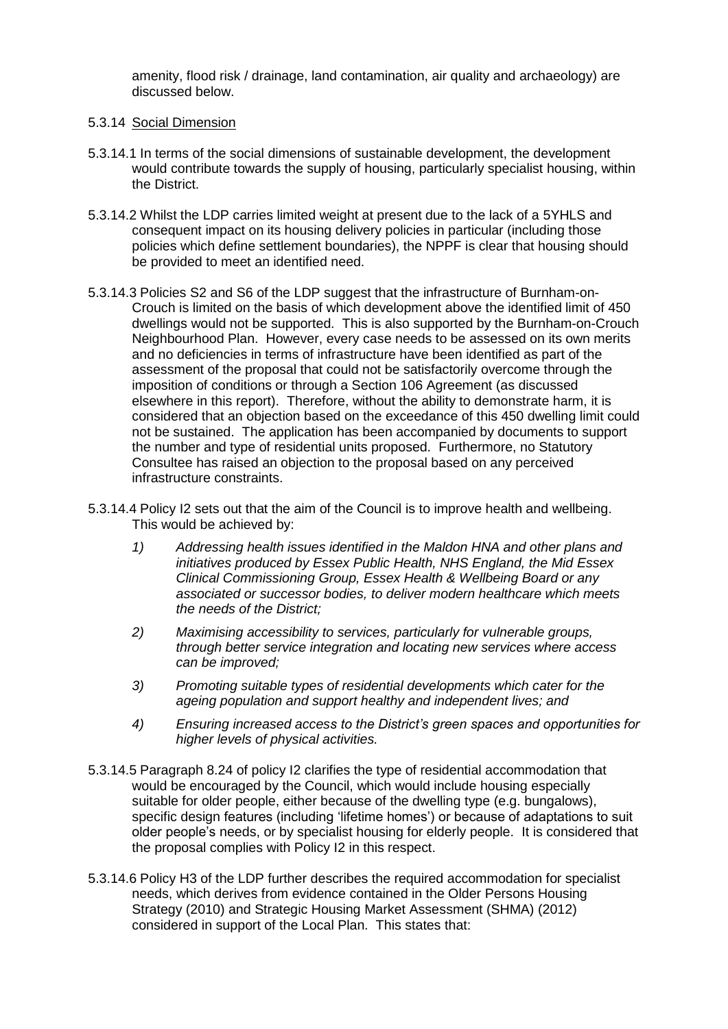amenity, flood risk / drainage, land contamination, air quality and archaeology) are discussed below.

#### 5.3.14 Social Dimension

- 5.3.14.1 In terms of the social dimensions of sustainable development, the development would contribute towards the supply of housing, particularly specialist housing, within the District.
- 5.3.14.2 Whilst the LDP carries limited weight at present due to the lack of a 5YHLS and consequent impact on its housing delivery policies in particular (including those policies which define settlement boundaries), the NPPF is clear that housing should be provided to meet an identified need.
- 5.3.14.3 Policies S2 and S6 of the LDP suggest that the infrastructure of Burnham-on-Crouch is limited on the basis of which development above the identified limit of 450 dwellings would not be supported. This is also supported by the Burnham-on-Crouch Neighbourhood Plan. However, every case needs to be assessed on its own merits and no deficiencies in terms of infrastructure have been identified as part of the assessment of the proposal that could not be satisfactorily overcome through the imposition of conditions or through a Section 106 Agreement (as discussed elsewhere in this report). Therefore, without the ability to demonstrate harm, it is considered that an objection based on the exceedance of this 450 dwelling limit could not be sustained. The application has been accompanied by documents to support the number and type of residential units proposed. Furthermore, no Statutory Consultee has raised an objection to the proposal based on any perceived infrastructure constraints.
- 5.3.14.4 Policy I2 sets out that the aim of the Council is to improve health and wellbeing. This would be achieved by:
	- *1) Addressing health issues identified in the Maldon HNA and other plans and initiatives produced by Essex Public Health, NHS England, the Mid Essex Clinical Commissioning Group, Essex Health & Wellbeing Board or any associated or successor bodies, to deliver modern healthcare which meets the needs of the District;*
	- *2) Maximising accessibility to services, particularly for vulnerable groups, through better service integration and locating new services where access can be improved;*
	- *3) Promoting suitable types of residential developments which cater for the ageing population and support healthy and independent lives; and*
	- *4) Ensuring increased access to the District's green spaces and opportunities for higher levels of physical activities.*
- 5.3.14.5 Paragraph 8.24 of policy I2 clarifies the type of residential accommodation that would be encouraged by the Council, which would include housing especially suitable for older people, either because of the dwelling type (e.g. bungalows), specific design features (including 'lifetime homes') or because of adaptations to suit older people's needs, or by specialist housing for elderly people. It is considered that the proposal complies with Policy I2 in this respect.
- 5.3.14.6 Policy H3 of the LDP further describes the required accommodation for specialist needs, which derives from evidence contained in the Older Persons Housing Strategy (2010) and Strategic Housing Market Assessment (SHMA) (2012) considered in support of the Local Plan. This states that: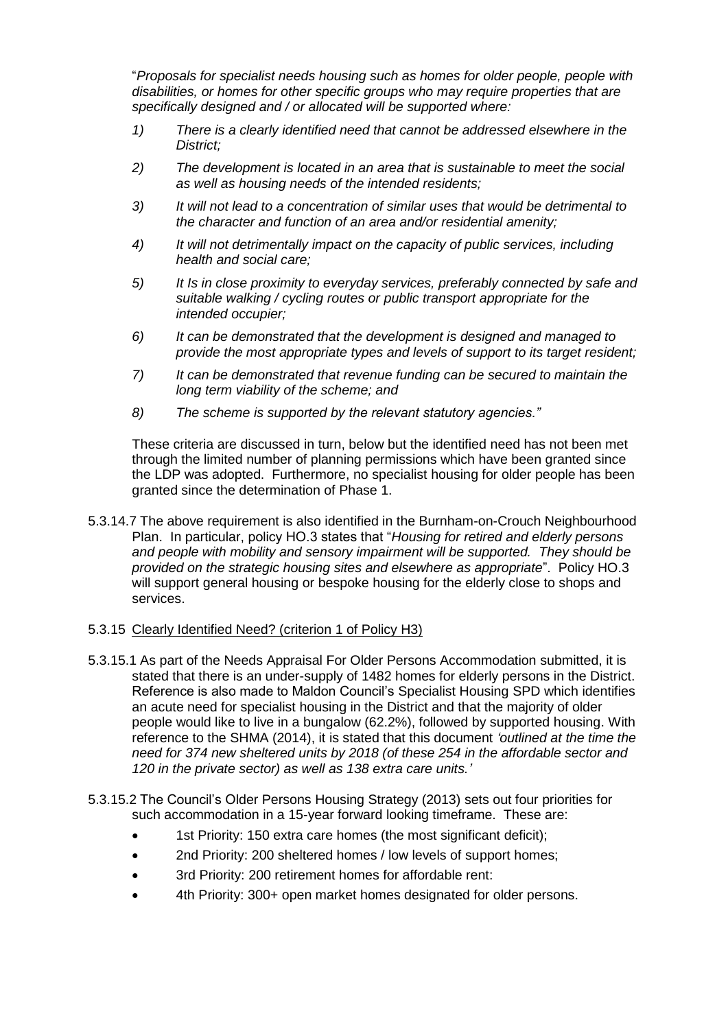"*Proposals for specialist needs housing such as homes for older people, people with disabilities, or homes for other specific groups who may require properties that are specifically designed and / or allocated will be supported where:*

- *1) There is a clearly identified need that cannot be addressed elsewhere in the District;*
- *2) The development is located in an area that is sustainable to meet the social as well as housing needs of the intended residents;*
- *3) It will not lead to a concentration of similar uses that would be detrimental to the character and function of an area and/or residential amenity;*
- *4) It will not detrimentally impact on the capacity of public services, including health and social care;*
- *5) It Is in close proximity to everyday services, preferably connected by safe and suitable walking / cycling routes or public transport appropriate for the intended occupier;*
- *6) It can be demonstrated that the development is designed and managed to provide the most appropriate types and levels of support to its target resident;*
- *7) It can be demonstrated that revenue funding can be secured to maintain the long term viability of the scheme; and*
- *8) The scheme is supported by the relevant statutory agencies."*

These criteria are discussed in turn, below but the identified need has not been met through the limited number of planning permissions which have been granted since the LDP was adopted. Furthermore, no specialist housing for older people has been granted since the determination of Phase 1.

5.3.14.7 The above requirement is also identified in the Burnham-on-Crouch Neighbourhood Plan. In particular, policy HO.3 states that "*Housing for retired and elderly persons and people with mobility and sensory impairment will be supported. They should be provided on the strategic housing sites and elsewhere as appropriate*". Policy HO.3 will support general housing or bespoke housing for the elderly close to shops and services.

#### 5.3.15 Clearly Identified Need? (criterion 1 of Policy H3)

- 5.3.15.1 As part of the Needs Appraisal For Older Persons Accommodation submitted, it is stated that there is an under-supply of 1482 homes for elderly persons in the District. Reference is also made to Maldon Council's Specialist Housing SPD which identifies an acute need for specialist housing in the District and that the majority of older people would like to live in a bungalow (62.2%), followed by supported housing. With reference to the SHMA (2014), it is stated that this document *'outlined at the time the need for 374 new sheltered units by 2018 (of these 254 in the affordable sector and 120 in the private sector) as well as 138 extra care units.'*
- 5.3.15.2 The Council's Older Persons Housing Strategy (2013) sets out four priorities for such accommodation in a 15-year forward looking timeframe. These are:
	- 1st Priority: 150 extra care homes (the most significant deficit);
	- 2nd Priority: 200 sheltered homes / low levels of support homes;
	- 3rd Priority: 200 retirement homes for affordable rent:
	- 4th Priority: 300+ open market homes designated for older persons.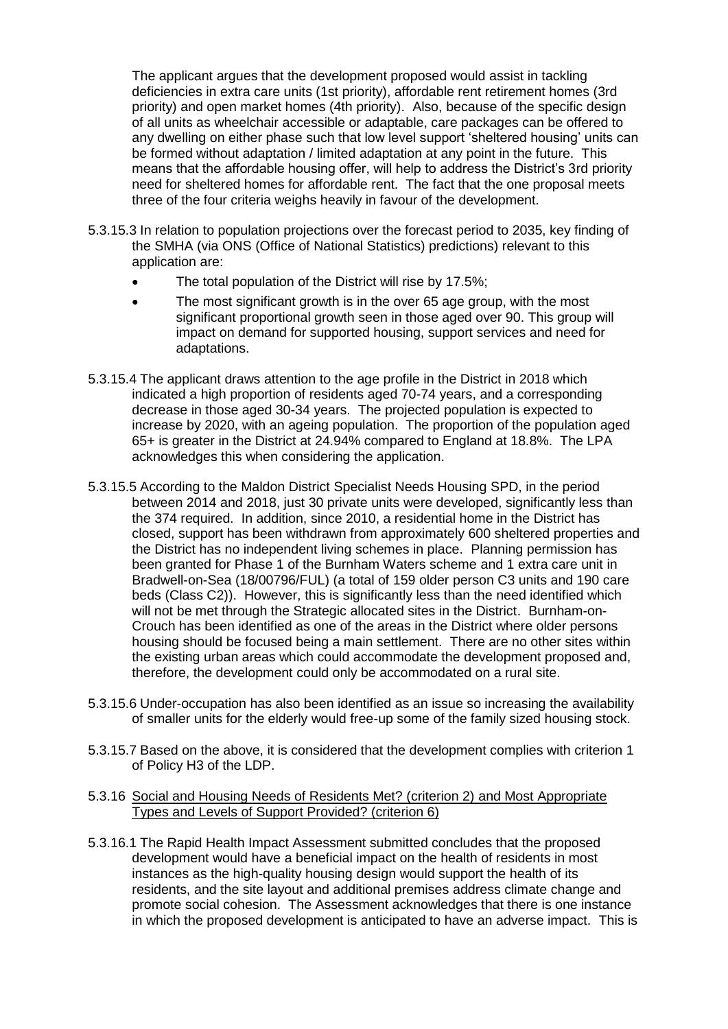The applicant argues that the development proposed would assist in tackling deficiencies in extra care units (1st priority), affordable rent retirement homes (3rd priority) and open market homes (4th priority). Also, because of the specific design of all units as wheelchair accessible or adaptable, care packages can be offered to any dwelling on either phase such that low level support 'sheltered housing' units can be formed without adaptation / limited adaptation at any point in the future. This means that the affordable housing offer, will help to address the District's 3rd priority need for sheltered homes for affordable rent. The fact that the one proposal meets three of the four criteria weighs heavily in favour of the development.

- 5.3.15.3 In relation to population projections over the forecast period to 2035, key finding of the SMHA (via ONS (Office of National Statistics) predictions) relevant to this application are:
	- The total population of the District will rise by 17.5%;
	- The most significant growth is in the over 65 age group, with the most significant proportional growth seen in those aged over 90. This group will impact on demand for supported housing, support services and need for adaptations.
- 5.3.15.4 The applicant draws attention to the age profile in the District in 2018 which indicated a high proportion of residents aged 70-74 years, and a corresponding decrease in those aged 30-34 years. The projected population is expected to increase by 2020, with an ageing population. The proportion of the population aged 65+ is greater in the District at 24.94% compared to England at 18.8%. The LPA acknowledges this when considering the application.
- 5.3.15.5 According to the Maldon District Specialist Needs Housing SPD, in the period between 2014 and 2018, just 30 private units were developed, significantly less than the 374 required. In addition, since 2010, a residential home in the District has closed, support has been withdrawn from approximately 600 sheltered properties and the District has no independent living schemes in place. Planning permission has been granted for Phase 1 of the Burnham Waters scheme and 1 extra care unit in Bradwell-on-Sea (18/00796/FUL) (a total of 159 older person C3 units and 190 care beds (Class C2)). However, this is significantly less than the need identified which will not be met through the Strategic allocated sites in the District. Burnham-on-Crouch has been identified as one of the areas in the District where older persons housing should be focused being a main settlement. There are no other sites within the existing urban areas which could accommodate the development proposed and, therefore, the development could only be accommodated on a rural site.
- 5.3.15.6 Under-occupation has also been identified as an issue so increasing the availability of smaller units for the elderly would free-up some of the family sized housing stock.
- 5.3.15.7 Based on the above, it is considered that the development complies with criterion 1 of Policy H3 of the LDP.

## 5.3.16 Social and Housing Needs of Residents Met? (criterion 2) and Most Appropriate Types and Levels of Support Provided? (criterion 6)

5.3.16.1 The Rapid Health Impact Assessment submitted concludes that the proposed development would have a beneficial impact on the health of residents in most instances as the high-quality housing design would support the health of its residents, and the site layout and additional premises address climate change and promote social cohesion. The Assessment acknowledges that there is one instance in which the proposed development is anticipated to have an adverse impact. This is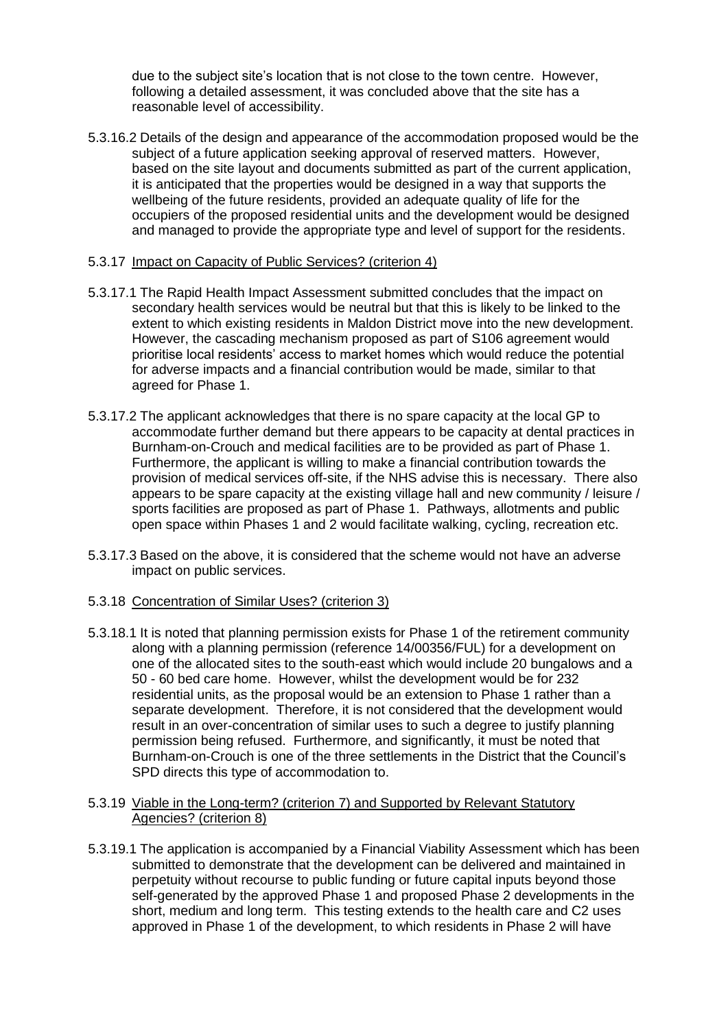due to the subject site's location that is not close to the town centre. However, following a detailed assessment, it was concluded above that the site has a reasonable level of accessibility.

5.3.16.2 Details of the design and appearance of the accommodation proposed would be the subject of a future application seeking approval of reserved matters. However, based on the site layout and documents submitted as part of the current application, it is anticipated that the properties would be designed in a way that supports the wellbeing of the future residents, provided an adequate quality of life for the occupiers of the proposed residential units and the development would be designed and managed to provide the appropriate type and level of support for the residents.

## 5.3.17 Impact on Capacity of Public Services? (criterion 4)

- 5.3.17.1 The Rapid Health Impact Assessment submitted concludes that the impact on secondary health services would be neutral but that this is likely to be linked to the extent to which existing residents in Maldon District move into the new development. However, the cascading mechanism proposed as part of S106 agreement would prioritise local residents' access to market homes which would reduce the potential for adverse impacts and a financial contribution would be made, similar to that agreed for Phase 1.
- 5.3.17.2 The applicant acknowledges that there is no spare capacity at the local GP to accommodate further demand but there appears to be capacity at dental practices in Burnham-on-Crouch and medical facilities are to be provided as part of Phase 1. Furthermore, the applicant is willing to make a financial contribution towards the provision of medical services off-site, if the NHS advise this is necessary. There also appears to be spare capacity at the existing village hall and new community / leisure / sports facilities are proposed as part of Phase 1. Pathways, allotments and public open space within Phases 1 and 2 would facilitate walking, cycling, recreation etc.
- 5.3.17.3 Based on the above, it is considered that the scheme would not have an adverse impact on public services.

#### 5.3.18 Concentration of Similar Uses? (criterion 3)

5.3.18.1 It is noted that planning permission exists for Phase 1 of the retirement community along with a planning permission (reference 14/00356/FUL) for a development on one of the allocated sites to the south-east which would include 20 bungalows and a 50 - 60 bed care home. However, whilst the development would be for 232 residential units, as the proposal would be an extension to Phase 1 rather than a separate development. Therefore, it is not considered that the development would result in an over-concentration of similar uses to such a degree to justify planning permission being refused. Furthermore, and significantly, it must be noted that Burnham-on-Crouch is one of the three settlements in the District that the Council's SPD directs this type of accommodation to.

#### 5.3.19 Viable in the Long-term? (criterion 7) and Supported by Relevant Statutory Agencies? (criterion 8)

5.3.19.1 The application is accompanied by a Financial Viability Assessment which has been submitted to demonstrate that the development can be delivered and maintained in perpetuity without recourse to public funding or future capital inputs beyond those self-generated by the approved Phase 1 and proposed Phase 2 developments in the short, medium and long term. This testing extends to the health care and C2 uses approved in Phase 1 of the development, to which residents in Phase 2 will have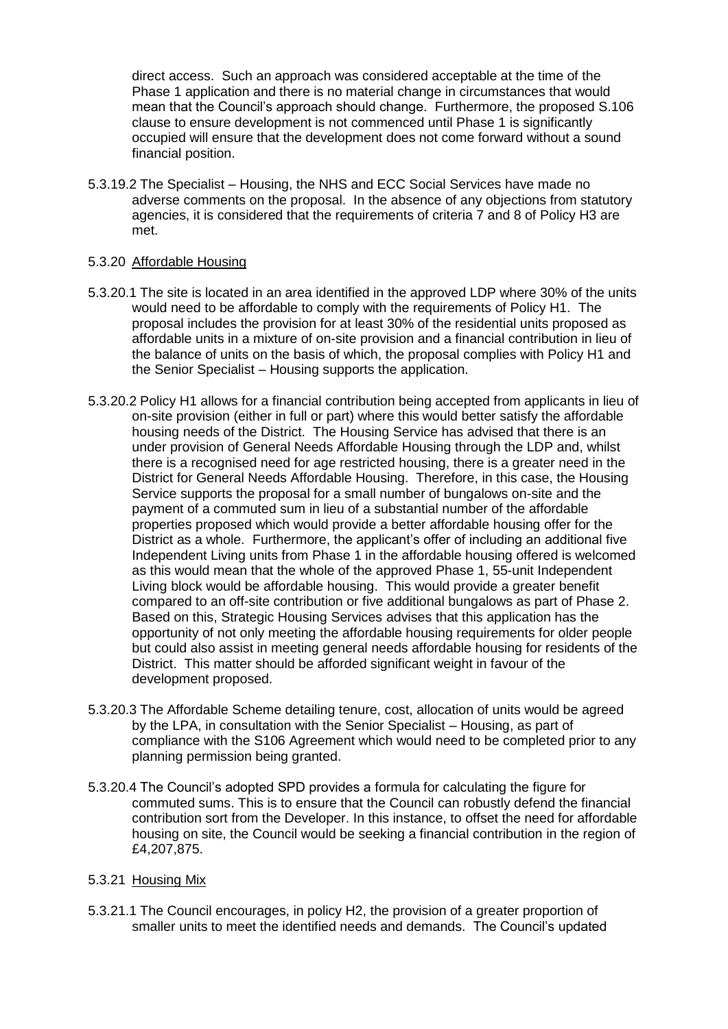direct access. Such an approach was considered acceptable at the time of the Phase 1 application and there is no material change in circumstances that would mean that the Council's approach should change. Furthermore, the proposed S.106 clause to ensure development is not commenced until Phase 1 is significantly occupied will ensure that the development does not come forward without a sound financial position.

5.3.19.2 The Specialist – Housing, the NHS and ECC Social Services have made no adverse comments on the proposal. In the absence of any objections from statutory agencies, it is considered that the requirements of criteria 7 and 8 of Policy H3 are met.

## 5.3.20 Affordable Housing

- 5.3.20.1 The site is located in an area identified in the approved LDP where 30% of the units would need to be affordable to comply with the requirements of Policy H1. The proposal includes the provision for at least 30% of the residential units proposed as affordable units in a mixture of on-site provision and a financial contribution in lieu of the balance of units on the basis of which, the proposal complies with Policy H1 and the Senior Specialist – Housing supports the application.
- 5.3.20.2 Policy H1 allows for a financial contribution being accepted from applicants in lieu of on-site provision (either in full or part) where this would better satisfy the affordable housing needs of the District. The Housing Service has advised that there is an under provision of General Needs Affordable Housing through the LDP and, whilst there is a recognised need for age restricted housing, there is a greater need in the District for General Needs Affordable Housing. Therefore, in this case, the Housing Service supports the proposal for a small number of bungalows on-site and the payment of a commuted sum in lieu of a substantial number of the affordable properties proposed which would provide a better affordable housing offer for the District as a whole. Furthermore, the applicant's offer of including an additional five Independent Living units from Phase 1 in the affordable housing offered is welcomed as this would mean that the whole of the approved Phase 1, 55-unit Independent Living block would be affordable housing. This would provide a greater benefit compared to an off-site contribution or five additional bungalows as part of Phase 2. Based on this, Strategic Housing Services advises that this application has the opportunity of not only meeting the affordable housing requirements for older people but could also assist in meeting general needs affordable housing for residents of the District. This matter should be afforded significant weight in favour of the development proposed.
- 5.3.20.3 The Affordable Scheme detailing tenure, cost, allocation of units would be agreed by the LPA, in consultation with the Senior Specialist – Housing, as part of compliance with the S106 Agreement which would need to be completed prior to any planning permission being granted.
- 5.3.20.4 The Council's adopted SPD provides a formula for calculating the figure for commuted sums. This is to ensure that the Council can robustly defend the financial contribution sort from the Developer. In this instance, to offset the need for affordable housing on site, the Council would be seeking a financial contribution in the region of £4,207,875.

## 5.3.21 Housing Mix

5.3.21.1 The Council encourages, in policy H2, the provision of a greater proportion of smaller units to meet the identified needs and demands. The Council's updated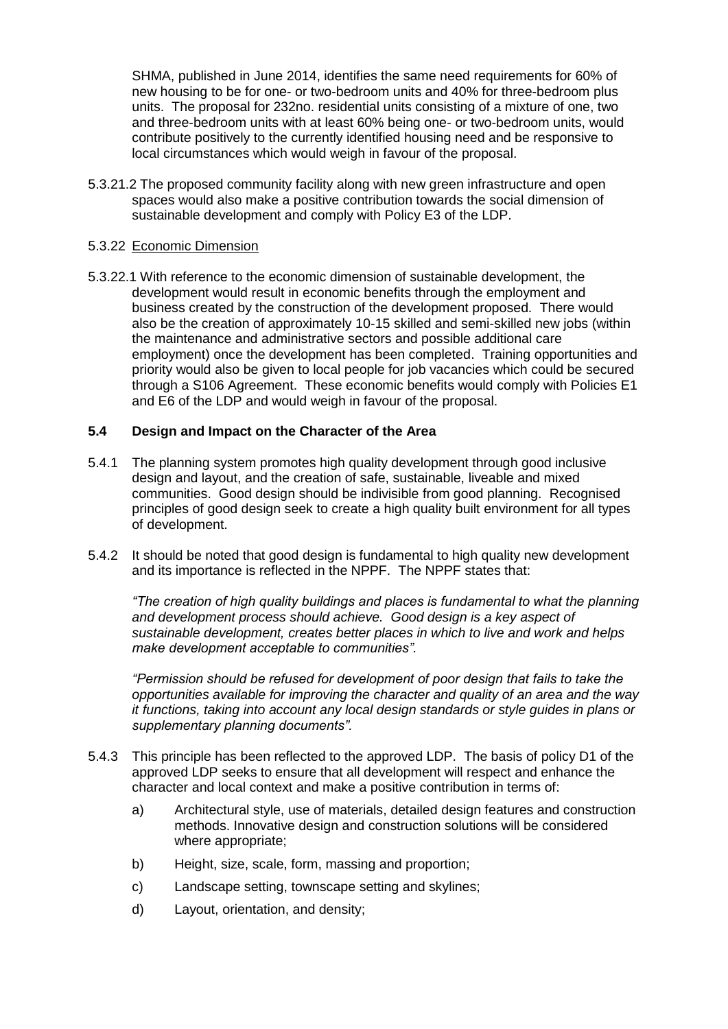SHMA, published in June 2014, identifies the same need requirements for 60% of new housing to be for one- or two-bedroom units and 40% for three-bedroom plus units. The proposal for 232no. residential units consisting of a mixture of one, two and three-bedroom units with at least 60% being one- or two-bedroom units, would contribute positively to the currently identified housing need and be responsive to local circumstances which would weigh in favour of the proposal.

5.3.21.2 The proposed community facility along with new green infrastructure and open spaces would also make a positive contribution towards the social dimension of sustainable development and comply with Policy E3 of the LDP.

#### 5.3.22 Economic Dimension

5.3.22.1 With reference to the economic dimension of sustainable development, the development would result in economic benefits through the employment and business created by the construction of the development proposed. There would also be the creation of approximately 10-15 skilled and semi-skilled new jobs (within the maintenance and administrative sectors and possible additional care employment) once the development has been completed. Training opportunities and priority would also be given to local people for job vacancies which could be secured through a S106 Agreement. These economic benefits would comply with Policies E1 and E6 of the LDP and would weigh in favour of the proposal.

## **5.4 Design and Impact on the Character of the Area**

- 5.4.1 The planning system promotes high quality development through good inclusive design and layout, and the creation of safe, sustainable, liveable and mixed communities. Good design should be indivisible from good planning. Recognised principles of good design seek to create a high quality built environment for all types of development.
- 5.4.2 It should be noted that good design is fundamental to high quality new development and its importance is reflected in the NPPF. The NPPF states that:

*"The creation of high quality buildings and places is fundamental to what the planning and development process should achieve. Good design is a key aspect of sustainable development, creates better places in which to live and work and helps make development acceptable to communities".* 

*"Permission should be refused for development of poor design that fails to take the opportunities available for improving the character and quality of an area and the way it functions, taking into account any local design standards or style guides in plans or supplementary planning documents".*

- 5.4.3 This principle has been reflected to the approved LDP. The basis of policy D1 of the approved LDP seeks to ensure that all development will respect and enhance the character and local context and make a positive contribution in terms of:
	- a) Architectural style, use of materials, detailed design features and construction methods. Innovative design and construction solutions will be considered where appropriate;
	- b) Height, size, scale, form, massing and proportion;
	- c) Landscape setting, townscape setting and skylines;
	- d) Layout, orientation, and density;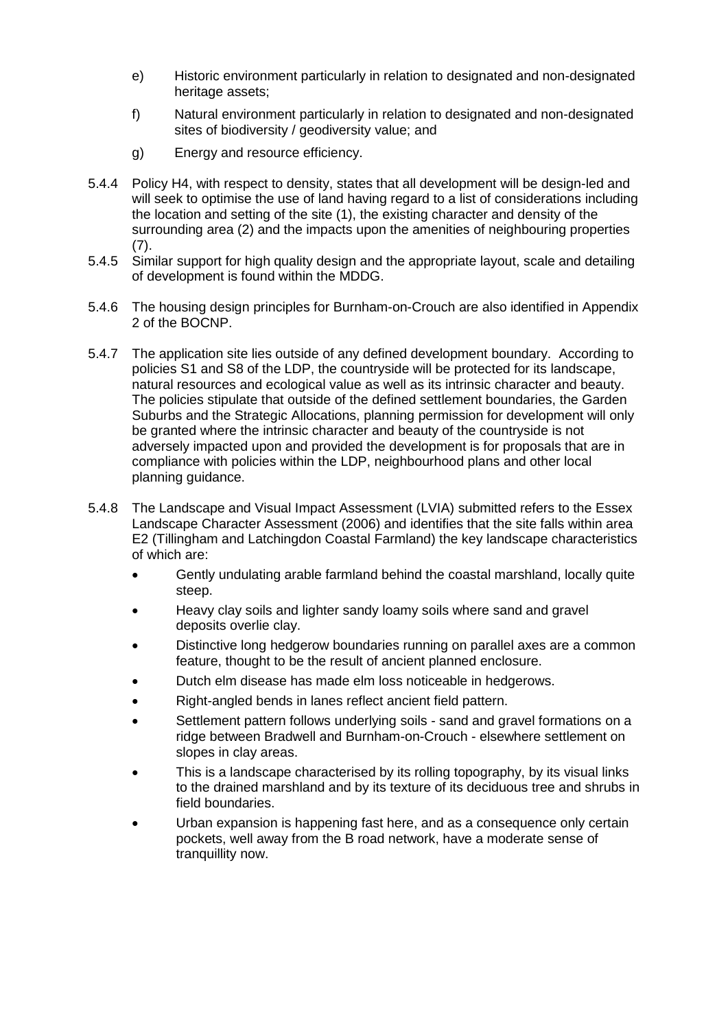- e) Historic environment particularly in relation to designated and non-designated heritage assets;
- f) Natural environment particularly in relation to designated and non-designated sites of biodiversity / geodiversity value; and
- g) Energy and resource efficiency.
- 5.4.4 Policy H4, with respect to density, states that all development will be design-led and will seek to optimise the use of land having regard to a list of considerations including the location and setting of the site (1), the existing character and density of the surrounding area (2) and the impacts upon the amenities of neighbouring properties (7).
- 5.4.5 Similar support for high quality design and the appropriate layout, scale and detailing of development is found within the MDDG.
- 5.4.6 The housing design principles for Burnham-on-Crouch are also identified in Appendix 2 of the BOCNP.
- 5.4.7 The application site lies outside of any defined development boundary. According to policies S1 and S8 of the LDP, the countryside will be protected for its landscape, natural resources and ecological value as well as its intrinsic character and beauty. The policies stipulate that outside of the defined settlement boundaries, the Garden Suburbs and the Strategic Allocations, planning permission for development will only be granted where the intrinsic character and beauty of the countryside is not adversely impacted upon and provided the development is for proposals that are in compliance with policies within the LDP, neighbourhood plans and other local planning guidance.
- 5.4.8 The Landscape and Visual Impact Assessment (LVIA) submitted refers to the Essex Landscape Character Assessment (2006) and identifies that the site falls within area E2 (Tillingham and Latchingdon Coastal Farmland) the key landscape characteristics of which are:
	- Gently undulating arable farmland behind the coastal marshland, locally quite steep.
	- Heavy clay soils and lighter sandy loamy soils where sand and gravel deposits overlie clay.
	- Distinctive long hedgerow boundaries running on parallel axes are a common feature, thought to be the result of ancient planned enclosure.
	- Dutch elm disease has made elm loss noticeable in hedgerows.
	- Right-angled bends in lanes reflect ancient field pattern.
	- Settlement pattern follows underlying soils sand and gravel formations on a ridge between Bradwell and Burnham-on-Crouch - elsewhere settlement on slopes in clay areas.
	- This is a landscape characterised by its rolling topography, by its visual links to the drained marshland and by its texture of its deciduous tree and shrubs in field boundaries.
	- Urban expansion is happening fast here, and as a consequence only certain pockets, well away from the B road network, have a moderate sense of tranquillity now.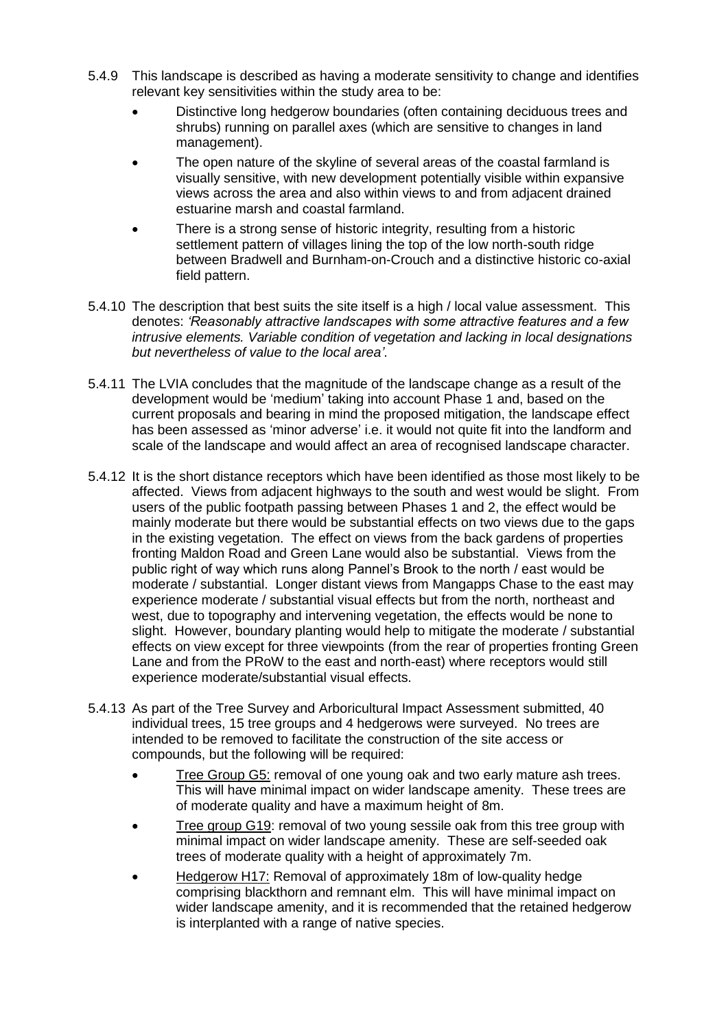- 5.4.9 This landscape is described as having a moderate sensitivity to change and identifies relevant key sensitivities within the study area to be:
	- Distinctive long hedgerow boundaries (often containing deciduous trees and shrubs) running on parallel axes (which are sensitive to changes in land management).
	- The open nature of the skyline of several areas of the coastal farmland is visually sensitive, with new development potentially visible within expansive views across the area and also within views to and from adjacent drained estuarine marsh and coastal farmland.
	- There is a strong sense of historic integrity, resulting from a historic settlement pattern of villages lining the top of the low north-south ridge between Bradwell and Burnham-on-Crouch and a distinctive historic co-axial field pattern.
- 5.4.10 The description that best suits the site itself is a high / local value assessment. This denotes: *'Reasonably attractive landscapes with some attractive features and a few intrusive elements. Variable condition of vegetation and lacking in local designations but nevertheless of value to the local area'*.
- 5.4.11 The LVIA concludes that the magnitude of the landscape change as a result of the development would be 'medium' taking into account Phase 1 and, based on the current proposals and bearing in mind the proposed mitigation, the landscape effect has been assessed as 'minor adverse' i.e. it would not quite fit into the landform and scale of the landscape and would affect an area of recognised landscape character.
- 5.4.12 It is the short distance receptors which have been identified as those most likely to be affected. Views from adjacent highways to the south and west would be slight. From users of the public footpath passing between Phases 1 and 2, the effect would be mainly moderate but there would be substantial effects on two views due to the gaps in the existing vegetation. The effect on views from the back gardens of properties fronting Maldon Road and Green Lane would also be substantial. Views from the public right of way which runs along Pannel's Brook to the north / east would be moderate / substantial. Longer distant views from Mangapps Chase to the east may experience moderate / substantial visual effects but from the north, northeast and west, due to topography and intervening vegetation, the effects would be none to slight. However, boundary planting would help to mitigate the moderate / substantial effects on view except for three viewpoints (from the rear of properties fronting Green Lane and from the PRoW to the east and north-east) where receptors would still experience moderate/substantial visual effects.
- 5.4.13 As part of the Tree Survey and Arboricultural Impact Assessment submitted, 40 individual trees, 15 tree groups and 4 hedgerows were surveyed. No trees are intended to be removed to facilitate the construction of the site access or compounds, but the following will be required:
	- Tree Group G5: removal of one young oak and two early mature ash trees. This will have minimal impact on wider landscape amenity. These trees are of moderate quality and have a maximum height of 8m.
	- Tree group G19: removal of two young sessile oak from this tree group with minimal impact on wider landscape amenity. These are self-seeded oak trees of moderate quality with a height of approximately 7m.
	- Hedgerow H17: Removal of approximately 18m of low-quality hedge comprising blackthorn and remnant elm. This will have minimal impact on wider landscape amenity, and it is recommended that the retained hedgerow is interplanted with a range of native species.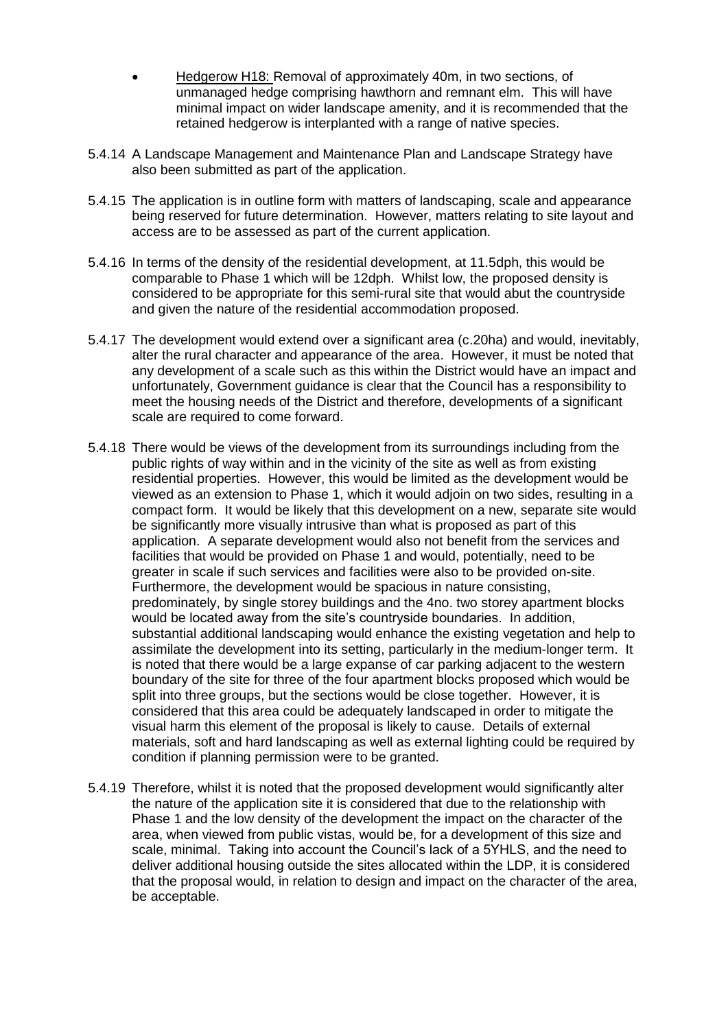- Hedgerow H18: Removal of approximately 40m, in two sections, of unmanaged hedge comprising hawthorn and remnant elm. This will have minimal impact on wider landscape amenity, and it is recommended that the retained hedgerow is interplanted with a range of native species.
- 5.4.14 A Landscape Management and Maintenance Plan and Landscape Strategy have also been submitted as part of the application.
- 5.4.15 The application is in outline form with matters of landscaping, scale and appearance being reserved for future determination. However, matters relating to site layout and access are to be assessed as part of the current application.
- 5.4.16 In terms of the density of the residential development, at 11.5dph, this would be comparable to Phase 1 which will be 12dph. Whilst low, the proposed density is considered to be appropriate for this semi-rural site that would abut the countryside and given the nature of the residential accommodation proposed.
- 5.4.17 The development would extend over a significant area (c.20ha) and would, inevitably, alter the rural character and appearance of the area. However, it must be noted that any development of a scale such as this within the District would have an impact and unfortunately, Government guidance is clear that the Council has a responsibility to meet the housing needs of the District and therefore, developments of a significant scale are required to come forward.
- 5.4.18 There would be views of the development from its surroundings including from the public rights of way within and in the vicinity of the site as well as from existing residential properties. However, this would be limited as the development would be viewed as an extension to Phase 1, which it would adjoin on two sides, resulting in a compact form. It would be likely that this development on a new, separate site would be significantly more visually intrusive than what is proposed as part of this application. A separate development would also not benefit from the services and facilities that would be provided on Phase 1 and would, potentially, need to be greater in scale if such services and facilities were also to be provided on-site. Furthermore, the development would be spacious in nature consisting, predominately, by single storey buildings and the 4no. two storey apartment blocks would be located away from the site's countryside boundaries. In addition, substantial additional landscaping would enhance the existing vegetation and help to assimilate the development into its setting, particularly in the medium-longer term. It is noted that there would be a large expanse of car parking adjacent to the western boundary of the site for three of the four apartment blocks proposed which would be split into three groups, but the sections would be close together. However, it is considered that this area could be adequately landscaped in order to mitigate the visual harm this element of the proposal is likely to cause. Details of external materials, soft and hard landscaping as well as external lighting could be required by condition if planning permission were to be granted.
- 5.4.19 Therefore, whilst it is noted that the proposed development would significantly alter the nature of the application site it is considered that due to the relationship with Phase 1 and the low density of the development the impact on the character of the area, when viewed from public vistas, would be, for a development of this size and scale, minimal. Taking into account the Council's lack of a 5YHLS, and the need to deliver additional housing outside the sites allocated within the LDP, it is considered that the proposal would, in relation to design and impact on the character of the area, be acceptable.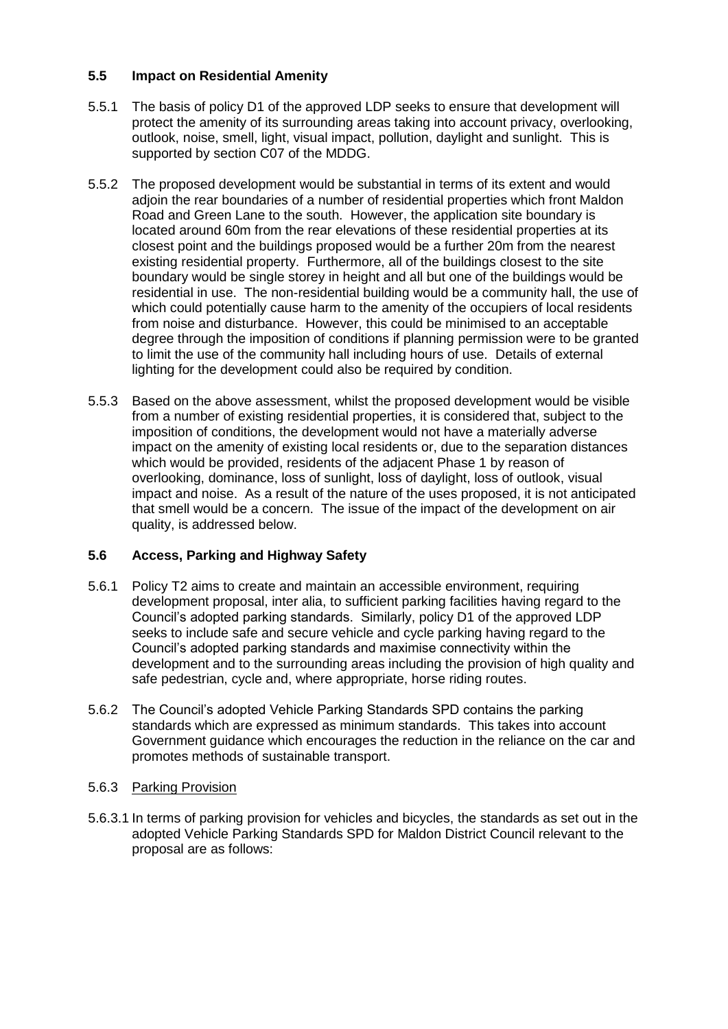## **5.5 Impact on Residential Amenity**

- 5.5.1 The basis of policy D1 of the approved LDP seeks to ensure that development will protect the amenity of its surrounding areas taking into account privacy, overlooking, outlook, noise, smell, light, visual impact, pollution, daylight and sunlight. This is supported by section C07 of the MDDG.
- 5.5.2 The proposed development would be substantial in terms of its extent and would adjoin the rear boundaries of a number of residential properties which front Maldon Road and Green Lane to the south. However, the application site boundary is located around 60m from the rear elevations of these residential properties at its closest point and the buildings proposed would be a further 20m from the nearest existing residential property. Furthermore, all of the buildings closest to the site boundary would be single storey in height and all but one of the buildings would be residential in use. The non-residential building would be a community hall, the use of which could potentially cause harm to the amenity of the occupiers of local residents from noise and disturbance. However, this could be minimised to an acceptable degree through the imposition of conditions if planning permission were to be granted to limit the use of the community hall including hours of use. Details of external lighting for the development could also be required by condition.
- 5.5.3 Based on the above assessment, whilst the proposed development would be visible from a number of existing residential properties, it is considered that, subject to the imposition of conditions, the development would not have a materially adverse impact on the amenity of existing local residents or, due to the separation distances which would be provided, residents of the adjacent Phase 1 by reason of overlooking, dominance, loss of sunlight, loss of daylight, loss of outlook, visual impact and noise. As a result of the nature of the uses proposed, it is not anticipated that smell would be a concern. The issue of the impact of the development on air quality, is addressed below.

## **5.6 Access, Parking and Highway Safety**

- 5.6.1 Policy T2 aims to create and maintain an accessible environment, requiring development proposal, inter alia, to sufficient parking facilities having regard to the Council's adopted parking standards. Similarly, policy D1 of the approved LDP seeks to include safe and secure vehicle and cycle parking having regard to the Council's adopted parking standards and maximise connectivity within the development and to the surrounding areas including the provision of high quality and safe pedestrian, cycle and, where appropriate, horse riding routes.
- 5.6.2 The Council's adopted Vehicle Parking Standards SPD contains the parking standards which are expressed as minimum standards. This takes into account Government guidance which encourages the reduction in the reliance on the car and promotes methods of sustainable transport.

## 5.6.3 Parking Provision

5.6.3.1 In terms of parking provision for vehicles and bicycles, the standards as set out in the adopted Vehicle Parking Standards SPD for Maldon District Council relevant to the proposal are as follows: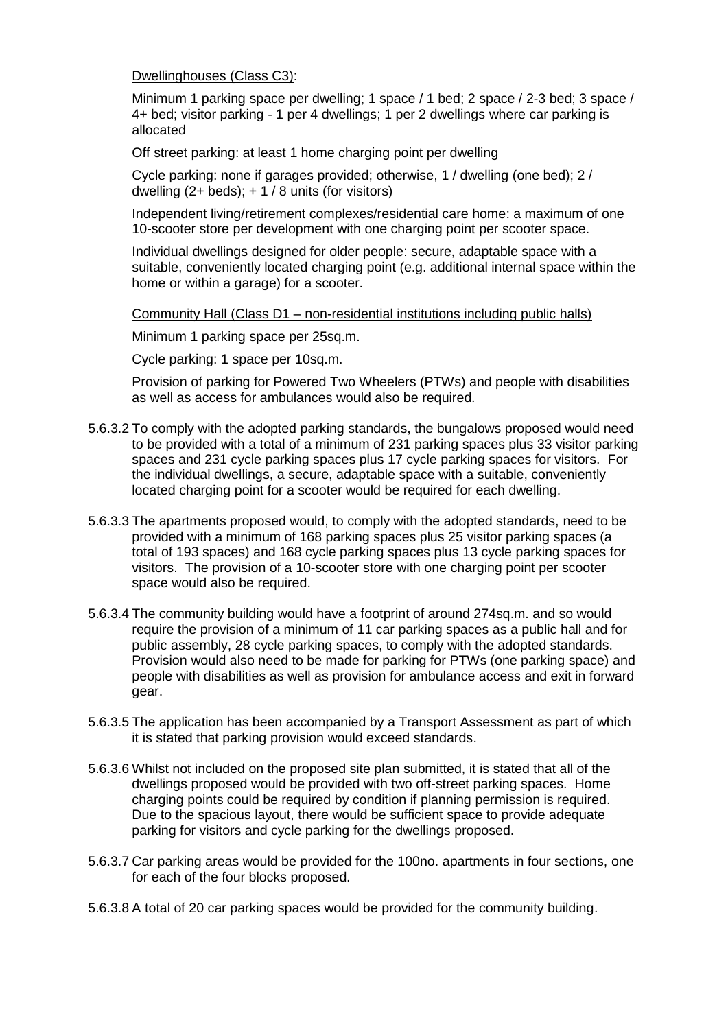Dwellinghouses (Class C3):

Minimum 1 parking space per dwelling; 1 space / 1 bed; 2 space / 2-3 bed; 3 space / 4+ bed; visitor parking - 1 per 4 dwellings; 1 per 2 dwellings where car parking is allocated

Off street parking: at least 1 home charging point per dwelling

Cycle parking: none if garages provided; otherwise, 1 / dwelling (one bed); 2 / dwelling  $(2 + \text{beds})$ :  $+ 1/8$  units (for visitors)

Independent living/retirement complexes/residential care home: a maximum of one 10-scooter store per development with one charging point per scooter space.

Individual dwellings designed for older people: secure, adaptable space with a suitable, conveniently located charging point (e.g. additional internal space within the home or within a garage) for a scooter.

Community Hall (Class D1 – non-residential institutions including public halls)

Minimum 1 parking space per 25sq.m.

Cycle parking: 1 space per 10sq.m.

Provision of parking for Powered Two Wheelers (PTWs) and people with disabilities as well as access for ambulances would also be required.

- 5.6.3.2 To comply with the adopted parking standards, the bungalows proposed would need to be provided with a total of a minimum of 231 parking spaces plus 33 visitor parking spaces and 231 cycle parking spaces plus 17 cycle parking spaces for visitors. For the individual dwellings, a secure, adaptable space with a suitable, conveniently located charging point for a scooter would be required for each dwelling.
- 5.6.3.3 The apartments proposed would, to comply with the adopted standards, need to be provided with a minimum of 168 parking spaces plus 25 visitor parking spaces (a total of 193 spaces) and 168 cycle parking spaces plus 13 cycle parking spaces for visitors. The provision of a 10-scooter store with one charging point per scooter space would also be required.
- 5.6.3.4 The community building would have a footprint of around 274sq.m. and so would require the provision of a minimum of 11 car parking spaces as a public hall and for public assembly, 28 cycle parking spaces, to comply with the adopted standards. Provision would also need to be made for parking for PTWs (one parking space) and people with disabilities as well as provision for ambulance access and exit in forward gear.
- 5.6.3.5 The application has been accompanied by a Transport Assessment as part of which it is stated that parking provision would exceed standards.
- 5.6.3.6 Whilst not included on the proposed site plan submitted, it is stated that all of the dwellings proposed would be provided with two off-street parking spaces. Home charging points could be required by condition if planning permission is required. Due to the spacious layout, there would be sufficient space to provide adequate parking for visitors and cycle parking for the dwellings proposed.
- 5.6.3.7 Car parking areas would be provided for the 100no. apartments in four sections, one for each of the four blocks proposed.
- 5.6.3.8 A total of 20 car parking spaces would be provided for the community building.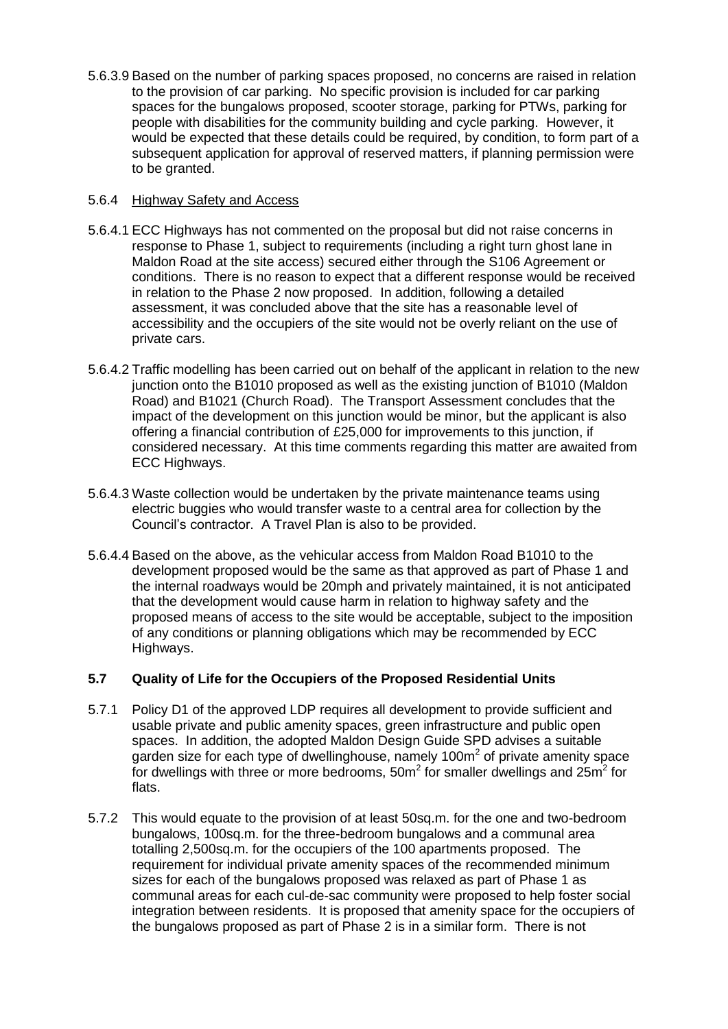5.6.3.9 Based on the number of parking spaces proposed, no concerns are raised in relation to the provision of car parking. No specific provision is included for car parking spaces for the bungalows proposed, scooter storage, parking for PTWs, parking for people with disabilities for the community building and cycle parking. However, it would be expected that these details could be required, by condition, to form part of a subsequent application for approval of reserved matters, if planning permission were to be granted.

## 5.6.4 Highway Safety and Access

- 5.6.4.1 ECC Highways has not commented on the proposal but did not raise concerns in response to Phase 1, subject to requirements (including a right turn ghost lane in Maldon Road at the site access) secured either through the S106 Agreement or conditions. There is no reason to expect that a different response would be received in relation to the Phase 2 now proposed. In addition, following a detailed assessment, it was concluded above that the site has a reasonable level of accessibility and the occupiers of the site would not be overly reliant on the use of private cars.
- 5.6.4.2 Traffic modelling has been carried out on behalf of the applicant in relation to the new junction onto the B1010 proposed as well as the existing junction of B1010 (Maldon Road) and B1021 (Church Road). The Transport Assessment concludes that the impact of the development on this junction would be minor, but the applicant is also offering a financial contribution of £25,000 for improvements to this junction, if considered necessary. At this time comments regarding this matter are awaited from ECC Highways.
- 5.6.4.3 Waste collection would be undertaken by the private maintenance teams using electric buggies who would transfer waste to a central area for collection by the Council's contractor. A Travel Plan is also to be provided.
- 5.6.4.4 Based on the above, as the vehicular access from Maldon Road B1010 to the development proposed would be the same as that approved as part of Phase 1 and the internal roadways would be 20mph and privately maintained, it is not anticipated that the development would cause harm in relation to highway safety and the proposed means of access to the site would be acceptable, subject to the imposition of any conditions or planning obligations which may be recommended by ECC Highways.

## **5.7 Quality of Life for the Occupiers of the Proposed Residential Units**

- 5.7.1 Policy D1 of the approved LDP requires all development to provide sufficient and usable private and public amenity spaces, green infrastructure and public open spaces. In addition, the adopted Maldon Design Guide SPD advises a suitable garden size for each type of dwellinghouse, namely 100 $m<sup>2</sup>$  of private amenity space for dwellings with three or more bedrooms,  $50m^2$  for smaller dwellings and  $25m^2$  for flats.
- 5.7.2 This would equate to the provision of at least 50sq.m. for the one and two-bedroom bungalows, 100sq.m. for the three-bedroom bungalows and a communal area totalling 2,500sq.m. for the occupiers of the 100 apartments proposed. The requirement for individual private amenity spaces of the recommended minimum sizes for each of the bungalows proposed was relaxed as part of Phase 1 as communal areas for each cul-de-sac community were proposed to help foster social integration between residents. It is proposed that amenity space for the occupiers of the bungalows proposed as part of Phase 2 is in a similar form. There is not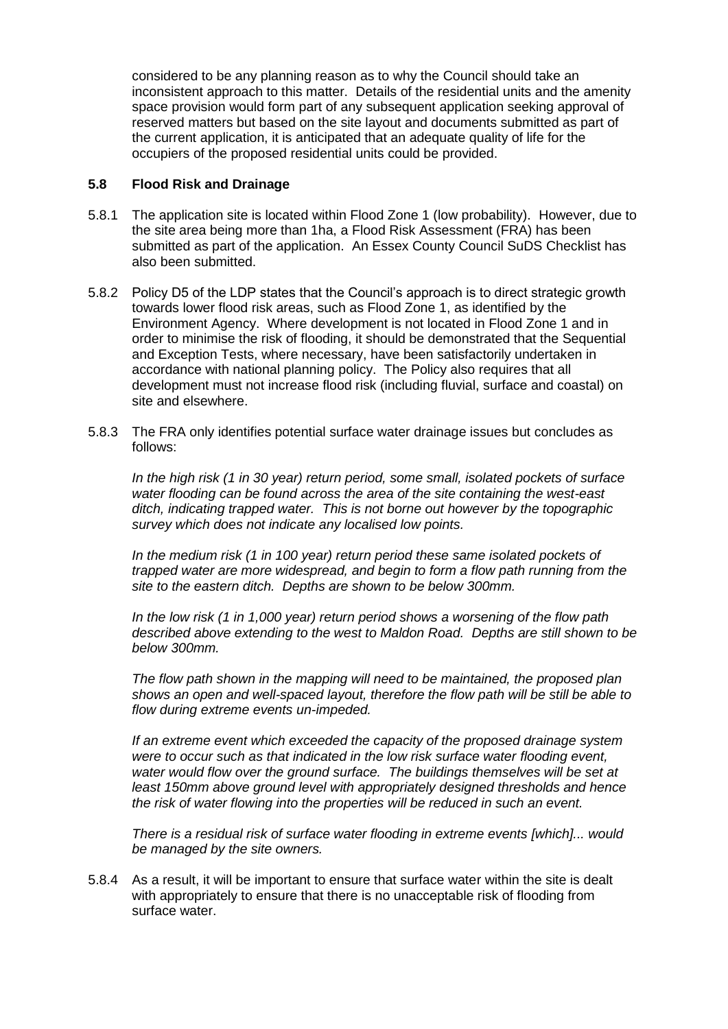considered to be any planning reason as to why the Council should take an inconsistent approach to this matter. Details of the residential units and the amenity space provision would form part of any subsequent application seeking approval of reserved matters but based on the site layout and documents submitted as part of the current application, it is anticipated that an adequate quality of life for the occupiers of the proposed residential units could be provided.

## **5.8 Flood Risk and Drainage**

- 5.8.1 The application site is located within Flood Zone 1 (low probability). However, due to the site area being more than 1ha, a Flood Risk Assessment (FRA) has been submitted as part of the application. An Essex County Council SuDS Checklist has also been submitted.
- 5.8.2 Policy D5 of the LDP states that the Council's approach is to direct strategic growth towards lower flood risk areas, such as Flood Zone 1, as identified by the Environment Agency. Where development is not located in Flood Zone 1 and in order to minimise the risk of flooding, it should be demonstrated that the Sequential and Exception Tests, where necessary, have been satisfactorily undertaken in accordance with national planning policy. The Policy also requires that all development must not increase flood risk (including fluvial, surface and coastal) on site and elsewhere.
- 5.8.3 The FRA only identifies potential surface water drainage issues but concludes as follows:

*In the high risk (1 in 30 year) return period, some small, isolated pockets of surface water flooding can be found across the area of the site containing the west-east ditch, indicating trapped water. This is not borne out however by the topographic survey which does not indicate any localised low points.*

In the medium risk (1 in 100 year) return period these same isolated pockets of *trapped water are more widespread, and begin to form a flow path running from the site to the eastern ditch. Depths are shown to be below 300mm.* 

*In the low risk (1 in 1,000 year) return period shows a worsening of the flow path described above extending to the west to Maldon Road. Depths are still shown to be below 300mm.*

*The flow path shown in the mapping will need to be maintained, the proposed plan shows an open and well-spaced layout, therefore the flow path will be still be able to flow during extreme events un-impeded.*

*If an extreme event which exceeded the capacity of the proposed drainage system were to occur such as that indicated in the low risk surface water flooding event, water would flow over the ground surface. The buildings themselves will be set at least 150mm above ground level with appropriately designed thresholds and hence the risk of water flowing into the properties will be reduced in such an event.*

*There is a residual risk of surface water flooding in extreme events [which]... would be managed by the site owners.*

5.8.4 As a result, it will be important to ensure that surface water within the site is dealt with appropriately to ensure that there is no unacceptable risk of flooding from surface water.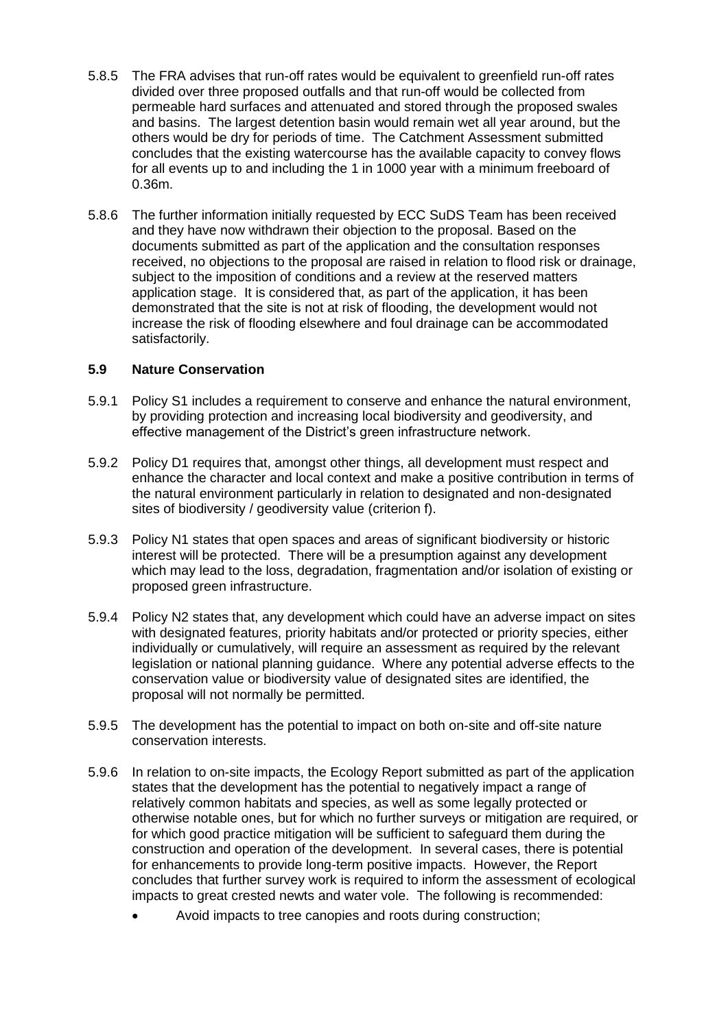- 5.8.5 The FRA advises that run-off rates would be equivalent to greenfield run-off rates divided over three proposed outfalls and that run-off would be collected from permeable hard surfaces and attenuated and stored through the proposed swales and basins. The largest detention basin would remain wet all year around, but the others would be dry for periods of time. The Catchment Assessment submitted concludes that the existing watercourse has the available capacity to convey flows for all events up to and including the 1 in 1000 year with a minimum freeboard of 0.36m.
- 5.8.6 The further information initially requested by ECC SuDS Team has been received and they have now withdrawn their objection to the proposal. Based on the documents submitted as part of the application and the consultation responses received, no objections to the proposal are raised in relation to flood risk or drainage, subject to the imposition of conditions and a review at the reserved matters application stage. It is considered that, as part of the application, it has been demonstrated that the site is not at risk of flooding, the development would not increase the risk of flooding elsewhere and foul drainage can be accommodated satisfactorily.

## **5.9 Nature Conservation**

- 5.9.1 Policy S1 includes a requirement to conserve and enhance the natural environment, by providing protection and increasing local biodiversity and geodiversity, and effective management of the District's green infrastructure network.
- 5.9.2 Policy D1 requires that, amongst other things, all development must respect and enhance the character and local context and make a positive contribution in terms of the natural environment particularly in relation to designated and non-designated sites of biodiversity / geodiversity value (criterion f).
- 5.9.3 Policy N1 states that open spaces and areas of significant biodiversity or historic interest will be protected. There will be a presumption against any development which may lead to the loss, degradation, fragmentation and/or isolation of existing or proposed green infrastructure.
- 5.9.4 Policy N2 states that, any development which could have an adverse impact on sites with designated features, priority habitats and/or protected or priority species, either individually or cumulatively, will require an assessment as required by the relevant legislation or national planning guidance. Where any potential adverse effects to the conservation value or biodiversity value of designated sites are identified, the proposal will not normally be permitted.
- 5.9.5 The development has the potential to impact on both on-site and off-site nature conservation interests.
- 5.9.6 In relation to on-site impacts, the Ecology Report submitted as part of the application states that the development has the potential to negatively impact a range of relatively common habitats and species, as well as some legally protected or otherwise notable ones, but for which no further surveys or mitigation are required, or for which good practice mitigation will be sufficient to safeguard them during the construction and operation of the development. In several cases, there is potential for enhancements to provide long-term positive impacts. However, the Report concludes that further survey work is required to inform the assessment of ecological impacts to great crested newts and water vole. The following is recommended:
	- Avoid impacts to tree canopies and roots during construction;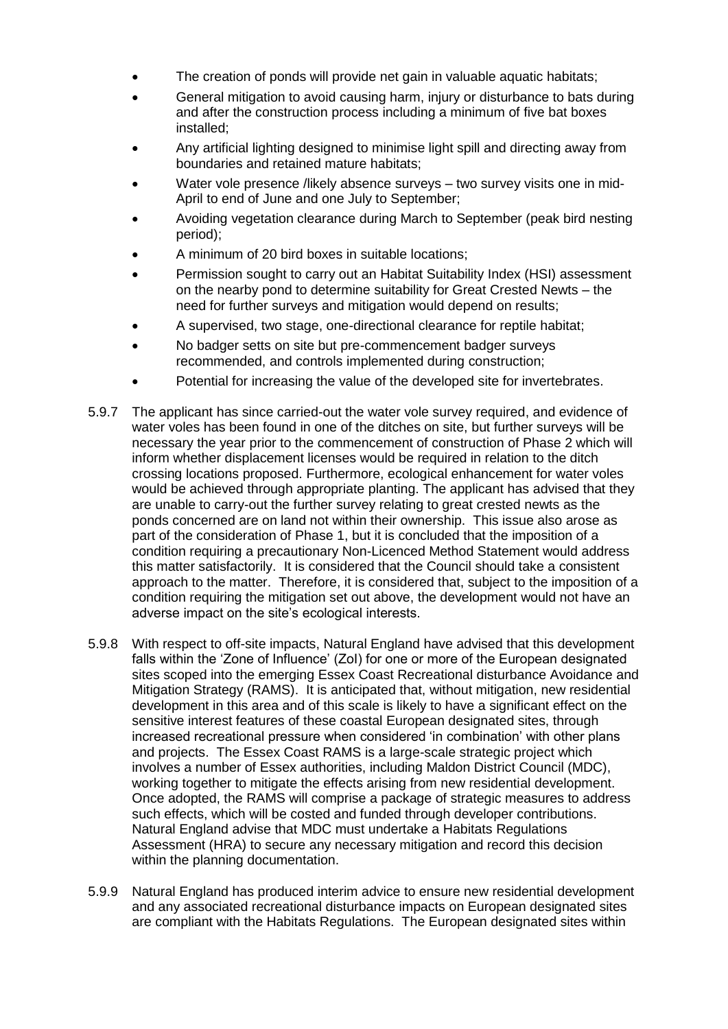- The creation of ponds will provide net gain in valuable aquatic habitats;
- General mitigation to avoid causing harm, injury or disturbance to bats during and after the construction process including a minimum of five bat boxes installed;
- Any artificial lighting designed to minimise light spill and directing away from boundaries and retained mature habitats;
- Water vole presence /likely absence surveys two survey visits one in mid-April to end of June and one July to September;
- Avoiding vegetation clearance during March to September (peak bird nesting period);
- A minimum of 20 bird boxes in suitable locations;
- Permission sought to carry out an Habitat Suitability Index (HSI) assessment on the nearby pond to determine suitability for Great Crested Newts – the need for further surveys and mitigation would depend on results;
- A supervised, two stage, one-directional clearance for reptile habitat;
- No badger setts on site but pre-commencement badger surveys recommended, and controls implemented during construction;
- Potential for increasing the value of the developed site for invertebrates.
- 5.9.7 The applicant has since carried-out the water vole survey required, and evidence of water voles has been found in one of the ditches on site, but further surveys will be necessary the year prior to the commencement of construction of Phase 2 which will inform whether displacement licenses would be required in relation to the ditch crossing locations proposed. Furthermore, ecological enhancement for water voles would be achieved through appropriate planting. The applicant has advised that they are unable to carry-out the further survey relating to great crested newts as the ponds concerned are on land not within their ownership. This issue also arose as part of the consideration of Phase 1, but it is concluded that the imposition of a condition requiring a precautionary Non-Licenced Method Statement would address this matter satisfactorily. It is considered that the Council should take a consistent approach to the matter. Therefore, it is considered that, subject to the imposition of a condition requiring the mitigation set out above, the development would not have an adverse impact on the site's ecological interests.
- 5.9.8 With respect to off-site impacts, Natural England have advised that this development falls within the 'Zone of Influence' (ZoI) for one or more of the European designated sites scoped into the emerging Essex Coast Recreational disturbance Avoidance and Mitigation Strategy (RAMS). It is anticipated that, without mitigation, new residential development in this area and of this scale is likely to have a significant effect on the sensitive interest features of these coastal European designated sites, through increased recreational pressure when considered 'in combination' with other plans and projects. The Essex Coast RAMS is a large-scale strategic project which involves a number of Essex authorities, including Maldon District Council (MDC), working together to mitigate the effects arising from new residential development. Once adopted, the RAMS will comprise a package of strategic measures to address such effects, which will be costed and funded through developer contributions. Natural England advise that MDC must undertake a Habitats Regulations Assessment (HRA) to secure any necessary mitigation and record this decision within the planning documentation.
- 5.9.9 Natural England has produced interim advice to ensure new residential development and any associated recreational disturbance impacts on European designated sites are compliant with the Habitats Regulations. The European designated sites within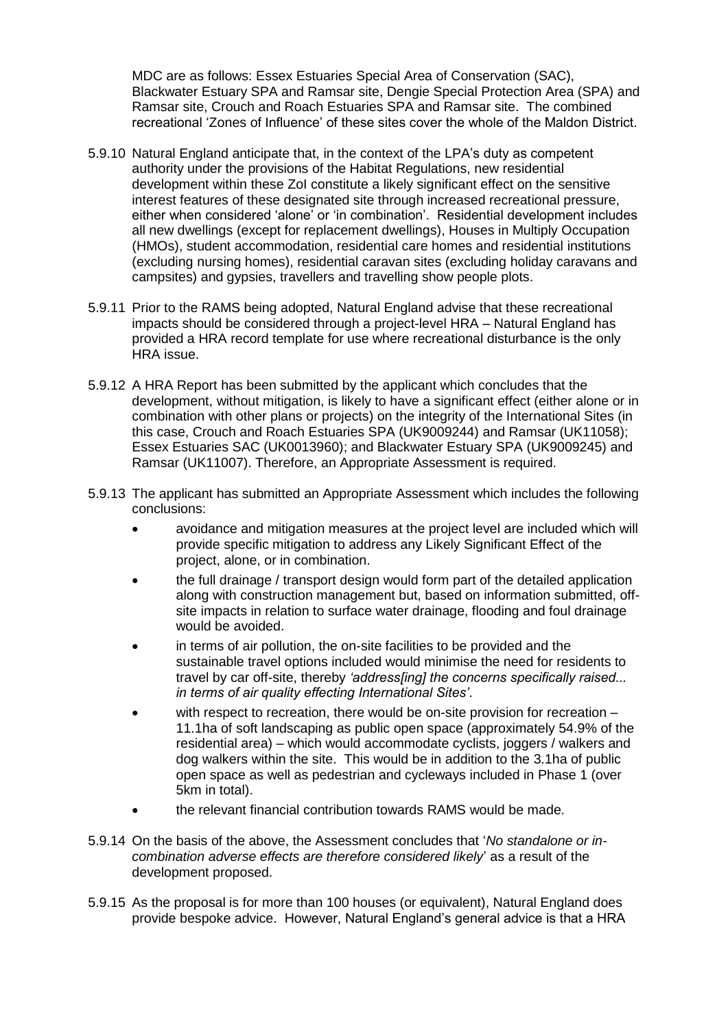MDC are as follows: Essex Estuaries Special Area of Conservation (SAC), Blackwater Estuary SPA and Ramsar site, Dengie Special Protection Area (SPA) and Ramsar site, Crouch and Roach Estuaries SPA and Ramsar site. The combined recreational 'Zones of Influence' of these sites cover the whole of the Maldon District.

- 5.9.10 Natural England anticipate that, in the context of the LPA's duty as competent authority under the provisions of the Habitat Regulations, new residential development within these ZoI constitute a likely significant effect on the sensitive interest features of these designated site through increased recreational pressure, either when considered 'alone' or 'in combination'. Residential development includes all new dwellings (except for replacement dwellings), Houses in Multiply Occupation (HMOs), student accommodation, residential care homes and residential institutions (excluding nursing homes), residential caravan sites (excluding holiday caravans and campsites) and gypsies, travellers and travelling show people plots.
- 5.9.11 Prior to the RAMS being adopted, Natural England advise that these recreational impacts should be considered through a project-level HRA – Natural England has provided a HRA record template for use where recreational disturbance is the only HRA issue.
- 5.9.12 A HRA Report has been submitted by the applicant which concludes that the development, without mitigation, is likely to have a significant effect (either alone or in combination with other plans or projects) on the integrity of the International Sites (in this case, Crouch and Roach Estuaries SPA (UK9009244) and Ramsar (UK11058); Essex Estuaries SAC (UK0013960); and Blackwater Estuary SPA (UK9009245) and Ramsar (UK11007). Therefore, an Appropriate Assessment is required.
- 5.9.13 The applicant has submitted an Appropriate Assessment which includes the following conclusions:
	- avoidance and mitigation measures at the project level are included which will provide specific mitigation to address any Likely Significant Effect of the project, alone, or in combination.
	- the full drainage / transport design would form part of the detailed application along with construction management but, based on information submitted, offsite impacts in relation to surface water drainage, flooding and foul drainage would be avoided.
	- in terms of air pollution, the on-site facilities to be provided and the sustainable travel options included would minimise the need for residents to travel by car off-site, thereby *'address[ing] the concerns specifically raised... in terms of air quality effecting International Sites'*.
	- with respect to recreation, there would be on-site provision for recreation 11.1ha of soft landscaping as public open space (approximately 54.9% of the residential area) – which would accommodate cyclists, joggers / walkers and dog walkers within the site. This would be in addition to the 3.1ha of public open space as well as pedestrian and cycleways included in Phase 1 (over 5km in total).
	- the relevant financial contribution towards RAMS would be made.
- 5.9.14 On the basis of the above, the Assessment concludes that '*No standalone or incombination adverse effects are therefore considered likely*' as a result of the development proposed.
- 5.9.15 As the proposal is for more than 100 houses (or equivalent), Natural England does provide bespoke advice. However, Natural England's general advice is that a HRA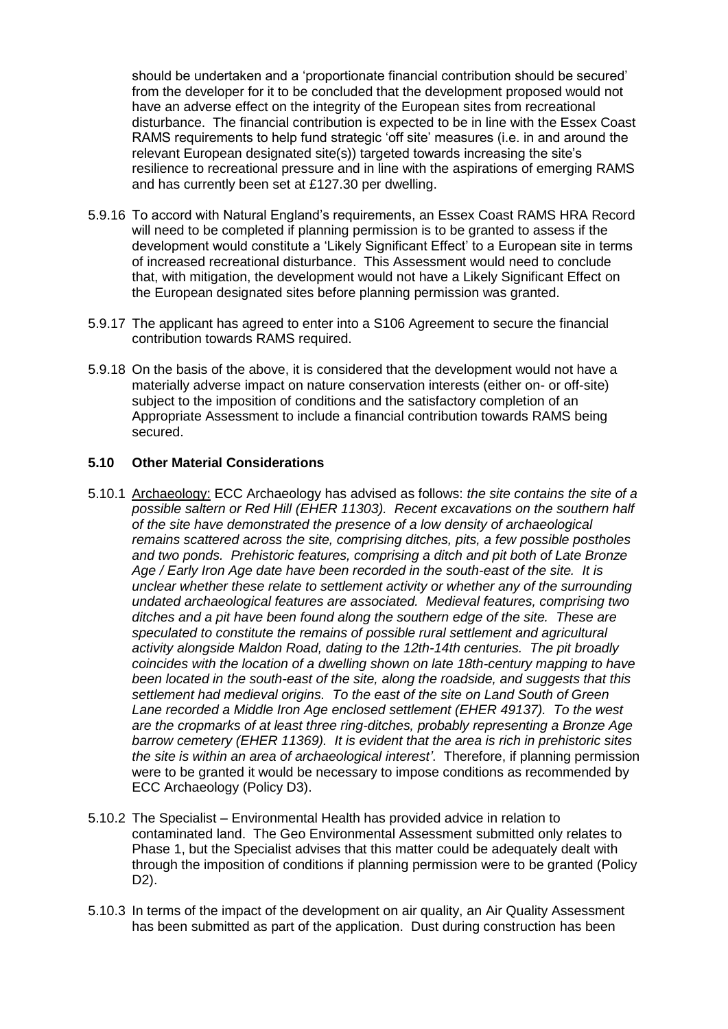should be undertaken and a 'proportionate financial contribution should be secured' from the developer for it to be concluded that the development proposed would not have an adverse effect on the integrity of the European sites from recreational disturbance. The financial contribution is expected to be in line with the Essex Coast RAMS requirements to help fund strategic 'off site' measures (i.e. in and around the relevant European designated site(s)) targeted towards increasing the site's resilience to recreational pressure and in line with the aspirations of emerging RAMS and has currently been set at £127.30 per dwelling.

- 5.9.16 To accord with Natural England's requirements, an Essex Coast RAMS HRA Record will need to be completed if planning permission is to be granted to assess if the development would constitute a 'Likely Significant Effect' to a European site in terms of increased recreational disturbance. This Assessment would need to conclude that, with mitigation, the development would not have a Likely Significant Effect on the European designated sites before planning permission was granted.
- 5.9.17 The applicant has agreed to enter into a S106 Agreement to secure the financial contribution towards RAMS required.
- 5.9.18 On the basis of the above, it is considered that the development would not have a materially adverse impact on nature conservation interests (either on- or off-site) subject to the imposition of conditions and the satisfactory completion of an Appropriate Assessment to include a financial contribution towards RAMS being secured.

### **5.10 Other Material Considerations**

- 5.10.1 Archaeology: ECC Archaeology has advised as follows: *the site contains the site of a possible saltern or Red Hill (EHER 11303). Recent excavations on the southern half of the site have demonstrated the presence of a low density of archaeological remains scattered across the site, comprising ditches, pits, a few possible postholes and two ponds. Prehistoric features, comprising a ditch and pit both of Late Bronze Age / Early Iron Age date have been recorded in the south-east of the site. It is unclear whether these relate to settlement activity or whether any of the surrounding undated archaeological features are associated. Medieval features, comprising two ditches and a pit have been found along the southern edge of the site. These are speculated to constitute the remains of possible rural settlement and agricultural activity alongside Maldon Road, dating to the 12th-14th centuries. The pit broadly coincides with the location of a dwelling shown on late 18th-century mapping to have been located in the south-east of the site, along the roadside, and suggests that this settlement had medieval origins. To the east of the site on Land South of Green Lane recorded a Middle Iron Age enclosed settlement (EHER 49137). To the west are the cropmarks of at least three ring-ditches, probably representing a Bronze Age barrow cemetery (EHER 11369). It is evident that the area is rich in prehistoric sites the site is within an area of archaeological interest'*. Therefore, if planning permission were to be granted it would be necessary to impose conditions as recommended by ECC Archaeology (Policy D3).
- 5.10.2 The Specialist Environmental Health has provided advice in relation to contaminated land. The Geo Environmental Assessment submitted only relates to Phase 1, but the Specialist advises that this matter could be adequately dealt with through the imposition of conditions if planning permission were to be granted (Policy D2).
- 5.10.3 In terms of the impact of the development on air quality, an Air Quality Assessment has been submitted as part of the application. Dust during construction has been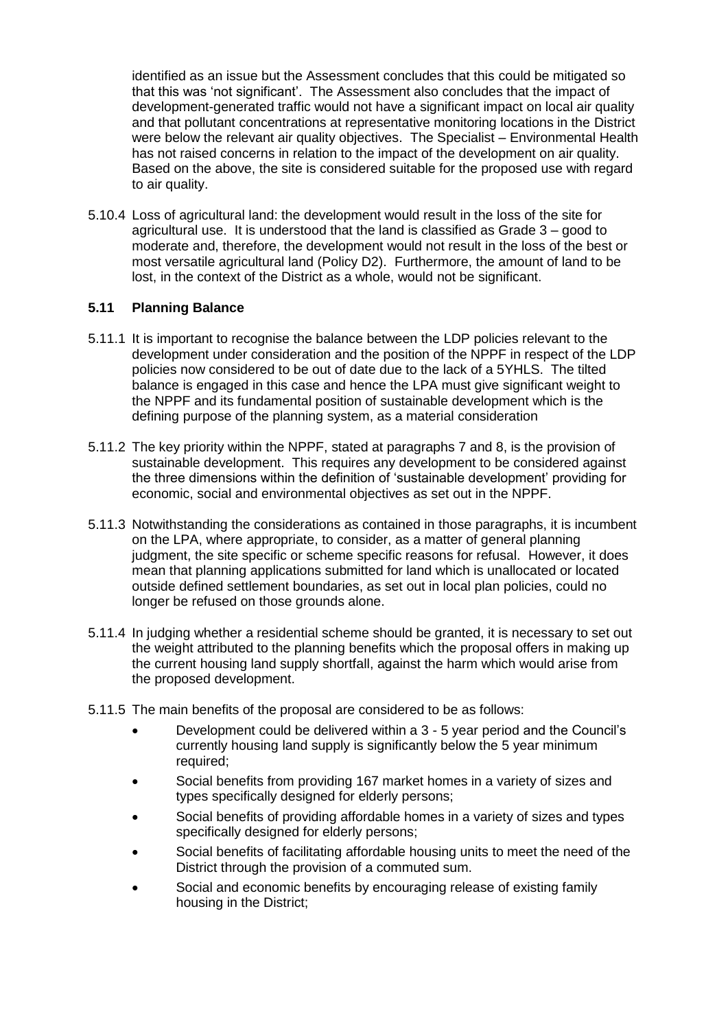identified as an issue but the Assessment concludes that this could be mitigated so that this was 'not significant'. The Assessment also concludes that the impact of development-generated traffic would not have a significant impact on local air quality and that pollutant concentrations at representative monitoring locations in the District were below the relevant air quality objectives. The Specialist – Environmental Health has not raised concerns in relation to the impact of the development on air quality. Based on the above, the site is considered suitable for the proposed use with regard to air quality.

5.10.4 Loss of agricultural land: the development would result in the loss of the site for agricultural use. It is understood that the land is classified as Grade 3 – good to moderate and, therefore, the development would not result in the loss of the best or most versatile agricultural land (Policy D2). Furthermore, the amount of land to be lost, in the context of the District as a whole, would not be significant.

## **5.11 Planning Balance**

- 5.11.1 It is important to recognise the balance between the LDP policies relevant to the development under consideration and the position of the NPPF in respect of the LDP policies now considered to be out of date due to the lack of a 5YHLS. The tilted balance is engaged in this case and hence the LPA must give significant weight to the NPPF and its fundamental position of sustainable development which is the defining purpose of the planning system, as a material consideration
- 5.11.2 The key priority within the NPPF, stated at paragraphs 7 and 8, is the provision of sustainable development. This requires any development to be considered against the three dimensions within the definition of 'sustainable development' providing for economic, social and environmental objectives as set out in the NPPF.
- 5.11.3 Notwithstanding the considerations as contained in those paragraphs, it is incumbent on the LPA, where appropriate, to consider, as a matter of general planning judgment, the site specific or scheme specific reasons for refusal. However, it does mean that planning applications submitted for land which is unallocated or located outside defined settlement boundaries, as set out in local plan policies, could no longer be refused on those grounds alone.
- 5.11.4 In judging whether a residential scheme should be granted, it is necessary to set out the weight attributed to the planning benefits which the proposal offers in making up the current housing land supply shortfall, against the harm which would arise from the proposed development.
- 5.11.5 The main benefits of the proposal are considered to be as follows:
	- Development could be delivered within a 3 5 year period and the Council's currently housing land supply is significantly below the 5 year minimum required;
	- Social benefits from providing 167 market homes in a variety of sizes and types specifically designed for elderly persons;
	- Social benefits of providing affordable homes in a variety of sizes and types specifically designed for elderly persons;
	- Social benefits of facilitating affordable housing units to meet the need of the District through the provision of a commuted sum.
	- Social and economic benefits by encouraging release of existing family housing in the District;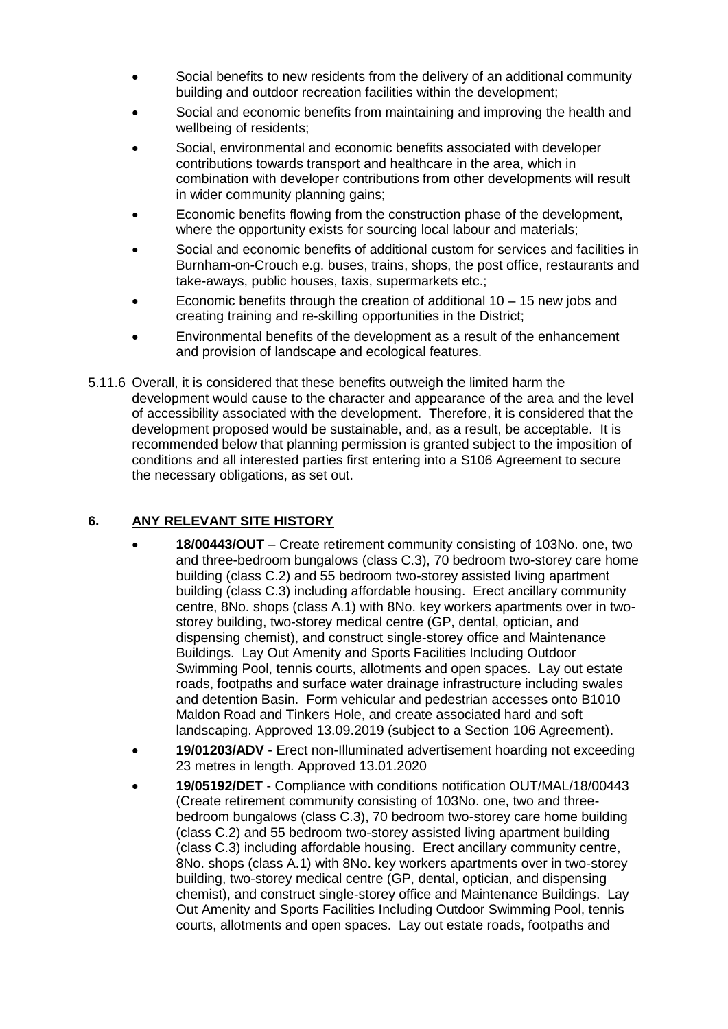- Social benefits to new residents from the delivery of an additional community building and outdoor recreation facilities within the development;
- Social and economic benefits from maintaining and improving the health and wellbeing of residents;
- Social, environmental and economic benefits associated with developer contributions towards transport and healthcare in the area, which in combination with developer contributions from other developments will result in wider community planning gains;
- Economic benefits flowing from the construction phase of the development, where the opportunity exists for sourcing local labour and materials;
- Social and economic benefits of additional custom for services and facilities in Burnham-on-Crouch e.g. buses, trains, shops, the post office, restaurants and take-aways, public houses, taxis, supermarkets etc.;
- Economic benefits through the creation of additional 10 15 new jobs and creating training and re-skilling opportunities in the District;
- Environmental benefits of the development as a result of the enhancement and provision of landscape and ecological features.
- 5.11.6 Overall, it is considered that these benefits outweigh the limited harm the development would cause to the character and appearance of the area and the level of accessibility associated with the development. Therefore, it is considered that the development proposed would be sustainable, and, as a result, be acceptable. It is recommended below that planning permission is granted subject to the imposition of conditions and all interested parties first entering into a S106 Agreement to secure the necessary obligations, as set out.

## **6. ANY RELEVANT SITE HISTORY**

- **18/00443/OUT**  Create retirement community consisting of 103No. one, two and three-bedroom bungalows (class C.3), 70 bedroom two-storey care home building (class C.2) and 55 bedroom two-storey assisted living apartment building (class C.3) including affordable housing. Erect ancillary community centre, 8No. shops (class A.1) with 8No. key workers apartments over in twostorey building, two-storey medical centre (GP, dental, optician, and dispensing chemist), and construct single-storey office and Maintenance Buildings. Lay Out Amenity and Sports Facilities Including Outdoor Swimming Pool, tennis courts, allotments and open spaces. Lay out estate roads, footpaths and surface water drainage infrastructure including swales and detention Basin. Form vehicular and pedestrian accesses onto B1010 Maldon Road and Tinkers Hole, and create associated hard and soft landscaping. Approved 13.09.2019 (subject to a Section 106 Agreement).
- **19/01203/ADV**  Erect non-Illuminated advertisement hoarding not exceeding 23 metres in length. Approved 13.01.2020
- **19/05192/DET** Compliance with conditions notification OUT/MAL/18/00443 (Create retirement community consisting of 103No. one, two and threebedroom bungalows (class C.3), 70 bedroom two-storey care home building (class C.2) and 55 bedroom two-storey assisted living apartment building (class C.3) including affordable housing. Erect ancillary community centre, 8No. shops (class A.1) with 8No. key workers apartments over in two-storey building, two-storey medical centre (GP, dental, optician, and dispensing chemist), and construct single-storey office and Maintenance Buildings. Lay Out Amenity and Sports Facilities Including Outdoor Swimming Pool, tennis courts, allotments and open spaces. Lay out estate roads, footpaths and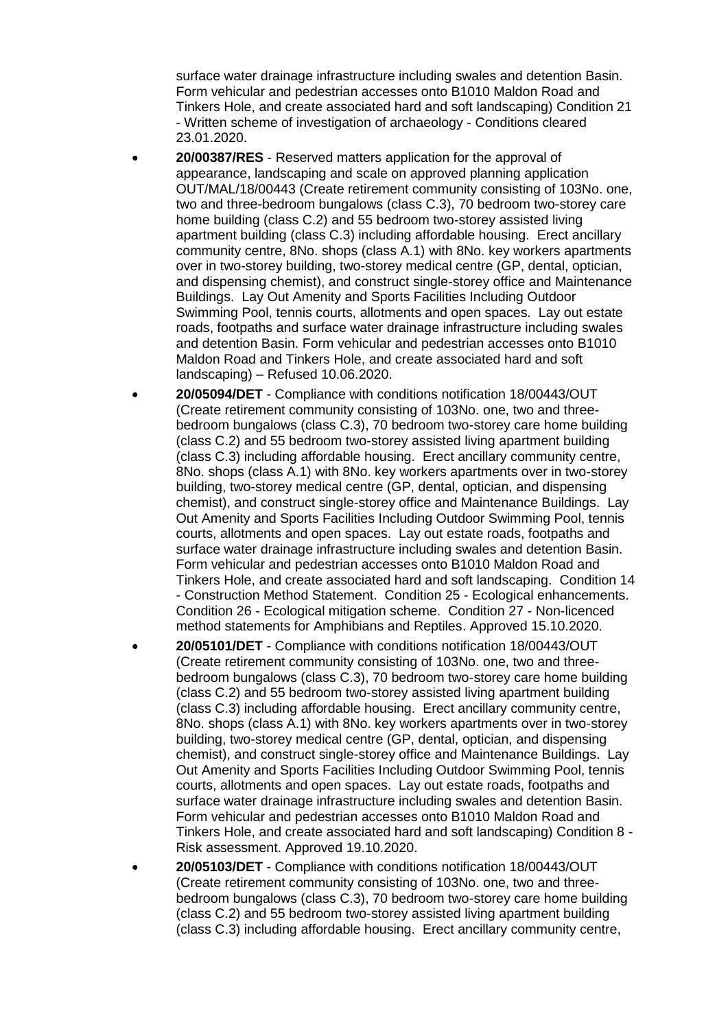surface water drainage infrastructure including swales and detention Basin. Form vehicular and pedestrian accesses onto B1010 Maldon Road and Tinkers Hole, and create associated hard and soft landscaping) Condition 21 - Written scheme of investigation of archaeology - Conditions cleared 23.01.2020.

- **20/00387/RES** Reserved matters application for the approval of appearance, landscaping and scale on approved planning application OUT/MAL/18/00443 (Create retirement community consisting of 103No. one, two and three-bedroom bungalows (class C.3), 70 bedroom two-storey care home building (class C.2) and 55 bedroom two-storey assisted living apartment building (class C.3) including affordable housing. Erect ancillary community centre, 8No. shops (class A.1) with 8No. key workers apartments over in two-storey building, two-storey medical centre (GP, dental, optician, and dispensing chemist), and construct single-storey office and Maintenance Buildings. Lay Out Amenity and Sports Facilities Including Outdoor Swimming Pool, tennis courts, allotments and open spaces. Lay out estate roads, footpaths and surface water drainage infrastructure including swales and detention Basin. Form vehicular and pedestrian accesses onto B1010 Maldon Road and Tinkers Hole, and create associated hard and soft landscaping) – Refused 10.06.2020.
- **20/05094/DET**  Compliance with conditions notification 18/00443/OUT (Create retirement community consisting of 103No. one, two and threebedroom bungalows (class C.3), 70 bedroom two-storey care home building (class C.2) and 55 bedroom two-storey assisted living apartment building (class C.3) including affordable housing. Erect ancillary community centre, 8No. shops (class A.1) with 8No. key workers apartments over in two-storey building, two-storey medical centre (GP, dental, optician, and dispensing chemist), and construct single-storey office and Maintenance Buildings. Lay Out Amenity and Sports Facilities Including Outdoor Swimming Pool, tennis courts, allotments and open spaces. Lay out estate roads, footpaths and surface water drainage infrastructure including swales and detention Basin. Form vehicular and pedestrian accesses onto B1010 Maldon Road and Tinkers Hole, and create associated hard and soft landscaping. Condition 14 - Construction Method Statement. Condition 25 - Ecological enhancements. Condition 26 - Ecological mitigation scheme. Condition 27 - Non-licenced method statements for Amphibians and Reptiles. Approved 15.10.2020.
- **20/05101/DET**  Compliance with conditions notification 18/00443/OUT (Create retirement community consisting of 103No. one, two and threebedroom bungalows (class C.3), 70 bedroom two-storey care home building (class C.2) and 55 bedroom two-storey assisted living apartment building (class C.3) including affordable housing. Erect ancillary community centre, 8No. shops (class A.1) with 8No. key workers apartments over in two-storey building, two-storey medical centre (GP, dental, optician, and dispensing chemist), and construct single-storey office and Maintenance Buildings. Lay Out Amenity and Sports Facilities Including Outdoor Swimming Pool, tennis courts, allotments and open spaces. Lay out estate roads, footpaths and surface water drainage infrastructure including swales and detention Basin. Form vehicular and pedestrian accesses onto B1010 Maldon Road and Tinkers Hole, and create associated hard and soft landscaping) Condition 8 - Risk assessment. Approved 19.10.2020.
- **20/05103/DET** Compliance with conditions notification 18/00443/OUT (Create retirement community consisting of 103No. one, two and threebedroom bungalows (class C.3), 70 bedroom two-storey care home building (class C.2) and 55 bedroom two-storey assisted living apartment building (class C.3) including affordable housing. Erect ancillary community centre,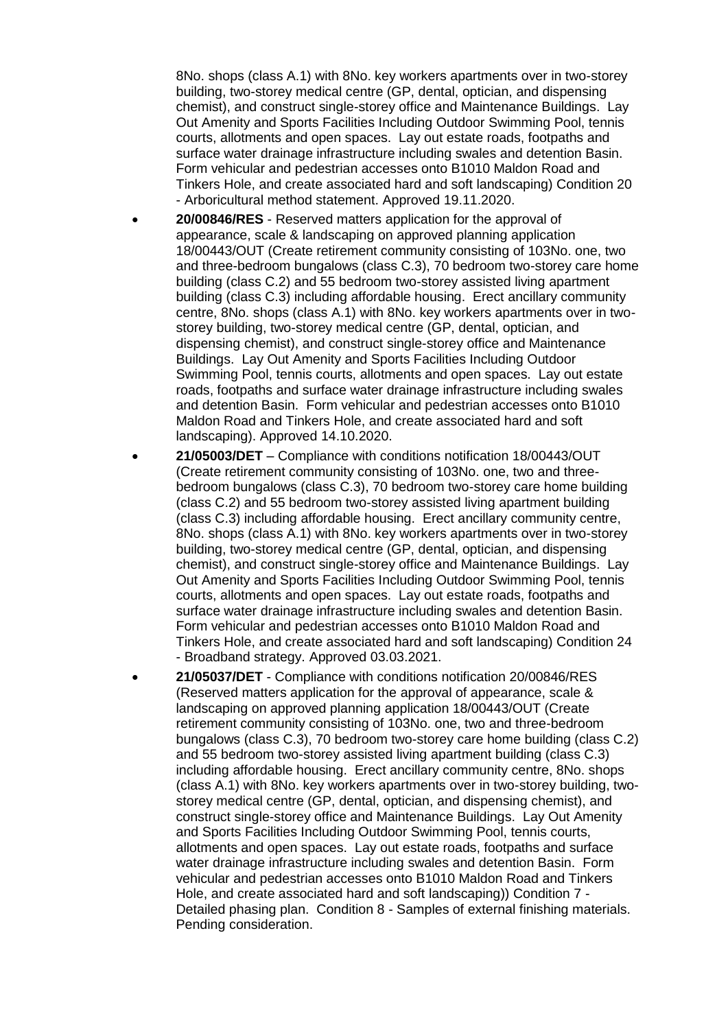8No. shops (class A.1) with 8No. key workers apartments over in two-storey building, two-storey medical centre (GP, dental, optician, and dispensing chemist), and construct single-storey office and Maintenance Buildings. Lay Out Amenity and Sports Facilities Including Outdoor Swimming Pool, tennis courts, allotments and open spaces. Lay out estate roads, footpaths and surface water drainage infrastructure including swales and detention Basin. Form vehicular and pedestrian accesses onto B1010 Maldon Road and Tinkers Hole, and create associated hard and soft landscaping) Condition 20 - Arboricultural method statement. Approved 19.11.2020.

- **20/00846/RES** Reserved matters application for the approval of appearance, scale & landscaping on approved planning application 18/00443/OUT (Create retirement community consisting of 103No. one, two and three-bedroom bungalows (class C.3), 70 bedroom two-storey care home building (class C.2) and 55 bedroom two-storey assisted living apartment building (class C.3) including affordable housing. Erect ancillary community centre, 8No. shops (class A.1) with 8No. key workers apartments over in twostorey building, two-storey medical centre (GP, dental, optician, and dispensing chemist), and construct single-storey office and Maintenance Buildings. Lay Out Amenity and Sports Facilities Including Outdoor Swimming Pool, tennis courts, allotments and open spaces. Lay out estate roads, footpaths and surface water drainage infrastructure including swales and detention Basin. Form vehicular and pedestrian accesses onto B1010 Maldon Road and Tinkers Hole, and create associated hard and soft landscaping). Approved 14.10.2020.
- **21/05003/DET** Compliance with conditions notification 18/00443/OUT (Create retirement community consisting of 103No. one, two and threebedroom bungalows (class C.3), 70 bedroom two-storey care home building (class C.2) and 55 bedroom two-storey assisted living apartment building (class C.3) including affordable housing. Erect ancillary community centre, 8No. shops (class A.1) with 8No. key workers apartments over in two-storey building, two-storey medical centre (GP, dental, optician, and dispensing chemist), and construct single-storey office and Maintenance Buildings. Lay Out Amenity and Sports Facilities Including Outdoor Swimming Pool, tennis courts, allotments and open spaces. Lay out estate roads, footpaths and surface water drainage infrastructure including swales and detention Basin. Form vehicular and pedestrian accesses onto B1010 Maldon Road and Tinkers Hole, and create associated hard and soft landscaping) Condition 24 - Broadband strategy. Approved 03.03.2021.
- **21/05037/DET** Compliance with conditions notification 20/00846/RES (Reserved matters application for the approval of appearance, scale & landscaping on approved planning application 18/00443/OUT (Create retirement community consisting of 103No. one, two and three-bedroom bungalows (class C.3), 70 bedroom two-storey care home building (class C.2) and 55 bedroom two-storey assisted living apartment building (class C.3) including affordable housing. Erect ancillary community centre, 8No. shops (class A.1) with 8No. key workers apartments over in two-storey building, twostorey medical centre (GP, dental, optician, and dispensing chemist), and construct single-storey office and Maintenance Buildings. Lay Out Amenity and Sports Facilities Including Outdoor Swimming Pool, tennis courts, allotments and open spaces. Lay out estate roads, footpaths and surface water drainage infrastructure including swales and detention Basin. Form vehicular and pedestrian accesses onto B1010 Maldon Road and Tinkers Hole, and create associated hard and soft landscaping)) Condition 7 - Detailed phasing plan. Condition 8 - Samples of external finishing materials. Pending consideration.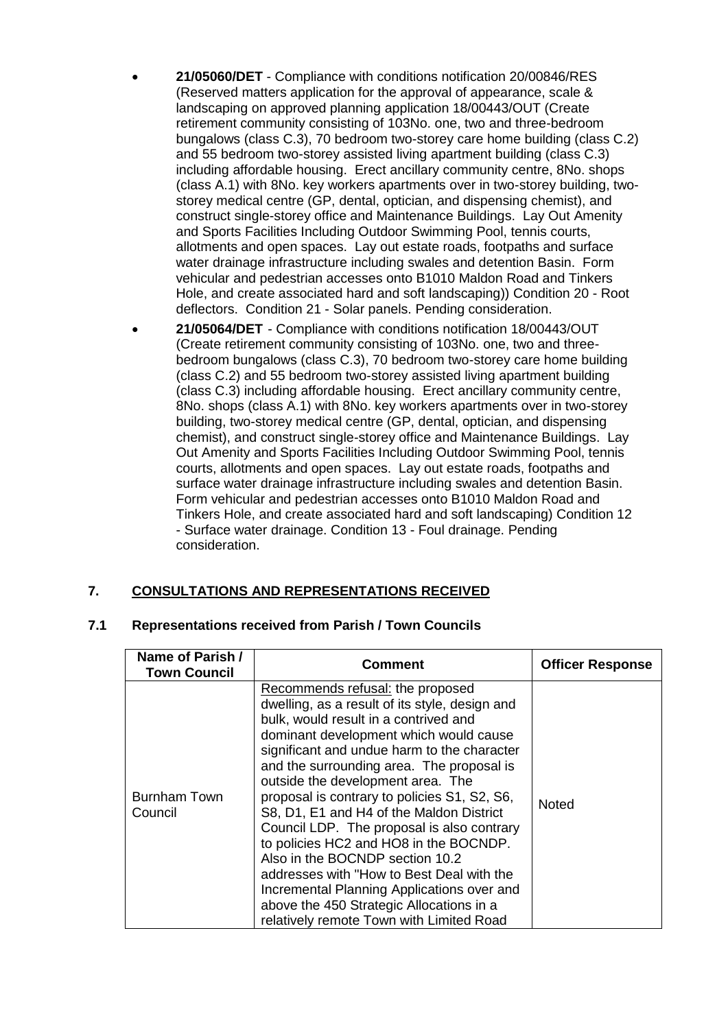- **21/05060/DET** Compliance with conditions notification 20/00846/RES (Reserved matters application for the approval of appearance, scale & landscaping on approved planning application 18/00443/OUT (Create retirement community consisting of 103No. one, two and three-bedroom bungalows (class C.3), 70 bedroom two-storey care home building (class C.2) and 55 bedroom two-storey assisted living apartment building (class C.3) including affordable housing. Erect ancillary community centre, 8No. shops (class A.1) with 8No. key workers apartments over in two-storey building, twostorey medical centre (GP, dental, optician, and dispensing chemist), and construct single-storey office and Maintenance Buildings. Lay Out Amenity and Sports Facilities Including Outdoor Swimming Pool, tennis courts, allotments and open spaces. Lay out estate roads, footpaths and surface water drainage infrastructure including swales and detention Basin. Form vehicular and pedestrian accesses onto B1010 Maldon Road and Tinkers Hole, and create associated hard and soft landscaping)) Condition 20 - Root deflectors. Condition 21 - Solar panels. Pending consideration.
- **21/05064/DET** Compliance with conditions notification 18/00443/OUT (Create retirement community consisting of 103No. one, two and threebedroom bungalows (class C.3), 70 bedroom two-storey care home building (class C.2) and 55 bedroom two-storey assisted living apartment building (class C.3) including affordable housing. Erect ancillary community centre, 8No. shops (class A.1) with 8No. key workers apartments over in two-storey building, two-storey medical centre (GP, dental, optician, and dispensing chemist), and construct single-storey office and Maintenance Buildings. Lay Out Amenity and Sports Facilities Including Outdoor Swimming Pool, tennis courts, allotments and open spaces. Lay out estate roads, footpaths and surface water drainage infrastructure including swales and detention Basin. Form vehicular and pedestrian accesses onto B1010 Maldon Road and Tinkers Hole, and create associated hard and soft landscaping) Condition 12 - Surface water drainage. Condition 13 - Foul drainage. Pending consideration.

## **7. CONSULTATIONS AND REPRESENTATIONS RECEIVED**

## **7.1 Representations received from Parish / Town Councils**

| Name of Parish /<br><b>Town Council</b> | Comment                                                                                                                                                                                                                                                                                                                                                                                                                                                                                                                                                                                                                                                                                                          | <b>Officer Response</b> |
|-----------------------------------------|------------------------------------------------------------------------------------------------------------------------------------------------------------------------------------------------------------------------------------------------------------------------------------------------------------------------------------------------------------------------------------------------------------------------------------------------------------------------------------------------------------------------------------------------------------------------------------------------------------------------------------------------------------------------------------------------------------------|-------------------------|
| <b>Burnham Town</b><br>Council          | Recommends refusal: the proposed<br>dwelling, as a result of its style, design and<br>bulk, would result in a contrived and<br>dominant development which would cause<br>significant and undue harm to the character<br>and the surrounding area. The proposal is<br>outside the development area. The<br>proposal is contrary to policies S1, S2, S6,<br>S8, D1, E1 and H4 of the Maldon District<br>Council LDP. The proposal is also contrary<br>to policies HC2 and HO8 in the BOCNDP.<br>Also in the BOCNDP section 10.2<br>addresses with "How to Best Deal with the<br>Incremental Planning Applications over and<br>above the 450 Strategic Allocations in a<br>relatively remote Town with Limited Road | <b>Noted</b>            |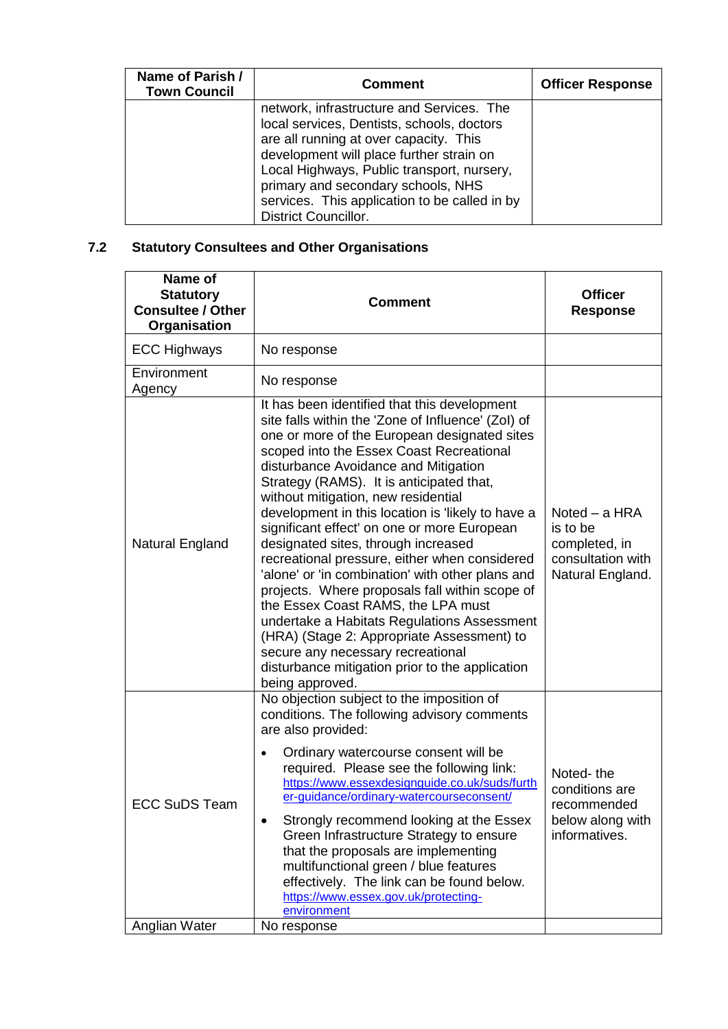| Name of Parish /<br><b>Town Council</b> | <b>Comment</b>                                                                                                                                                                                                                                                                                                                                    | <b>Officer Response</b> |
|-----------------------------------------|---------------------------------------------------------------------------------------------------------------------------------------------------------------------------------------------------------------------------------------------------------------------------------------------------------------------------------------------------|-------------------------|
|                                         | network, infrastructure and Services. The<br>local services, Dentists, schools, doctors<br>are all running at over capacity. This<br>development will place further strain on<br>Local Highways, Public transport, nursery,<br>primary and secondary schools, NHS<br>services. This application to be called in by<br><b>District Councillor.</b> |                         |

# **7.2 Statutory Consultees and Other Organisations**

| Name of<br><b>Statutory</b><br><b>Consultee / Other</b><br>Organisation | <b>Comment</b>                                                                                                                                                                                                                                                                                                                                                                                                                                                                                                                                                                                                                                                                                                                                                                                                                                                            | <b>Officer</b><br><b>Response</b>                                                   |
|-------------------------------------------------------------------------|---------------------------------------------------------------------------------------------------------------------------------------------------------------------------------------------------------------------------------------------------------------------------------------------------------------------------------------------------------------------------------------------------------------------------------------------------------------------------------------------------------------------------------------------------------------------------------------------------------------------------------------------------------------------------------------------------------------------------------------------------------------------------------------------------------------------------------------------------------------------------|-------------------------------------------------------------------------------------|
| <b>ECC Highways</b>                                                     | No response                                                                                                                                                                                                                                                                                                                                                                                                                                                                                                                                                                                                                                                                                                                                                                                                                                                               |                                                                                     |
| Environment<br>Agency                                                   | No response                                                                                                                                                                                                                                                                                                                                                                                                                                                                                                                                                                                                                                                                                                                                                                                                                                                               |                                                                                     |
| Natural England                                                         | It has been identified that this development<br>site falls within the 'Zone of Influence' (Zol) of<br>one or more of the European designated sites<br>scoped into the Essex Coast Recreational<br>disturbance Avoidance and Mitigation<br>Strategy (RAMS). It is anticipated that,<br>without mitigation, new residential<br>development in this location is 'likely to have a<br>significant effect' on one or more European<br>designated sites, through increased<br>recreational pressure, either when considered<br>'alone' or 'in combination' with other plans and<br>projects. Where proposals fall within scope of<br>the Essex Coast RAMS, the LPA must<br>undertake a Habitats Regulations Assessment<br>(HRA) (Stage 2: Appropriate Assessment) to<br>secure any necessary recreational<br>disturbance mitigation prior to the application<br>being approved. | Noted – a HRA<br>is to be<br>completed, in<br>consultation with<br>Natural England. |
| <b>ECC SuDS Team</b>                                                    | No objection subject to the imposition of<br>conditions. The following advisory comments<br>are also provided:<br>Ordinary watercourse consent will be<br>required. Please see the following link:<br>https://www.essexdesignguide.co.uk/suds/furth<br>er-guidance/ordinary-watercourseconsent/<br>Strongly recommend looking at the Essex<br>$\bullet$<br>Green Infrastructure Strategy to ensure<br>that the proposals are implementing<br>multifunctional green / blue features<br>effectively. The link can be found below.<br>https://www.essex.gov.uk/protecting-<br>environment                                                                                                                                                                                                                                                                                    | Noted-the<br>conditions are<br>recommended<br>below along with<br>informatives.     |
| Anglian Water                                                           | No response                                                                                                                                                                                                                                                                                                                                                                                                                                                                                                                                                                                                                                                                                                                                                                                                                                                               |                                                                                     |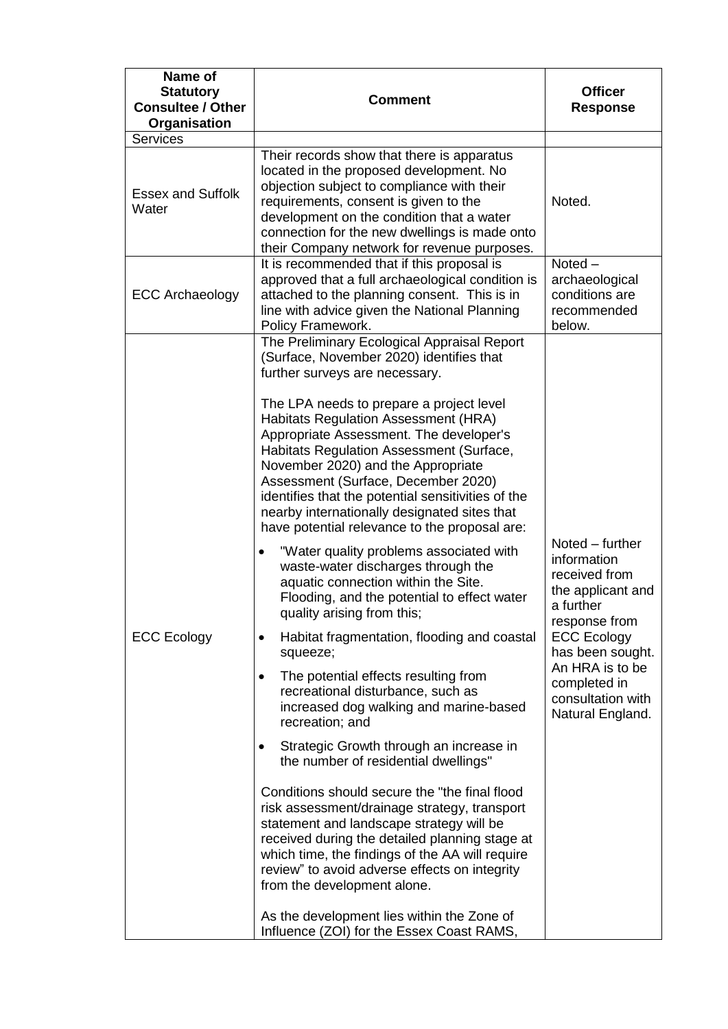| Name of<br><b>Statutory</b><br><b>Consultee / Other</b><br>Organisation | <b>Comment</b>                                                                                                                                                                                                                                                                                                                                                                                                                                                                                                                                                                                                                                                                                                                                                                                                                                                                                                                                                                                                                                                                                                                                                                                                                                                                                                                                                                                                                                                                         | <b>Officer</b><br><b>Response</b>                                                                                                                                                                                        |
|-------------------------------------------------------------------------|----------------------------------------------------------------------------------------------------------------------------------------------------------------------------------------------------------------------------------------------------------------------------------------------------------------------------------------------------------------------------------------------------------------------------------------------------------------------------------------------------------------------------------------------------------------------------------------------------------------------------------------------------------------------------------------------------------------------------------------------------------------------------------------------------------------------------------------------------------------------------------------------------------------------------------------------------------------------------------------------------------------------------------------------------------------------------------------------------------------------------------------------------------------------------------------------------------------------------------------------------------------------------------------------------------------------------------------------------------------------------------------------------------------------------------------------------------------------------------------|--------------------------------------------------------------------------------------------------------------------------------------------------------------------------------------------------------------------------|
| Services                                                                |                                                                                                                                                                                                                                                                                                                                                                                                                                                                                                                                                                                                                                                                                                                                                                                                                                                                                                                                                                                                                                                                                                                                                                                                                                                                                                                                                                                                                                                                                        |                                                                                                                                                                                                                          |
| <b>Essex and Suffolk</b><br>Water                                       | Their records show that there is apparatus<br>located in the proposed development. No<br>objection subject to compliance with their<br>requirements, consent is given to the<br>development on the condition that a water<br>connection for the new dwellings is made onto<br>their Company network for revenue purposes.                                                                                                                                                                                                                                                                                                                                                                                                                                                                                                                                                                                                                                                                                                                                                                                                                                                                                                                                                                                                                                                                                                                                                              | Noted.                                                                                                                                                                                                                   |
| <b>ECC Archaeology</b>                                                  | It is recommended that if this proposal is<br>approved that a full archaeological condition is<br>attached to the planning consent. This is in<br>line with advice given the National Planning<br>Policy Framework.                                                                                                                                                                                                                                                                                                                                                                                                                                                                                                                                                                                                                                                                                                                                                                                                                                                                                                                                                                                                                                                                                                                                                                                                                                                                    | $Noted -$<br>archaeological<br>conditions are<br>recommended<br>below.                                                                                                                                                   |
| <b>ECC Ecology</b>                                                      | The Preliminary Ecological Appraisal Report<br>(Surface, November 2020) identifies that<br>further surveys are necessary.<br>The LPA needs to prepare a project level<br><b>Habitats Regulation Assessment (HRA)</b><br>Appropriate Assessment. The developer's<br>Habitats Regulation Assessment (Surface,<br>November 2020) and the Appropriate<br>Assessment (Surface, December 2020)<br>identifies that the potential sensitivities of the<br>nearby internationally designated sites that<br>have potential relevance to the proposal are:<br>"Water quality problems associated with<br>waste-water discharges through the<br>aquatic connection within the Site.<br>Flooding, and the potential to effect water<br>quality arising from this;<br>Habitat fragmentation, flooding and coastal<br>$\bullet$<br>squeeze;<br>The potential effects resulting from<br>recreational disturbance, such as<br>increased dog walking and marine-based<br>recreation; and<br>Strategic Growth through an increase in<br>the number of residential dwellings"<br>Conditions should secure the "the final flood<br>risk assessment/drainage strategy, transport<br>statement and landscape strategy will be<br>received during the detailed planning stage at<br>which time, the findings of the AA will require<br>review" to avoid adverse effects on integrity<br>from the development alone.<br>As the development lies within the Zone of<br>Influence (ZOI) for the Essex Coast RAMS, | Noted – further<br>information<br>received from<br>the applicant and<br>a further<br>response from<br><b>ECC Ecology</b><br>has been sought.<br>An HRA is to be<br>completed in<br>consultation with<br>Natural England. |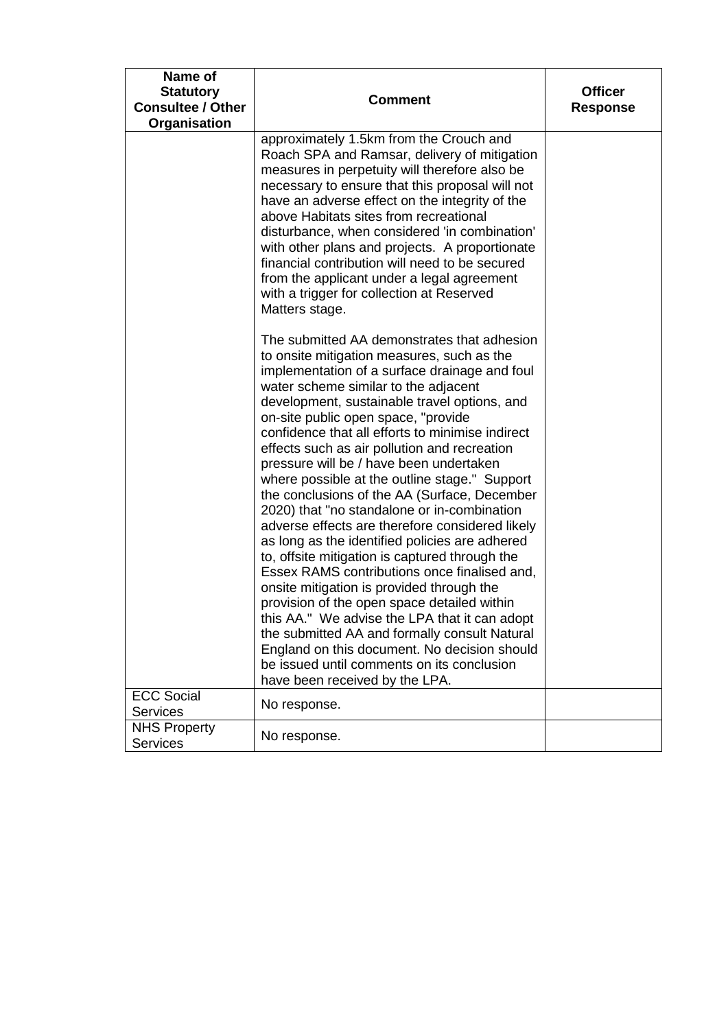| Name of<br><b>Statutory</b><br><b>Consultee / Other</b><br>Organisation | <b>Comment</b>                                                                                                                                                                                                                                                                                                                                                                                                                                                                                                                                                                                                                                                                                                                                                                                                                                                                                                                                                                                                                                                                                                | <b>Officer</b><br><b>Response</b> |
|-------------------------------------------------------------------------|---------------------------------------------------------------------------------------------------------------------------------------------------------------------------------------------------------------------------------------------------------------------------------------------------------------------------------------------------------------------------------------------------------------------------------------------------------------------------------------------------------------------------------------------------------------------------------------------------------------------------------------------------------------------------------------------------------------------------------------------------------------------------------------------------------------------------------------------------------------------------------------------------------------------------------------------------------------------------------------------------------------------------------------------------------------------------------------------------------------|-----------------------------------|
|                                                                         | approximately 1.5km from the Crouch and<br>Roach SPA and Ramsar, delivery of mitigation<br>measures in perpetuity will therefore also be<br>necessary to ensure that this proposal will not<br>have an adverse effect on the integrity of the<br>above Habitats sites from recreational<br>disturbance, when considered 'in combination'<br>with other plans and projects. A proportionate<br>financial contribution will need to be secured<br>from the applicant under a legal agreement<br>with a trigger for collection at Reserved<br>Matters stage.                                                                                                                                                                                                                                                                                                                                                                                                                                                                                                                                                     |                                   |
|                                                                         | The submitted AA demonstrates that adhesion<br>to onsite mitigation measures, such as the<br>implementation of a surface drainage and foul<br>water scheme similar to the adjacent<br>development, sustainable travel options, and<br>on-site public open space, "provide<br>confidence that all efforts to minimise indirect<br>effects such as air pollution and recreation<br>pressure will be / have been undertaken<br>where possible at the outline stage." Support<br>the conclusions of the AA (Surface, December<br>2020) that "no standalone or in-combination<br>adverse effects are therefore considered likely<br>as long as the identified policies are adhered<br>to, offsite mitigation is captured through the<br>Essex RAMS contributions once finalised and,<br>onsite mitigation is provided through the<br>provision of the open space detailed within<br>this AA." We advise the LPA that it can adopt<br>the submitted AA and formally consult Natural<br>England on this document. No decision should<br>be issued until comments on its conclusion<br>have been received by the LPA. |                                   |
| <b>ECC Social</b><br><b>Services</b>                                    | No response.                                                                                                                                                                                                                                                                                                                                                                                                                                                                                                                                                                                                                                                                                                                                                                                                                                                                                                                                                                                                                                                                                                  |                                   |
| <b>NHS Property</b><br><b>Services</b>                                  | No response.                                                                                                                                                                                                                                                                                                                                                                                                                                                                                                                                                                                                                                                                                                                                                                                                                                                                                                                                                                                                                                                                                                  |                                   |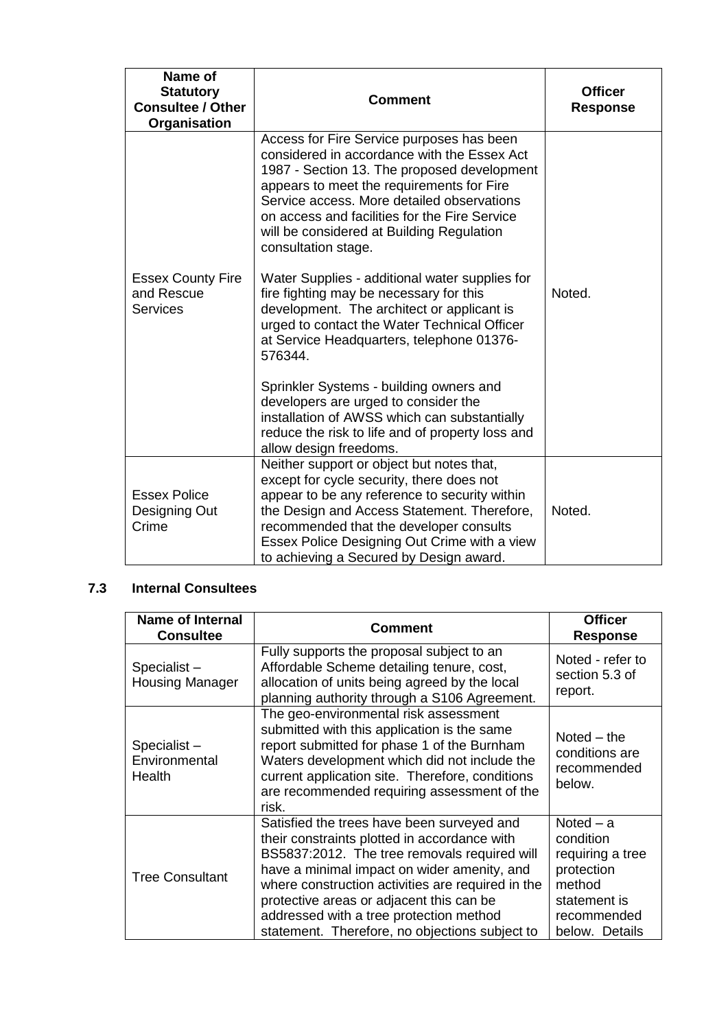| Name of<br><b>Statutory</b><br><b>Consultee / Other</b><br>Organisation | <b>Comment</b>                                                                                                                                                                                                                                                                                                                                          | <b>Officer</b><br><b>Response</b> |
|-------------------------------------------------------------------------|---------------------------------------------------------------------------------------------------------------------------------------------------------------------------------------------------------------------------------------------------------------------------------------------------------------------------------------------------------|-----------------------------------|
|                                                                         | Access for Fire Service purposes has been<br>considered in accordance with the Essex Act<br>1987 - Section 13. The proposed development<br>appears to meet the requirements for Fire<br>Service access. More detailed observations<br>on access and facilities for the Fire Service<br>will be considered at Building Regulation<br>consultation stage. |                                   |
| <b>Essex County Fire</b><br>and Rescue<br><b>Services</b>               | Water Supplies - additional water supplies for<br>fire fighting may be necessary for this<br>development. The architect or applicant is<br>urged to contact the Water Technical Officer<br>at Service Headquarters, telephone 01376-<br>576344.                                                                                                         | Noted.                            |
|                                                                         | Sprinkler Systems - building owners and<br>developers are urged to consider the<br>installation of AWSS which can substantially<br>reduce the risk to life and of property loss and<br>allow design freedoms.                                                                                                                                           |                                   |
| <b>Essex Police</b><br>Designing Out<br>Crime                           | Neither support or object but notes that,<br>except for cycle security, there does not<br>appear to be any reference to security within<br>the Design and Access Statement. Therefore,<br>recommended that the developer consults<br>Essex Police Designing Out Crime with a view<br>to achieving a Secured by Design award.                            | Noted.                            |

## **7.3 Internal Consultees**

| <b>Name of Internal</b><br><b>Consultee</b> | Comment                                                                                                                                                                                                                                                                                                                                                                                 | <b>Officer</b><br><b>Response</b>                                                                                     |
|---------------------------------------------|-----------------------------------------------------------------------------------------------------------------------------------------------------------------------------------------------------------------------------------------------------------------------------------------------------------------------------------------------------------------------------------------|-----------------------------------------------------------------------------------------------------------------------|
| Specialist-<br><b>Housing Manager</b>       | Fully supports the proposal subject to an<br>Affordable Scheme detailing tenure, cost,<br>allocation of units being agreed by the local<br>planning authority through a S106 Agreement.                                                                                                                                                                                                 | Noted - refer to<br>section 5.3 of<br>report.                                                                         |
| Specialist-<br>Environmental<br>Health      | The geo-environmental risk assessment<br>submitted with this application is the same<br>report submitted for phase 1 of the Burnham<br>Waters development which did not include the<br>current application site. Therefore, conditions<br>are recommended requiring assessment of the<br>risk.                                                                                          | Noted $-$ the<br>conditions are<br>recommended<br>below.                                                              |
| <b>Tree Consultant</b>                      | Satisfied the trees have been surveyed and<br>their constraints plotted in accordance with<br>BS5837:2012. The tree removals required will<br>have a minimal impact on wider amenity, and<br>where construction activities are required in the<br>protective areas or adjacent this can be<br>addressed with a tree protection method<br>statement. Therefore, no objections subject to | Noted $-$ a<br>condition<br>requiring a tree<br>protection<br>method<br>statement is<br>recommended<br>below. Details |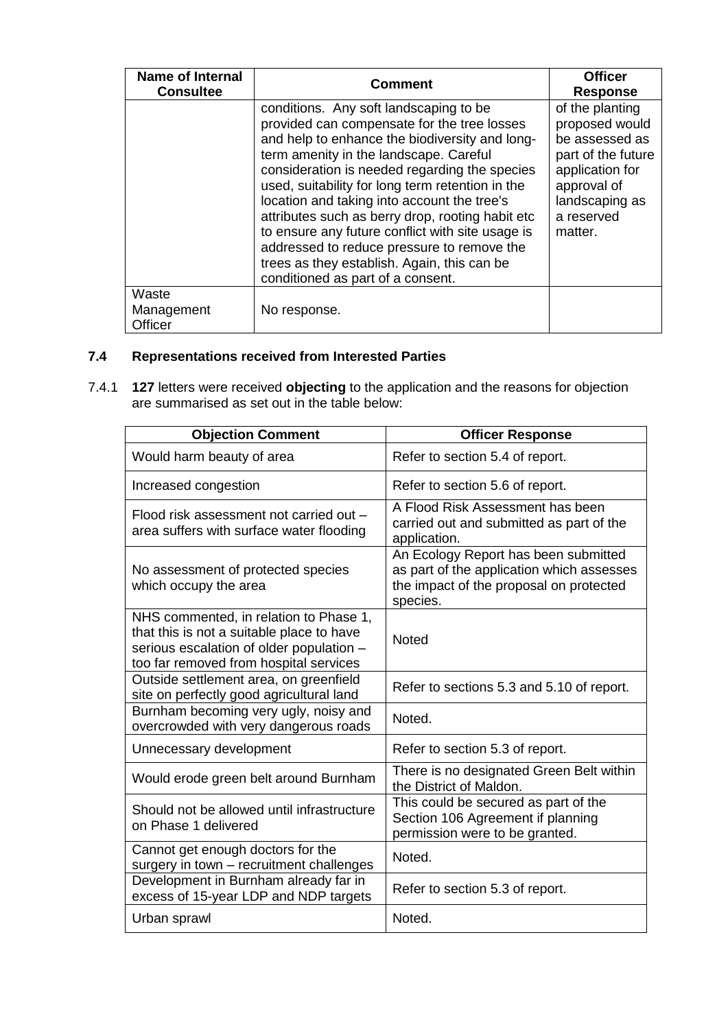| <b>Name of Internal</b><br><b>Consultee</b> | <b>Comment</b>                                                                                                                                                                                                                                                                                                                                                                                                                                                                                                                                                                  | <b>Officer</b><br><b>Response</b>                                                                                                                      |
|---------------------------------------------|---------------------------------------------------------------------------------------------------------------------------------------------------------------------------------------------------------------------------------------------------------------------------------------------------------------------------------------------------------------------------------------------------------------------------------------------------------------------------------------------------------------------------------------------------------------------------------|--------------------------------------------------------------------------------------------------------------------------------------------------------|
|                                             | conditions. Any soft landscaping to be<br>provided can compensate for the tree losses<br>and help to enhance the biodiversity and long-<br>term amenity in the landscape. Careful<br>consideration is needed regarding the species<br>used, suitability for long term retention in the<br>location and taking into account the tree's<br>attributes such as berry drop, rooting habit etc<br>to ensure any future conflict with site usage is<br>addressed to reduce pressure to remove the<br>trees as they establish. Again, this can be<br>conditioned as part of a consent. | of the planting<br>proposed would<br>be assessed as<br>part of the future<br>application for<br>approval of<br>landscaping as<br>a reserved<br>matter. |
| Waste<br>Management<br>Officer              | No response.                                                                                                                                                                                                                                                                                                                                                                                                                                                                                                                                                                    |                                                                                                                                                        |

## **7.4 Representations received from Interested Parties**

7.4.1 **127** letters were received **objecting** to the application and the reasons for objection are summarised as set out in the table below:

| <b>Objection Comment</b>                                                                                                                                                  | <b>Officer Response</b>                                                                                                                  |
|---------------------------------------------------------------------------------------------------------------------------------------------------------------------------|------------------------------------------------------------------------------------------------------------------------------------------|
| Would harm beauty of area                                                                                                                                                 | Refer to section 5.4 of report.                                                                                                          |
| Increased congestion                                                                                                                                                      | Refer to section 5.6 of report.                                                                                                          |
| Flood risk assessment not carried out -<br>area suffers with surface water flooding                                                                                       | A Flood Risk Assessment has been<br>carried out and submitted as part of the<br>application.                                             |
| No assessment of protected species<br>which occupy the area                                                                                                               | An Ecology Report has been submitted<br>as part of the application which assesses<br>the impact of the proposal on protected<br>species. |
| NHS commented, in relation to Phase 1,<br>that this is not a suitable place to have<br>serious escalation of older population -<br>too far removed from hospital services | <b>Noted</b>                                                                                                                             |
| Outside settlement area, on greenfield<br>site on perfectly good agricultural land                                                                                        | Refer to sections 5.3 and 5.10 of report.                                                                                                |
| Burnham becoming very ugly, noisy and<br>overcrowded with very dangerous roads                                                                                            | Noted.                                                                                                                                   |
| Unnecessary development                                                                                                                                                   | Refer to section 5.3 of report.                                                                                                          |
| Would erode green belt around Burnham                                                                                                                                     | There is no designated Green Belt within<br>the District of Maldon.                                                                      |
| Should not be allowed until infrastructure<br>on Phase 1 delivered                                                                                                        | This could be secured as part of the<br>Section 106 Agreement if planning<br>permission were to be granted.                              |
| Cannot get enough doctors for the<br>surgery in town - recruitment challenges                                                                                             | Noted.                                                                                                                                   |
| Development in Burnham already far in<br>excess of 15-year LDP and NDP targets                                                                                            | Refer to section 5.3 of report.                                                                                                          |
| Urban sprawl                                                                                                                                                              | Noted.                                                                                                                                   |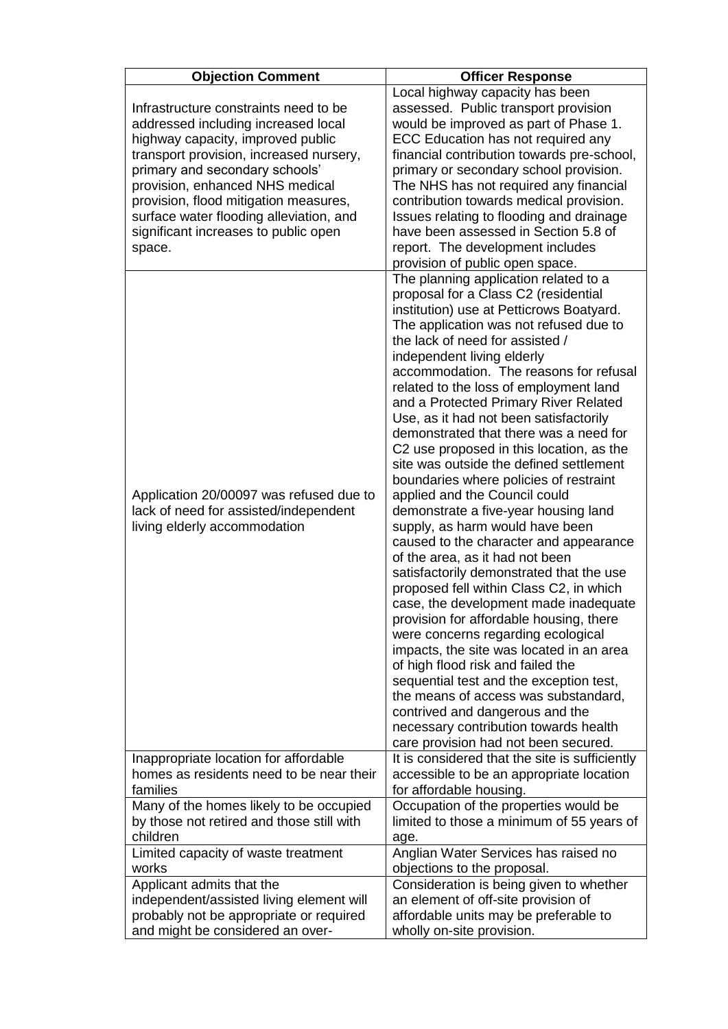| <b>Objection Comment</b>                                                                                                                                                                                                                                                                                                                                                | <b>Officer Response</b>                                                                                                                                                                                                                                                                                                                                                                                                                                                                                                                                                                                                                                                                                                                                                                                                                                                                                                                                                                                                                                                                                                                                                                                                                                                                  |
|-------------------------------------------------------------------------------------------------------------------------------------------------------------------------------------------------------------------------------------------------------------------------------------------------------------------------------------------------------------------------|------------------------------------------------------------------------------------------------------------------------------------------------------------------------------------------------------------------------------------------------------------------------------------------------------------------------------------------------------------------------------------------------------------------------------------------------------------------------------------------------------------------------------------------------------------------------------------------------------------------------------------------------------------------------------------------------------------------------------------------------------------------------------------------------------------------------------------------------------------------------------------------------------------------------------------------------------------------------------------------------------------------------------------------------------------------------------------------------------------------------------------------------------------------------------------------------------------------------------------------------------------------------------------------|
| Infrastructure constraints need to be<br>addressed including increased local<br>highway capacity, improved public<br>transport provision, increased nursery,<br>primary and secondary schools'<br>provision, enhanced NHS medical<br>provision, flood mitigation measures,<br>surface water flooding alleviation, and<br>significant increases to public open<br>space. | Local highway capacity has been<br>assessed. Public transport provision<br>would be improved as part of Phase 1.<br>ECC Education has not required any<br>financial contribution towards pre-school,<br>primary or secondary school provision.<br>The NHS has not required any financial<br>contribution towards medical provision.<br>Issues relating to flooding and drainage<br>have been assessed in Section 5.8 of<br>report. The development includes<br>provision of public open space.                                                                                                                                                                                                                                                                                                                                                                                                                                                                                                                                                                                                                                                                                                                                                                                           |
| Application 20/00097 was refused due to<br>lack of need for assisted/independent<br>living elderly accommodation                                                                                                                                                                                                                                                        | The planning application related to a<br>proposal for a Class C2 (residential<br>institution) use at Petticrows Boatyard.<br>The application was not refused due to<br>the lack of need for assisted /<br>independent living elderly<br>accommodation. The reasons for refusal<br>related to the loss of employment land<br>and a Protected Primary River Related<br>Use, as it had not been satisfactorily<br>demonstrated that there was a need for<br>C2 use proposed in this location, as the<br>site was outside the defined settlement<br>boundaries where policies of restraint<br>applied and the Council could<br>demonstrate a five-year housing land<br>supply, as harm would have been<br>caused to the character and appearance<br>of the area, as it had not been<br>satisfactorily demonstrated that the use<br>proposed fell within Class C2, in which<br>case, the development made inadequate<br>provision for affordable housing, there<br>were concerns regarding ecological<br>impacts, the site was located in an area<br>of high flood risk and failed the<br>sequential test and the exception test,<br>the means of access was substandard,<br>contrived and dangerous and the<br>necessary contribution towards health<br>care provision had not been secured. |
| Inappropriate location for affordable                                                                                                                                                                                                                                                                                                                                   | It is considered that the site is sufficiently                                                                                                                                                                                                                                                                                                                                                                                                                                                                                                                                                                                                                                                                                                                                                                                                                                                                                                                                                                                                                                                                                                                                                                                                                                           |
| homes as residents need to be near their                                                                                                                                                                                                                                                                                                                                | accessible to be an appropriate location                                                                                                                                                                                                                                                                                                                                                                                                                                                                                                                                                                                                                                                                                                                                                                                                                                                                                                                                                                                                                                                                                                                                                                                                                                                 |
| families                                                                                                                                                                                                                                                                                                                                                                | for affordable housing.                                                                                                                                                                                                                                                                                                                                                                                                                                                                                                                                                                                                                                                                                                                                                                                                                                                                                                                                                                                                                                                                                                                                                                                                                                                                  |
| Many of the homes likely to be occupied                                                                                                                                                                                                                                                                                                                                 | Occupation of the properties would be                                                                                                                                                                                                                                                                                                                                                                                                                                                                                                                                                                                                                                                                                                                                                                                                                                                                                                                                                                                                                                                                                                                                                                                                                                                    |
| by those not retired and those still with                                                                                                                                                                                                                                                                                                                               | limited to those a minimum of 55 years of                                                                                                                                                                                                                                                                                                                                                                                                                                                                                                                                                                                                                                                                                                                                                                                                                                                                                                                                                                                                                                                                                                                                                                                                                                                |
| children                                                                                                                                                                                                                                                                                                                                                                | age.                                                                                                                                                                                                                                                                                                                                                                                                                                                                                                                                                                                                                                                                                                                                                                                                                                                                                                                                                                                                                                                                                                                                                                                                                                                                                     |
| Limited capacity of waste treatment                                                                                                                                                                                                                                                                                                                                     | Anglian Water Services has raised no                                                                                                                                                                                                                                                                                                                                                                                                                                                                                                                                                                                                                                                                                                                                                                                                                                                                                                                                                                                                                                                                                                                                                                                                                                                     |
| works                                                                                                                                                                                                                                                                                                                                                                   | objections to the proposal.                                                                                                                                                                                                                                                                                                                                                                                                                                                                                                                                                                                                                                                                                                                                                                                                                                                                                                                                                                                                                                                                                                                                                                                                                                                              |
| Applicant admits that the                                                                                                                                                                                                                                                                                                                                               | Consideration is being given to whether                                                                                                                                                                                                                                                                                                                                                                                                                                                                                                                                                                                                                                                                                                                                                                                                                                                                                                                                                                                                                                                                                                                                                                                                                                                  |
| independent/assisted living element will                                                                                                                                                                                                                                                                                                                                | an element of off-site provision of                                                                                                                                                                                                                                                                                                                                                                                                                                                                                                                                                                                                                                                                                                                                                                                                                                                                                                                                                                                                                                                                                                                                                                                                                                                      |
| probably not be appropriate or required                                                                                                                                                                                                                                                                                                                                 | affordable units may be preferable to                                                                                                                                                                                                                                                                                                                                                                                                                                                                                                                                                                                                                                                                                                                                                                                                                                                                                                                                                                                                                                                                                                                                                                                                                                                    |
| and might be considered an over-                                                                                                                                                                                                                                                                                                                                        | wholly on-site provision.                                                                                                                                                                                                                                                                                                                                                                                                                                                                                                                                                                                                                                                                                                                                                                                                                                                                                                                                                                                                                                                                                                                                                                                                                                                                |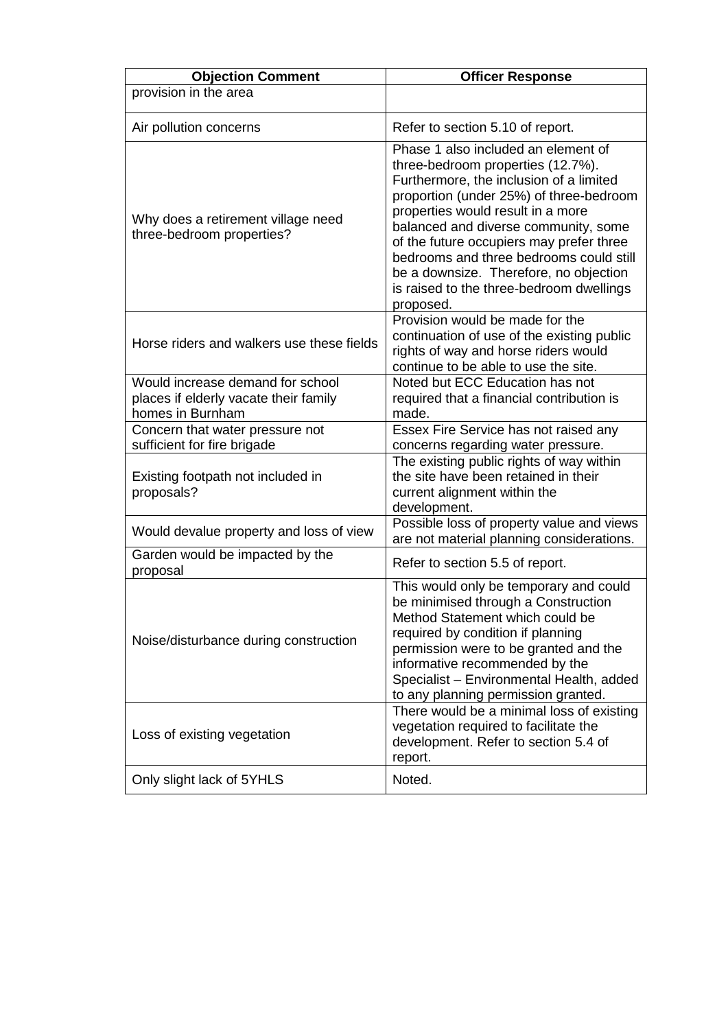| <b>Objection Comment</b>                                                                      | <b>Officer Response</b>                                                                                                                                                                                                                                                                                                                                                                                                               |
|-----------------------------------------------------------------------------------------------|---------------------------------------------------------------------------------------------------------------------------------------------------------------------------------------------------------------------------------------------------------------------------------------------------------------------------------------------------------------------------------------------------------------------------------------|
| provision in the area                                                                         |                                                                                                                                                                                                                                                                                                                                                                                                                                       |
| Air pollution concerns                                                                        | Refer to section 5.10 of report.                                                                                                                                                                                                                                                                                                                                                                                                      |
| Why does a retirement village need<br>three-bedroom properties?                               | Phase 1 also included an element of<br>three-bedroom properties (12.7%).<br>Furthermore, the inclusion of a limited<br>proportion (under 25%) of three-bedroom<br>properties would result in a more<br>balanced and diverse community, some<br>of the future occupiers may prefer three<br>bedrooms and three bedrooms could still<br>be a downsize. Therefore, no objection<br>is raised to the three-bedroom dwellings<br>proposed. |
| Horse riders and walkers use these fields                                                     | Provision would be made for the<br>continuation of use of the existing public<br>rights of way and horse riders would<br>continue to be able to use the site.                                                                                                                                                                                                                                                                         |
| Would increase demand for school<br>places if elderly vacate their family<br>homes in Burnham | Noted but ECC Education has not<br>required that a financial contribution is<br>made.                                                                                                                                                                                                                                                                                                                                                 |
| Concern that water pressure not<br>sufficient for fire brigade                                | Essex Fire Service has not raised any<br>concerns regarding water pressure.                                                                                                                                                                                                                                                                                                                                                           |
| Existing footpath not included in<br>proposals?                                               | The existing public rights of way within<br>the site have been retained in their<br>current alignment within the<br>development.                                                                                                                                                                                                                                                                                                      |
| Would devalue property and loss of view                                                       | Possible loss of property value and views<br>are not material planning considerations.                                                                                                                                                                                                                                                                                                                                                |
| Garden would be impacted by the<br>proposal                                                   | Refer to section 5.5 of report.                                                                                                                                                                                                                                                                                                                                                                                                       |
| Noise/disturbance during construction                                                         | This would only be temporary and could<br>be minimised through a Construction<br>Method Statement which could be<br>required by condition if planning<br>permission were to be granted and the<br>informative recommended by the<br>Specialist - Environmental Health, added<br>to any planning permission granted.                                                                                                                   |
| Loss of existing vegetation                                                                   | There would be a minimal loss of existing<br>vegetation required to facilitate the<br>development. Refer to section 5.4 of<br>report.                                                                                                                                                                                                                                                                                                 |
| Only slight lack of 5YHLS                                                                     | Noted.                                                                                                                                                                                                                                                                                                                                                                                                                                |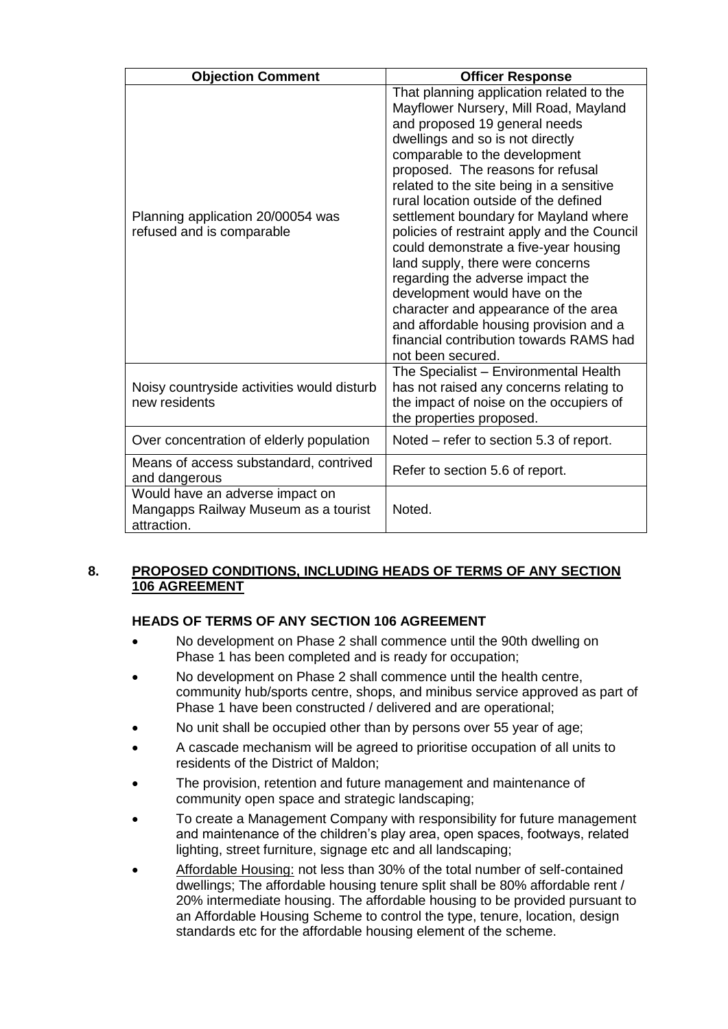| <b>Objection Comment</b>                                                               | <b>Officer Response</b>                                                                                                                                                                                                                                                                                                                                                                                                                                                                                                                                                                                                                                                                                       |
|----------------------------------------------------------------------------------------|---------------------------------------------------------------------------------------------------------------------------------------------------------------------------------------------------------------------------------------------------------------------------------------------------------------------------------------------------------------------------------------------------------------------------------------------------------------------------------------------------------------------------------------------------------------------------------------------------------------------------------------------------------------------------------------------------------------|
| Planning application 20/00054 was<br>refused and is comparable                         | That planning application related to the<br>Mayflower Nursery, Mill Road, Mayland<br>and proposed 19 general needs<br>dwellings and so is not directly<br>comparable to the development<br>proposed. The reasons for refusal<br>related to the site being in a sensitive<br>rural location outside of the defined<br>settlement boundary for Mayland where<br>policies of restraint apply and the Council<br>could demonstrate a five-year housing<br>land supply, there were concerns<br>regarding the adverse impact the<br>development would have on the<br>character and appearance of the area<br>and affordable housing provision and a<br>financial contribution towards RAMS had<br>not been secured. |
| Noisy countryside activities would disturb<br>new residents                            | The Specialist - Environmental Health<br>has not raised any concerns relating to<br>the impact of noise on the occupiers of<br>the properties proposed.                                                                                                                                                                                                                                                                                                                                                                                                                                                                                                                                                       |
| Over concentration of elderly population                                               | Noted – refer to section 5.3 of report.                                                                                                                                                                                                                                                                                                                                                                                                                                                                                                                                                                                                                                                                       |
| Means of access substandard, contrived<br>and dangerous                                | Refer to section 5.6 of report.                                                                                                                                                                                                                                                                                                                                                                                                                                                                                                                                                                                                                                                                               |
| Would have an adverse impact on<br>Mangapps Railway Museum as a tourist<br>attraction. | Noted.                                                                                                                                                                                                                                                                                                                                                                                                                                                                                                                                                                                                                                                                                                        |

## **8. PROPOSED CONDITIONS, INCLUDING HEADS OF TERMS OF ANY SECTION 106 AGREEMENT**

## **HEADS OF TERMS OF ANY SECTION 106 AGREEMENT**

- No development on Phase 2 shall commence until the 90th dwelling on Phase 1 has been completed and is ready for occupation;
- No development on Phase 2 shall commence until the health centre, community hub/sports centre, shops, and minibus service approved as part of Phase 1 have been constructed / delivered and are operational;
- No unit shall be occupied other than by persons over 55 year of age;
- A cascade mechanism will be agreed to prioritise occupation of all units to residents of the District of Maldon;
- The provision, retention and future management and maintenance of community open space and strategic landscaping;
- To create a Management Company with responsibility for future management and maintenance of the children's play area, open spaces, footways, related lighting, street furniture, signage etc and all landscaping;
- Affordable Housing: not less than 30% of the total number of self-contained dwellings; The affordable housing tenure split shall be 80% affordable rent / 20% intermediate housing. The affordable housing to be provided pursuant to an Affordable Housing Scheme to control the type, tenure, location, design standards etc for the affordable housing element of the scheme.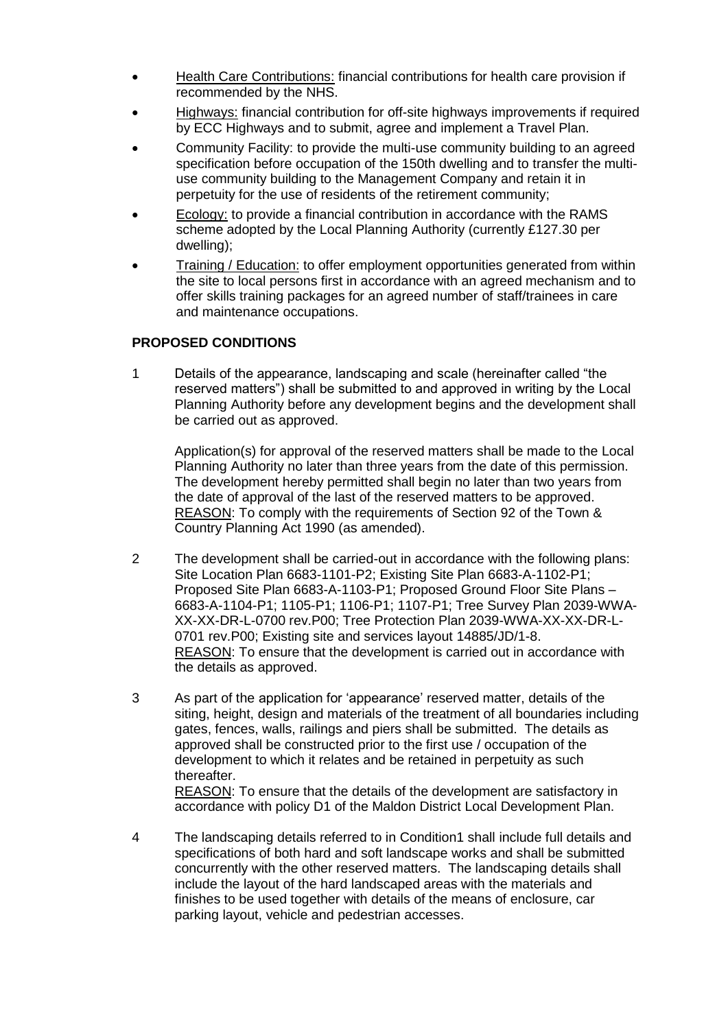- Health Care Contributions: financial contributions for health care provision if recommended by the NHS.
- Highways: financial contribution for off-site highways improvements if required by ECC Highways and to submit, agree and implement a Travel Plan.
- Community Facility: to provide the multi-use community building to an agreed specification before occupation of the 150th dwelling and to transfer the multiuse community building to the Management Company and retain it in perpetuity for the use of residents of the retirement community;
- Ecology: to provide a financial contribution in accordance with the RAMS scheme adopted by the Local Planning Authority (currently £127.30 per dwelling);
- Training / Education: to offer employment opportunities generated from within the site to local persons first in accordance with an agreed mechanism and to offer skills training packages for an agreed number of staff/trainees in care and maintenance occupations.

## **PROPOSED CONDITIONS**

1 Details of the appearance, landscaping and scale (hereinafter called "the reserved matters") shall be submitted to and approved in writing by the Local Planning Authority before any development begins and the development shall be carried out as approved.

Application(s) for approval of the reserved matters shall be made to the Local Planning Authority no later than three years from the date of this permission. The development hereby permitted shall begin no later than two years from the date of approval of the last of the reserved matters to be approved. REASON: To comply with the requirements of Section 92 of the Town & Country Planning Act 1990 (as amended).

- 2 The development shall be carried-out in accordance with the following plans: Site Location Plan 6683-1101-P2; Existing Site Plan 6683-A-1102-P1; Proposed Site Plan 6683-A-1103-P1; Proposed Ground Floor Site Plans – 6683-A-1104-P1; 1105-P1; 1106-P1; 1107-P1; Tree Survey Plan 2039-WWA-XX-XX-DR-L-0700 rev.P00; Tree Protection Plan 2039-WWA-XX-XX-DR-L-0701 rev.P00; Existing site and services layout 14885/JD/1-8. REASON: To ensure that the development is carried out in accordance with the details as approved.
- 3 As part of the application for 'appearance' reserved matter, details of the siting, height, design and materials of the treatment of all boundaries including gates, fences, walls, railings and piers shall be submitted. The details as approved shall be constructed prior to the first use / occupation of the development to which it relates and be retained in perpetuity as such thereafter.

REASON: To ensure that the details of the development are satisfactory in accordance with policy D1 of the Maldon District Local Development Plan.

4 The landscaping details referred to in Condition1 shall include full details and specifications of both hard and soft landscape works and shall be submitted concurrently with the other reserved matters. The landscaping details shall include the layout of the hard landscaped areas with the materials and finishes to be used together with details of the means of enclosure, car parking layout, vehicle and pedestrian accesses.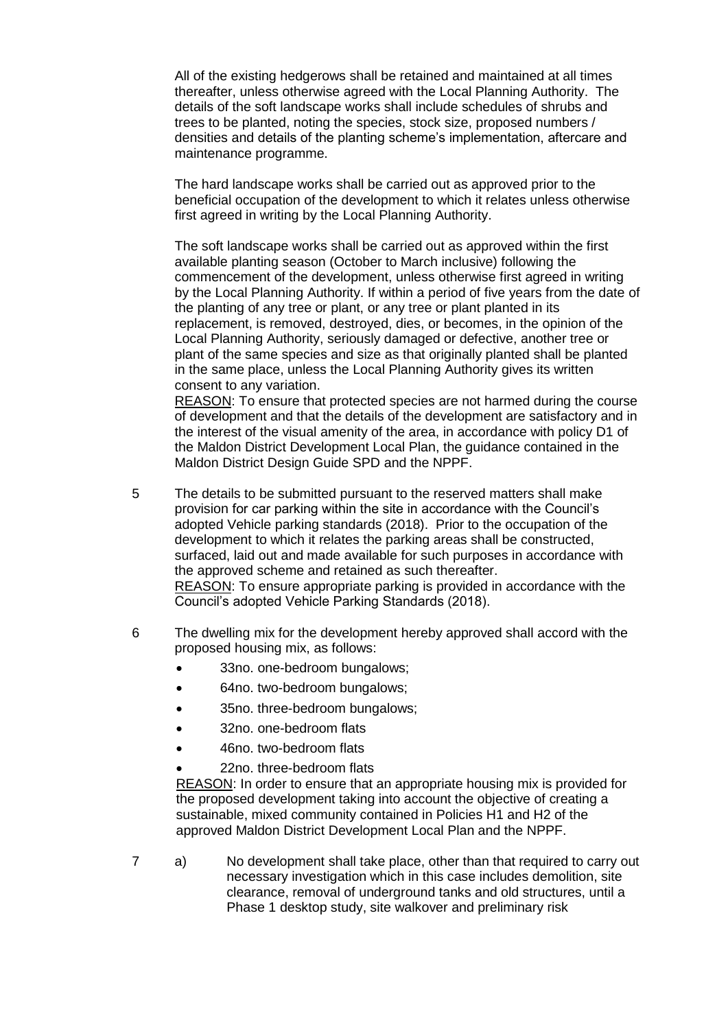All of the existing hedgerows shall be retained and maintained at all times thereafter, unless otherwise agreed with the Local Planning Authority. The details of the soft landscape works shall include schedules of shrubs and trees to be planted, noting the species, stock size, proposed numbers / densities and details of the planting scheme's implementation, aftercare and maintenance programme.

The hard landscape works shall be carried out as approved prior to the beneficial occupation of the development to which it relates unless otherwise first agreed in writing by the Local Planning Authority.

The soft landscape works shall be carried out as approved within the first available planting season (October to March inclusive) following the commencement of the development, unless otherwise first agreed in writing by the Local Planning Authority. If within a period of five years from the date of the planting of any tree or plant, or any tree or plant planted in its replacement, is removed, destroyed, dies, or becomes, in the opinion of the Local Planning Authority, seriously damaged or defective, another tree or plant of the same species and size as that originally planted shall be planted in the same place, unless the Local Planning Authority gives its written consent to any variation.

REASON: To ensure that protected species are not harmed during the course of development and that the details of the development are satisfactory and in the interest of the visual amenity of the area, in accordance with policy D1 of the Maldon District Development Local Plan, the guidance contained in the Maldon District Design Guide SPD and the NPPF.

- 5 The details to be submitted pursuant to the reserved matters shall make provision for car parking within the site in accordance with the Council's adopted Vehicle parking standards (2018). Prior to the occupation of the development to which it relates the parking areas shall be constructed, surfaced, laid out and made available for such purposes in accordance with the approved scheme and retained as such thereafter. REASON: To ensure appropriate parking is provided in accordance with the Council's adopted Vehicle Parking Standards (2018).
- 6 The dwelling mix for the development hereby approved shall accord with the proposed housing mix, as follows:
	- 33no. one-bedroom bungalows;
	- 64no. two-bedroom bungalows;
	- 35no. three-bedroom bungalows;
	- 32no. one-bedroom flats
	- 46no. two-bedroom flats
		- 22no. three-bedroom flats

REASON: In order to ensure that an appropriate housing mix is provided for the proposed development taking into account the objective of creating a sustainable, mixed community contained in Policies H1 and H2 of the approved Maldon District Development Local Plan and the NPPF.

7 a) No development shall take place, other than that required to carry out necessary investigation which in this case includes demolition, site clearance, removal of underground tanks and old structures, until a Phase 1 desktop study, site walkover and preliminary risk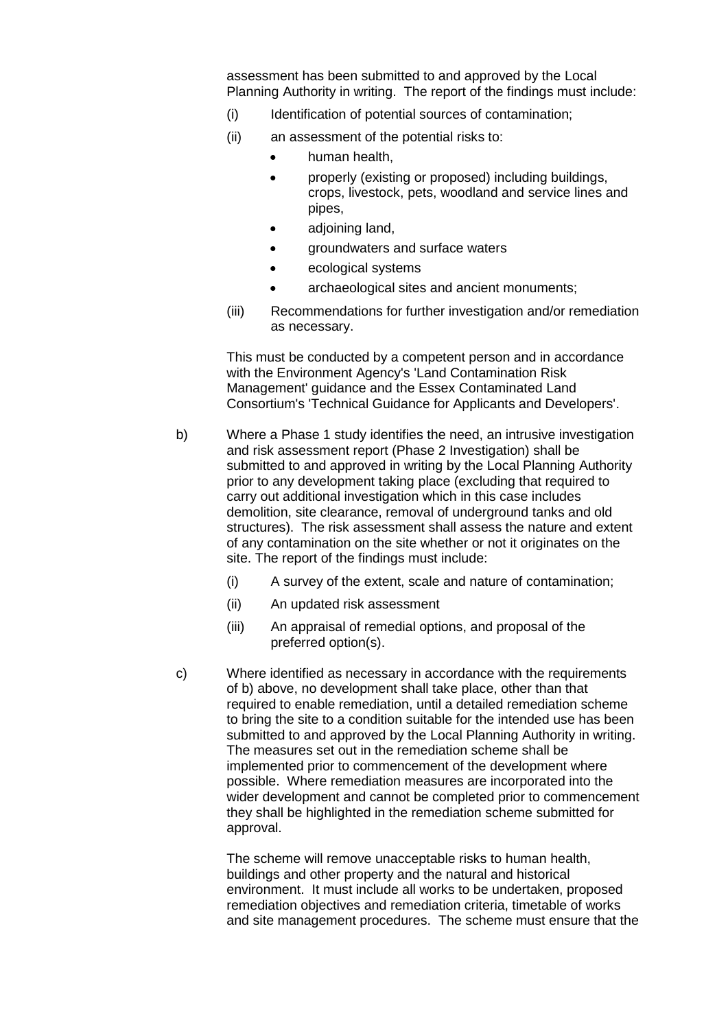assessment has been submitted to and approved by the Local Planning Authority in writing. The report of the findings must include:

- (i) Identification of potential sources of contamination;
- (ii) an assessment of the potential risks to:
	- human health,
	- properly (existing or proposed) including buildings, crops, livestock, pets, woodland and service lines and pipes,
	- adjoining land,
	- aroundwaters and surface waters
	- ecological systems
	- archaeological sites and ancient monuments;
- (iii) Recommendations for further investigation and/or remediation as necessary.

This must be conducted by a competent person and in accordance with the Environment Agency's 'Land Contamination Risk Management' guidance and the Essex Contaminated Land Consortium's 'Technical Guidance for Applicants and Developers'.

- b) Where a Phase 1 study identifies the need, an intrusive investigation and risk assessment report (Phase 2 Investigation) shall be submitted to and approved in writing by the Local Planning Authority prior to any development taking place (excluding that required to carry out additional investigation which in this case includes demolition, site clearance, removal of underground tanks and old structures). The risk assessment shall assess the nature and extent of any contamination on the site whether or not it originates on the site. The report of the findings must include:
	- (i) A survey of the extent, scale and nature of contamination;
	- (ii) An updated risk assessment
	- (iii) An appraisal of remedial options, and proposal of the preferred option(s).
- c) Where identified as necessary in accordance with the requirements of b) above, no development shall take place, other than that required to enable remediation, until a detailed remediation scheme to bring the site to a condition suitable for the intended use has been submitted to and approved by the Local Planning Authority in writing. The measures set out in the remediation scheme shall be implemented prior to commencement of the development where possible. Where remediation measures are incorporated into the wider development and cannot be completed prior to commencement they shall be highlighted in the remediation scheme submitted for approval.

The scheme will remove unacceptable risks to human health, buildings and other property and the natural and historical environment. It must include all works to be undertaken, proposed remediation objectives and remediation criteria, timetable of works and site management procedures. The scheme must ensure that the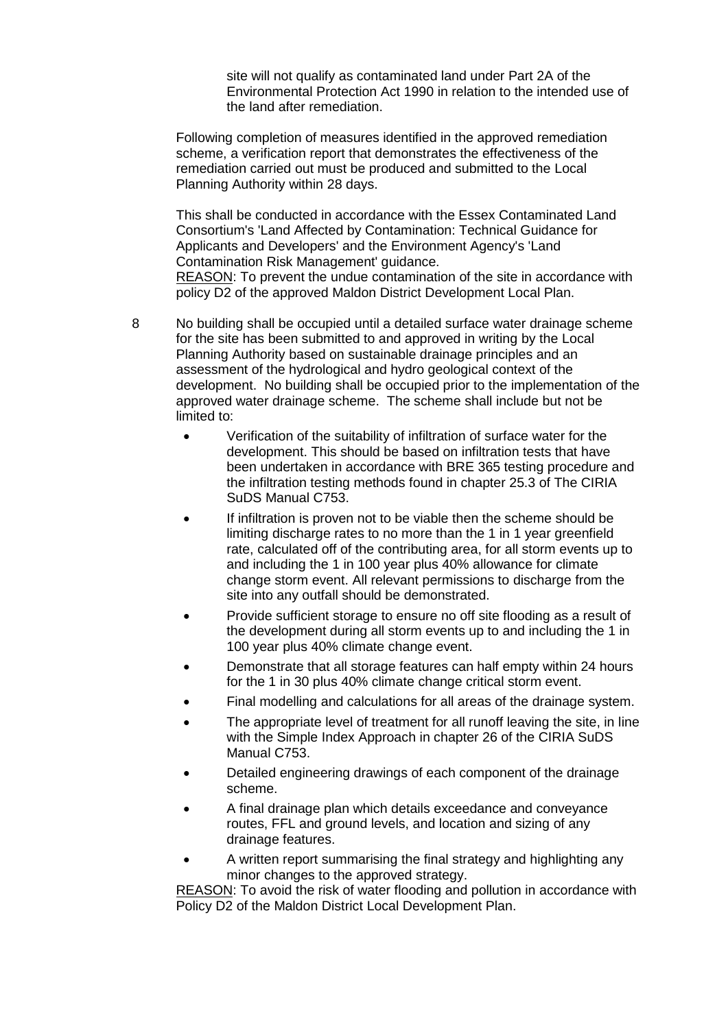site will not qualify as contaminated land under Part 2A of the Environmental Protection Act 1990 in relation to the intended use of the land after remediation.

Following completion of measures identified in the approved remediation scheme, a verification report that demonstrates the effectiveness of the remediation carried out must be produced and submitted to the Local Planning Authority within 28 days.

This shall be conducted in accordance with the Essex Contaminated Land Consortium's 'Land Affected by Contamination: Technical Guidance for Applicants and Developers' and the Environment Agency's 'Land Contamination Risk Management' guidance. REASON: To prevent the undue contamination of the site in accordance with policy D2 of the approved Maldon District Development Local Plan.

8 No building shall be occupied until a detailed surface water drainage scheme for the site has been submitted to and approved in writing by the Local Planning Authority based on sustainable drainage principles and an assessment of the hydrological and hydro geological context of the development. No building shall be occupied prior to the implementation of the approved water drainage scheme. The scheme shall include but not be limited to:

- Verification of the suitability of infiltration of surface water for the development. This should be based on infiltration tests that have been undertaken in accordance with BRE 365 testing procedure and the infiltration testing methods found in chapter 25.3 of The CIRIA SuDS Manual C753.
- If infiltration is proven not to be viable then the scheme should be limiting discharge rates to no more than the 1 in 1 year greenfield rate, calculated off of the contributing area, for all storm events up to and including the 1 in 100 year plus 40% allowance for climate change storm event. All relevant permissions to discharge from the site into any outfall should be demonstrated.
- Provide sufficient storage to ensure no off site flooding as a result of the development during all storm events up to and including the 1 in 100 year plus 40% climate change event.
- Demonstrate that all storage features can half empty within 24 hours for the 1 in 30 plus 40% climate change critical storm event.
- Final modelling and calculations for all areas of the drainage system.
- The appropriate level of treatment for all runoff leaving the site, in line with the Simple Index Approach in chapter 26 of the CIRIA SuDS Manual C753.
- Detailed engineering drawings of each component of the drainage scheme.
- A final drainage plan which details exceedance and conveyance routes, FFL and ground levels, and location and sizing of any drainage features.
- A written report summarising the final strategy and highlighting any minor changes to the approved strategy.

REASON: To avoid the risk of water flooding and pollution in accordance with Policy D2 of the Maldon District Local Development Plan.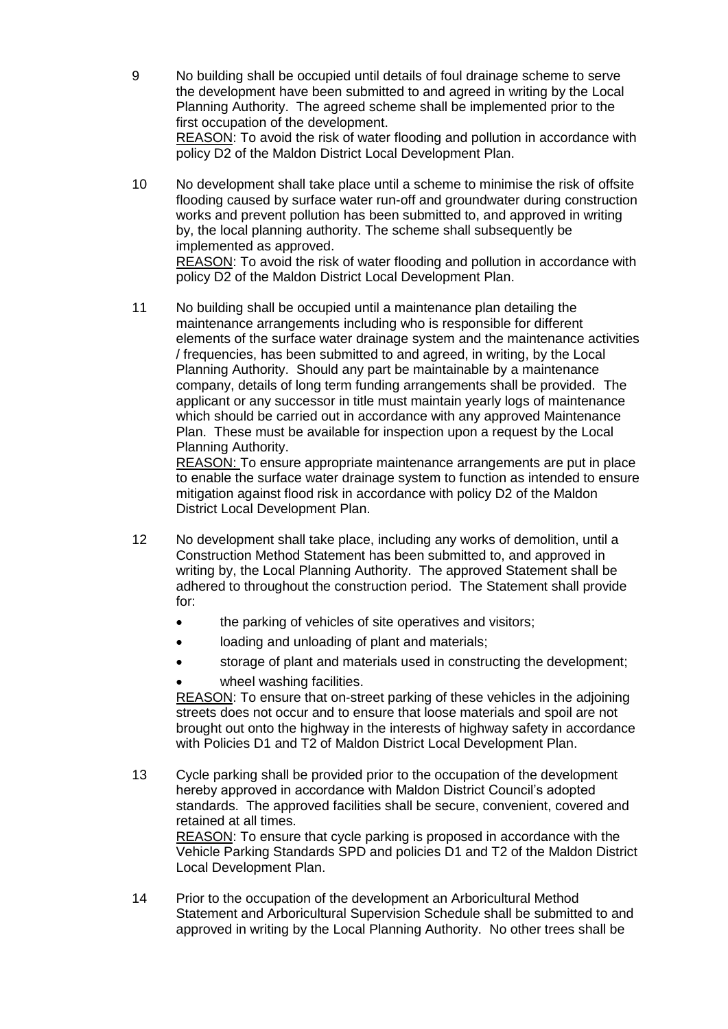- 9 No building shall be occupied until details of foul drainage scheme to serve the development have been submitted to and agreed in writing by the Local Planning Authority. The agreed scheme shall be implemented prior to the first occupation of the development. REASON: To avoid the risk of water flooding and pollution in accordance with policy D2 of the Maldon District Local Development Plan.
- 10 No development shall take place until a scheme to minimise the risk of offsite flooding caused by surface water run-off and groundwater during construction works and prevent pollution has been submitted to, and approved in writing by, the local planning authority. The scheme shall subsequently be implemented as approved.

REASON: To avoid the risk of water flooding and pollution in accordance with policy D2 of the Maldon District Local Development Plan.

11 No building shall be occupied until a maintenance plan detailing the maintenance arrangements including who is responsible for different elements of the surface water drainage system and the maintenance activities / frequencies, has been submitted to and agreed, in writing, by the Local Planning Authority. Should any part be maintainable by a maintenance company, details of long term funding arrangements shall be provided. The applicant or any successor in title must maintain yearly logs of maintenance which should be carried out in accordance with any approved Maintenance Plan. These must be available for inspection upon a request by the Local Planning Authority.

REASON: To ensure appropriate maintenance arrangements are put in place to enable the surface water drainage system to function as intended to ensure mitigation against flood risk in accordance with policy D2 of the Maldon District Local Development Plan.

- 12 No development shall take place, including any works of demolition, until a Construction Method Statement has been submitted to, and approved in writing by, the Local Planning Authority. The approved Statement shall be adhered to throughout the construction period. The Statement shall provide for:
	- the parking of vehicles of site operatives and visitors;
	- loading and unloading of plant and materials;
	- storage of plant and materials used in constructing the development;
	- wheel washing facilities.

REASON: To ensure that on-street parking of these vehicles in the adjoining streets does not occur and to ensure that loose materials and spoil are not brought out onto the highway in the interests of highway safety in accordance with Policies D1 and T2 of Maldon District Local Development Plan.

13 Cycle parking shall be provided prior to the occupation of the development hereby approved in accordance with Maldon District Council's adopted standards. The approved facilities shall be secure, convenient, covered and retained at all times. REASON: To ensure that cycle parking is proposed in accordance with the

Vehicle Parking Standards SPD and policies D1 and T2 of the Maldon District Local Development Plan.

14 Prior to the occupation of the development an Arboricultural Method Statement and Arboricultural Supervision Schedule shall be submitted to and approved in writing by the Local Planning Authority. No other trees shall be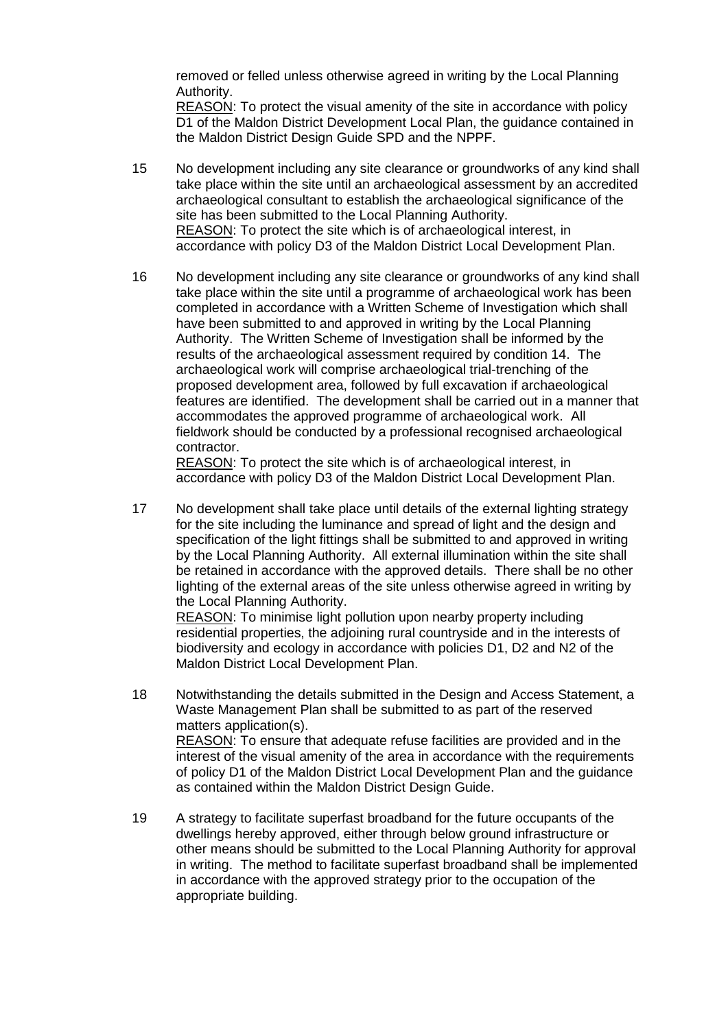removed or felled unless otherwise agreed in writing by the Local Planning Authority.

REASON: To protect the visual amenity of the site in accordance with policy D1 of the Maldon District Development Local Plan, the guidance contained in the Maldon District Design Guide SPD and the NPPF.

- 15 No development including any site clearance or groundworks of any kind shall take place within the site until an archaeological assessment by an accredited archaeological consultant to establish the archaeological significance of the site has been submitted to the Local Planning Authority. REASON: To protect the site which is of archaeological interest, in accordance with policy D3 of the Maldon District Local Development Plan.
- 16 No development including any site clearance or groundworks of any kind shall take place within the site until a programme of archaeological work has been completed in accordance with a Written Scheme of Investigation which shall have been submitted to and approved in writing by the Local Planning Authority. The Written Scheme of Investigation shall be informed by the results of the archaeological assessment required by condition 14. The archaeological work will comprise archaeological trial-trenching of the proposed development area, followed by full excavation if archaeological features are identified. The development shall be carried out in a manner that accommodates the approved programme of archaeological work. All fieldwork should be conducted by a professional recognised archaeological contractor.

REASON: To protect the site which is of archaeological interest, in accordance with policy D3 of the Maldon District Local Development Plan.

17 No development shall take place until details of the external lighting strategy for the site including the luminance and spread of light and the design and specification of the light fittings shall be submitted to and approved in writing by the Local Planning Authority. All external illumination within the site shall be retained in accordance with the approved details. There shall be no other lighting of the external areas of the site unless otherwise agreed in writing by the Local Planning Authority.

REASON: To minimise light pollution upon nearby property including residential properties, the adjoining rural countryside and in the interests of biodiversity and ecology in accordance with policies D1, D2 and N2 of the Maldon District Local Development Plan.

- 18 Notwithstanding the details submitted in the Design and Access Statement, a Waste Management Plan shall be submitted to as part of the reserved matters application(s). REASON: To ensure that adequate refuse facilities are provided and in the interest of the visual amenity of the area in accordance with the requirements of policy D1 of the Maldon District Local Development Plan and the guidance as contained within the Maldon District Design Guide.
- 19 A strategy to facilitate superfast broadband for the future occupants of the dwellings hereby approved, either through below ground infrastructure or other means should be submitted to the Local Planning Authority for approval in writing. The method to facilitate superfast broadband shall be implemented in accordance with the approved strategy prior to the occupation of the appropriate building.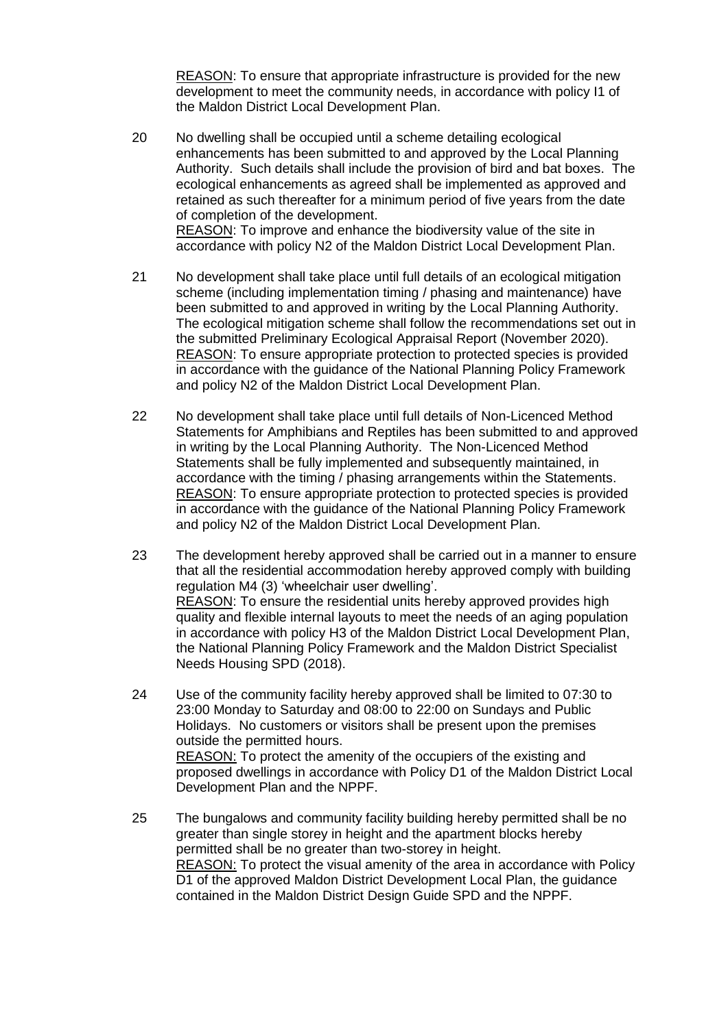REASON: To ensure that appropriate infrastructure is provided for the new development to meet the community needs, in accordance with policy I1 of the Maldon District Local Development Plan.

- 20 No dwelling shall be occupied until a scheme detailing ecological enhancements has been submitted to and approved by the Local Planning Authority. Such details shall include the provision of bird and bat boxes. The ecological enhancements as agreed shall be implemented as approved and retained as such thereafter for a minimum period of five years from the date of completion of the development. REASON: To improve and enhance the biodiversity value of the site in accordance with policy N2 of the Maldon District Local Development Plan.
- 21 No development shall take place until full details of an ecological mitigation scheme (including implementation timing / phasing and maintenance) have been submitted to and approved in writing by the Local Planning Authority. The ecological mitigation scheme shall follow the recommendations set out in the submitted Preliminary Ecological Appraisal Report (November 2020). REASON: To ensure appropriate protection to protected species is provided in accordance with the guidance of the National Planning Policy Framework and policy N2 of the Maldon District Local Development Plan.
- 22 No development shall take place until full details of Non-Licenced Method Statements for Amphibians and Reptiles has been submitted to and approved in writing by the Local Planning Authority. The Non-Licenced Method Statements shall be fully implemented and subsequently maintained, in accordance with the timing / phasing arrangements within the Statements. REASON: To ensure appropriate protection to protected species is provided in accordance with the guidance of the National Planning Policy Framework and policy N2 of the Maldon District Local Development Plan.
- 23 The development hereby approved shall be carried out in a manner to ensure that all the residential accommodation hereby approved comply with building regulation M4 (3) 'wheelchair user dwelling'. REASON: To ensure the residential units hereby approved provides high quality and flexible internal layouts to meet the needs of an aging population in accordance with policy H3 of the Maldon District Local Development Plan, the National Planning Policy Framework and the Maldon District Specialist Needs Housing SPD (2018).
- 24 Use of the community facility hereby approved shall be limited to 07:30 to 23:00 Monday to Saturday and 08:00 to 22:00 on Sundays and Public Holidays. No customers or visitors shall be present upon the premises outside the permitted hours. REASON: To protect the amenity of the occupiers of the existing and proposed dwellings in accordance with Policy D1 of the Maldon District Local Development Plan and the NPPF.
- 25 The bungalows and community facility building hereby permitted shall be no greater than single storey in height and the apartment blocks hereby permitted shall be no greater than two-storey in height. REASON: To protect the visual amenity of the area in accordance with Policy D1 of the approved Maldon District Development Local Plan, the guidance contained in the Maldon District Design Guide SPD and the NPPF.